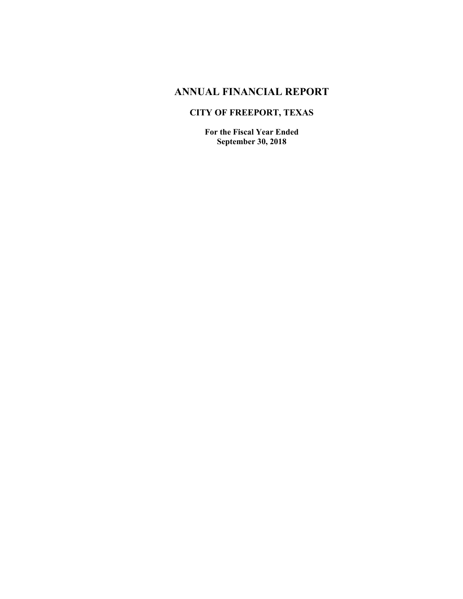# **ANNUAL FINANCIAL REPORT**

# **CITY OF FREEPORT, TEXAS**

**For the Fiscal Year Ended September 30, 2018**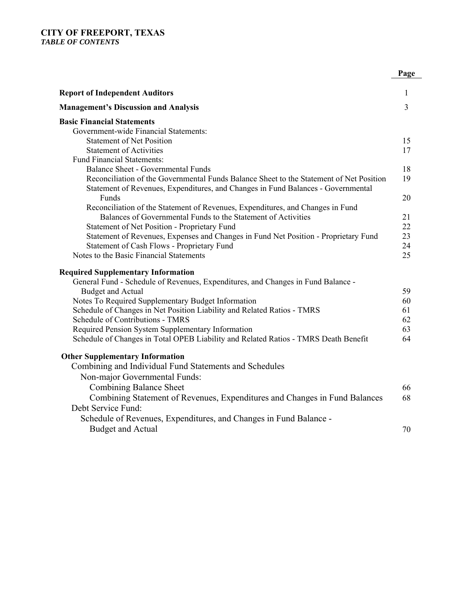|                                                                                                                                                                             | Page |
|-----------------------------------------------------------------------------------------------------------------------------------------------------------------------------|------|
| <b>Report of Independent Auditors</b>                                                                                                                                       | 1    |
| <b>Management's Discussion and Analysis</b>                                                                                                                                 | 3    |
| <b>Basic Financial Statements</b>                                                                                                                                           |      |
| Government-wide Financial Statements:                                                                                                                                       |      |
| <b>Statement of Net Position</b>                                                                                                                                            | 15   |
| <b>Statement of Activities</b>                                                                                                                                              | 17   |
| <b>Fund Financial Statements:</b>                                                                                                                                           |      |
| <b>Balance Sheet - Governmental Funds</b>                                                                                                                                   | 18   |
| Reconciliation of the Governmental Funds Balance Sheet to the Statement of Net Position<br>Statement of Revenues, Expenditures, and Changes in Fund Balances - Governmental | 19   |
| Funds                                                                                                                                                                       | 20   |
|                                                                                                                                                                             |      |
| Reconciliation of the Statement of Revenues, Expenditures, and Changes in Fund<br>Balances of Governmental Funds to the Statement of Activities                             | 21   |
|                                                                                                                                                                             | 22   |
| Statement of Net Position - Proprietary Fund                                                                                                                                |      |
| Statement of Revenues, Expenses and Changes in Fund Net Position - Proprietary Fund                                                                                         | 23   |
| Statement of Cash Flows - Proprietary Fund                                                                                                                                  | 24   |
| Notes to the Basic Financial Statements                                                                                                                                     | 25   |
| <b>Required Supplementary Information</b>                                                                                                                                   |      |
| General Fund - Schedule of Revenues, Expenditures, and Changes in Fund Balance -                                                                                            |      |
| <b>Budget and Actual</b>                                                                                                                                                    | 59   |
| Notes To Required Supplementary Budget Information                                                                                                                          | 60   |
| Schedule of Changes in Net Position Liability and Related Ratios - TMRS                                                                                                     | 61   |
| Schedule of Contributions - TMRS                                                                                                                                            | 62   |
| Required Pension System Supplementary Information                                                                                                                           | 63   |
| Schedule of Changes in Total OPEB Liability and Related Ratios - TMRS Death Benefit                                                                                         | 64   |
| <b>Other Supplementary Information</b>                                                                                                                                      |      |
| Combining and Individual Fund Statements and Schedules                                                                                                                      |      |
| Non-major Governmental Funds:                                                                                                                                               |      |
| Combining Balance Sheet                                                                                                                                                     | 66   |
|                                                                                                                                                                             | 68   |
| Combining Statement of Revenues, Expenditures and Changes in Fund Balances<br>Debt Service Fund:                                                                            |      |
| Schedule of Revenues, Expenditures, and Changes in Fund Balance -                                                                                                           |      |
| <b>Budget and Actual</b>                                                                                                                                                    | 70   |
|                                                                                                                                                                             |      |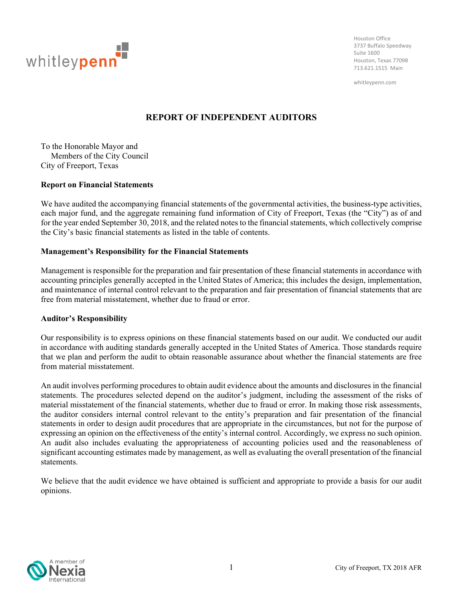

Houston Office 3737 Buffalo Speedway Suite 1600 Houston, Texas 77098 713.621.1515 Main

whitleypenn.com

# **REPORT OF INDEPENDENT AUDITORS**

To the Honorable Mayor and Members of the City Council City of Freeport, Texas

#### **Report on Financial Statements**

We have audited the accompanying financial statements of the governmental activities, the business-type activities, each major fund, and the aggregate remaining fund information of City of Freeport, Texas (the "City") as of and for the year ended September 30, 2018, and the related notes to the financial statements, which collectively comprise the City's basic financial statements as listed in the table of contents.

#### **Management's Responsibility for the Financial Statements**

Management is responsible for the preparation and fair presentation of these financial statements in accordance with accounting principles generally accepted in the United States of America; this includes the design, implementation, and maintenance of internal control relevant to the preparation and fair presentation of financial statements that are free from material misstatement, whether due to fraud or error.

#### **Auditor's Responsibility**

Our responsibility is to express opinions on these financial statements based on our audit. We conducted our audit in accordance with auditing standards generally accepted in the United States of America. Those standards require that we plan and perform the audit to obtain reasonable assurance about whether the financial statements are free from material misstatement.

An audit involves performing procedures to obtain audit evidence about the amounts and disclosures in the financial statements. The procedures selected depend on the auditor's judgment, including the assessment of the risks of material misstatement of the financial statements, whether due to fraud or error. In making those risk assessments, the auditor considers internal control relevant to the entity's preparation and fair presentation of the financial statements in order to design audit procedures that are appropriate in the circumstances, but not for the purpose of expressing an opinion on the effectiveness of the entity's internal control. Accordingly, we express no such opinion. An audit also includes evaluating the appropriateness of accounting policies used and the reasonableness of significant accounting estimates made by management, as well as evaluating the overall presentation of the financial statements.

We believe that the audit evidence we have obtained is sufficient and appropriate to provide a basis for our audit opinions.

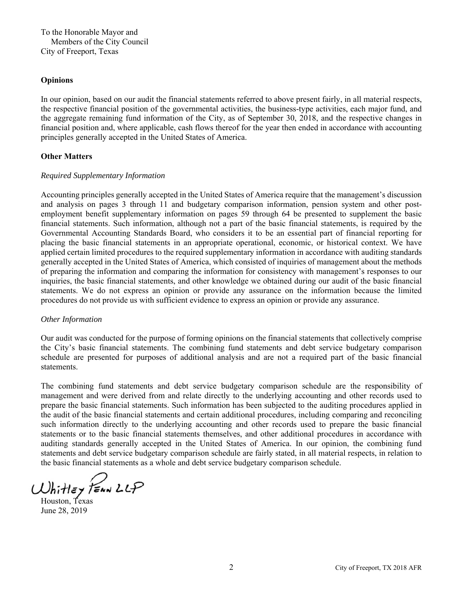To the Honorable Mayor and Members of the City Council City of Freeport, Texas

#### **Opinions**

In our opinion, based on our audit the financial statements referred to above present fairly, in all material respects, the respective financial position of the governmental activities, the business-type activities, each major fund, and the aggregate remaining fund information of the City, as of September 30, 2018, and the respective changes in financial position and, where applicable, cash flows thereof for the year then ended in accordance with accounting principles generally accepted in the United States of America.

#### **Other Matters**

#### *Required Supplementary Information*

Accounting principles generally accepted in the United States of America require that the management's discussion and analysis on pages 3 through 11 and budgetary comparison information, pension system and other postemployment benefit supplementary information on pages 59 through 64 be presented to supplement the basic financial statements. Such information, although not a part of the basic financial statements, is required by the Governmental Accounting Standards Board, who considers it to be an essential part of financial reporting for placing the basic financial statements in an appropriate operational, economic, or historical context. We have applied certain limited procedures to the required supplementary information in accordance with auditing standards generally accepted in the United States of America, which consisted of inquiries of management about the methods of preparing the information and comparing the information for consistency with management's responses to our inquiries, the basic financial statements, and other knowledge we obtained during our audit of the basic financial statements. We do not express an opinion or provide any assurance on the information because the limited procedures do not provide us with sufficient evidence to express an opinion or provide any assurance.

#### *Other Information*

Our audit was conducted for the purpose of forming opinions on the financial statements that collectively comprise the City's basic financial statements. The combining fund statements and debt service budgetary comparison schedule are presented for purposes of additional analysis and are not a required part of the basic financial statements.

The combining fund statements and debt service budgetary comparison schedule are the responsibility of management and were derived from and relate directly to the underlying accounting and other records used to prepare the basic financial statements. Such information has been subjected to the auditing procedures applied in the audit of the basic financial statements and certain additional procedures, including comparing and reconciling such information directly to the underlying accounting and other records used to prepare the basic financial statements or to the basic financial statements themselves, and other additional procedures in accordance with auditing standards generally accepted in the United States of America. In our opinion, the combining fund statements and debt service budgetary comparison schedule are fairly stated, in all material respects, in relation to the basic financial statements as a whole and debt service budgetary comparison schedule.

Whitley FENN LLP

June 28, 2019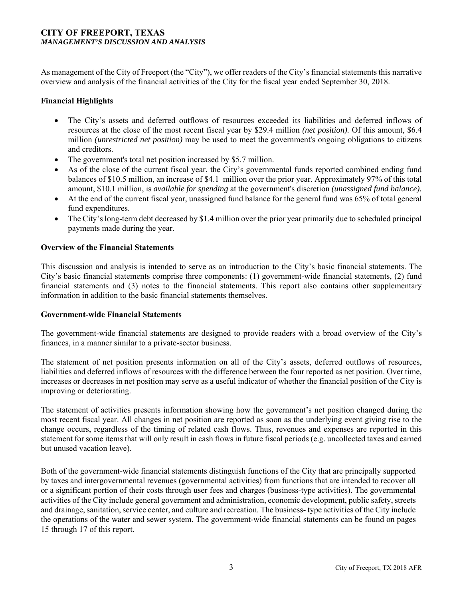As management of the City of Freeport (the "City"), we offer readers of the City's financial statements this narrative overview and analysis of the financial activities of the City for the fiscal year ended September 30, 2018.

#### **Financial Highlights**

- The City's assets and deferred outflows of resources exceeded its liabilities and deferred inflows of resources at the close of the most recent fiscal year by \$29.4 million *(net position).* Of this amount, \$6.4 million *(unrestricted net position)* may be used to meet the government's ongoing obligations to citizens and creditors.
- The government's total net position increased by \$5.7 million.
- As of the close of the current fiscal year, the City's governmental funds reported combined ending fund balances of \$10.5 million, an increase of \$4.1 million over the prior year. Approximately 97% of this total amount, \$10.1 million, is *available for spending* at the government's discretion *(unassigned fund balance).*
- At the end of the current fiscal year, unassigned fund balance for the general fund was 65% of total general fund expenditures.
- The City's long-term debt decreased by \$1.4 million over the prior year primarily due to scheduled principal payments made during the year.

#### **Overview of the Financial Statements**

This discussion and analysis is intended to serve as an introduction to the City's basic financial statements. The City's basic financial statements comprise three components: (1) government-wide financial statements, (2) fund financial statements and (3) notes to the financial statements. This report also contains other supplementary information in addition to the basic financial statements themselves.

#### **Government-wide Financial Statements**

The government-wide financial statements are designed to provide readers with a broad overview of the City's finances, in a manner similar to a private-sector business.

The statement of net position presents information on all of the City's assets, deferred outflows of resources, liabilities and deferred inflows of resources with the difference between the four reported as net position. Over time, increases or decreases in net position may serve as a useful indicator of whether the financial position of the City is improving or deteriorating.

The statement of activities presents information showing how the government's net position changed during the most recent fiscal year. All changes in net position are reported as soon as the underlying event giving rise to the change occurs, regardless of the timing of related cash flows. Thus, revenues and expenses are reported in this statement for some items that will only result in cash flows in future fiscal periods (e.g. uncollected taxes and earned but unused vacation leave).

Both of the government-wide financial statements distinguish functions of the City that are principally supported by taxes and intergovernmental revenues (governmental activities) from functions that are intended to recover all or a significant portion of their costs through user fees and charges (business-type activities). The governmental activities of the City include general government and administration, economic development, public safety, streets and drainage, sanitation, service center, and culture and recreation. The business- type activities of the City include the operations of the water and sewer system. The government-wide financial statements can be found on pages 15 through 17 of this report.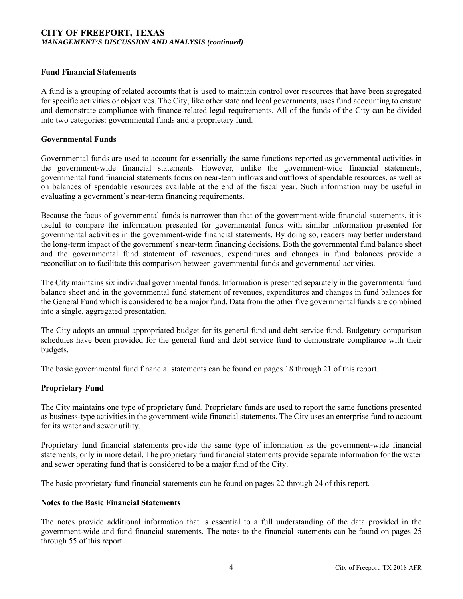#### **Fund Financial Statements**

A fund is a grouping of related accounts that is used to maintain control over resources that have been segregated for specific activities or objectives. The City, like other state and local governments, uses fund accounting to ensure and demonstrate compliance with finance-related legal requirements. All of the funds of the City can be divided into two categories: governmental funds and a proprietary fund.

#### **Governmental Funds**

Governmental funds are used to account for essentially the same functions reported as governmental activities in the government-wide financial statements. However, unlike the government-wide financial statements, governmental fund financial statements focus on near-term inflows and outflows of spendable resources, as well as on balances of spendable resources available at the end of the fiscal year. Such information may be useful in evaluating a government's near-term financing requirements.

Because the focus of governmental funds is narrower than that of the government-wide financial statements, it is useful to compare the information presented for governmental funds with similar information presented for governmental activities in the government-wide financial statements. By doing so, readers may better understand the long-term impact of the government's near-term financing decisions. Both the governmental fund balance sheet and the governmental fund statement of revenues, expenditures and changes in fund balances provide a reconciliation to facilitate this comparison between governmental funds and governmental activities.

The City maintains six individual governmental funds. Information is presented separately in the governmental fund balance sheet and in the governmental fund statement of revenues, expenditures and changes in fund balances for the General Fund which is considered to be a major fund. Data from the other five governmental funds are combined into a single, aggregated presentation.

The City adopts an annual appropriated budget for its general fund and debt service fund. Budgetary comparison schedules have been provided for the general fund and debt service fund to demonstrate compliance with their budgets.

The basic governmental fund financial statements can be found on pages 18 through 21 of this report.

#### **Proprietary Fund**

The City maintains one type of proprietary fund. Proprietary funds are used to report the same functions presented as business-type activities in the government-wide financial statements. The City uses an enterprise fund to account for its water and sewer utility.

Proprietary fund financial statements provide the same type of information as the government-wide financial statements, only in more detail. The proprietary fund financial statements provide separate information for the water and sewer operating fund that is considered to be a major fund of the City.

The basic proprietary fund financial statements can be found on pages 22 through 24 of this report.

#### **Notes to the Basic Financial Statements**

The notes provide additional information that is essential to a full understanding of the data provided in the government-wide and fund financial statements. The notes to the financial statements can be found on pages 25 through 55 of this report.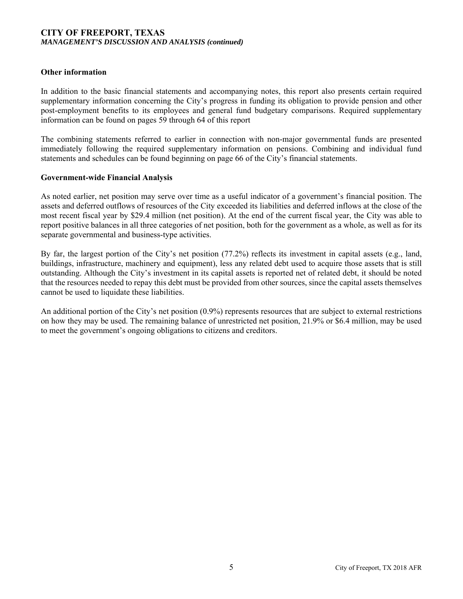#### **Other information**

In addition to the basic financial statements and accompanying notes, this report also presents certain required supplementary information concerning the City's progress in funding its obligation to provide pension and other post-employment benefits to its employees and general fund budgetary comparisons. Required supplementary information can be found on pages 59 through 64 of this report

The combining statements referred to earlier in connection with non-major governmental funds are presented immediately following the required supplementary information on pensions. Combining and individual fund statements and schedules can be found beginning on page 66 of the City's financial statements.

#### **Government-wide Financial Analysis**

As noted earlier, net position may serve over time as a useful indicator of a government's financial position. The assets and deferred outflows of resources of the City exceeded its liabilities and deferred inflows at the close of the most recent fiscal year by \$29.4 million (net position). At the end of the current fiscal year, the City was able to report positive balances in all three categories of net position, both for the government as a whole, as well as for its separate governmental and business-type activities.

By far, the largest portion of the City's net position (77.2%) reflects its investment in capital assets (e.g., land, buildings, infrastructure, machinery and equipment), less any related debt used to acquire those assets that is still outstanding. Although the City's investment in its capital assets is reported net of related debt, it should be noted that the resources needed to repay this debt must be provided from other sources, since the capital assets themselves cannot be used to liquidate these liabilities.

An additional portion of the City's net position (0.9%) represents resources that are subject to external restrictions on how they may be used. The remaining balance of unrestricted net position, 21.9% or \$6.4 million, may be used to meet the government's ongoing obligations to citizens and creditors.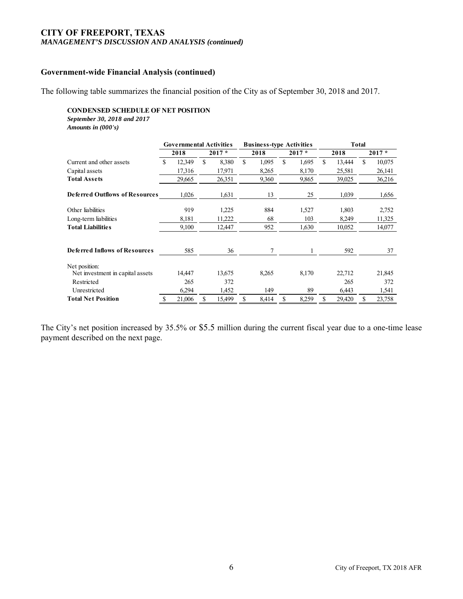*MANAGEMENT'S DISCUSSION AND ANALYSIS (continued)* 

#### **Government-wide Financial Analysis (continued)**

The following table summarizes the financial position of the City as of September 30, 2018 and 2017.

#### **CONDENSED SCHEDULE OF NET POSITION**

*September 30, 2018 and 2017*

*Amounts in (000's)*

|                                       | <b>Governmental Activities</b> |    |          | <b>Business-type Activities</b> |       |    | <b>Total</b> |    |        |    |          |
|---------------------------------------|--------------------------------|----|----------|---------------------------------|-------|----|--------------|----|--------|----|----------|
|                                       | 2018                           |    | $2017 *$ |                                 | 2018  |    | $2017 *$     |    | 2018   |    | $2017 *$ |
| Current and other assets              | 12,349                         | \$ | 8,380    | \$                              | 1,095 | \$ | 1,695        | \$ | 13,444 | \$ | 10,075   |
| Capital assets                        | 17,316                         |    | 17,971   |                                 | 8,265 |    | 8,170        |    | 25,581 |    | 26,141   |
| <b>Total Assets</b>                   | 29,665                         |    | 26,351   |                                 | 9,360 |    | 9,865        |    | 39,025 |    | 36,216   |
| <b>Deferred Outflows of Resources</b> | 1,026                          |    | 1,631    |                                 | 13    |    | 25           |    | 1,039  |    | 1,656    |
| Other liabilities                     | 919                            |    | 1,225    |                                 | 884   |    | 1,527        |    | 1,803  |    | 2,752    |
| Long-term liabilities                 | 8,181                          |    | 11,222   |                                 | 68    |    | 103          |    | 8,249  |    | 11,325   |
| <b>Total Liabilities</b>              | 9,100                          |    | 12,447   |                                 | 952   |    | 1,630        |    | 10,052 |    | 14,077   |
| <b>Deferred Inflows of Resources</b>  | 585                            |    | 36       |                                 | 7     |    |              |    | 592    |    | 37       |
| Net position:                         |                                |    |          |                                 |       |    |              |    |        |    |          |
| Net investment in capital assets      | 14,447                         |    | 13,675   |                                 | 8,265 |    | 8,170        |    | 22,712 |    | 21,845   |
| Restricted                            | 265                            |    | 372      |                                 |       |    |              |    | 265    |    | 372      |
| Unrestricted                          | 6,294                          |    | 1,452    |                                 | 149   |    | 89           |    | 6,443  |    | 1,541    |
| <b>Total Net Position</b>             | \$<br>21,006                   | S  | 15,499   | \$                              | 8,414 | \$ | 8,259        | \$ | 29,420 | \$ | 23,758   |

The City's net position increased by 35.5% or \$5.5 million during the current fiscal year due to a one-time lease payment described on the next page.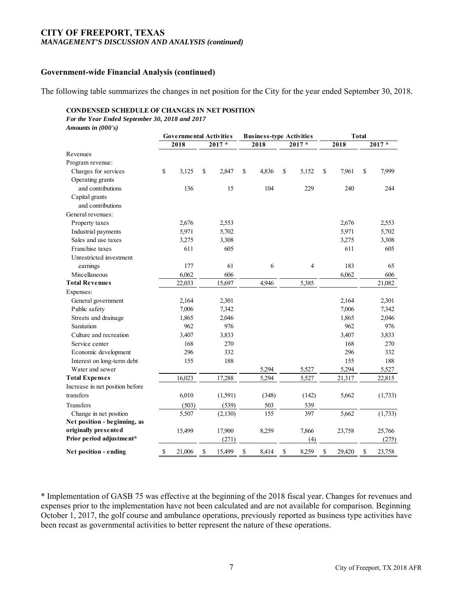*MANAGEMENT'S DISCUSSION AND ANALYSIS (continued)* 

#### **Government-wide Financial Analysis (continued)**

The following table summarizes the changes in net position for the City for the year ended September 30, 2018.

#### **CONDENSED SCHEDULE OF CHANGES IN NET POSITION**

*For the Year Ended September 30, 2018 and 2017*

*Amounts in (000's)*

|                                 | <b>Governmental Activities</b> |              |          |             | <b>Business-type Activities</b> |                |    |        | <b>Total</b> |          |
|---------------------------------|--------------------------------|--------------|----------|-------------|---------------------------------|----------------|----|--------|--------------|----------|
|                                 | 2018                           |              | $2017 *$ | 2018        |                                 | $2017 *$       |    | 2018   |              | $2017 *$ |
| Revenues                        |                                |              |          |             |                                 |                |    |        |              |          |
| Program revenue:                |                                |              |          |             |                                 |                |    |        |              |          |
| Charges for services            | \$<br>3,125                    | $\mathbb{S}$ | 2,847    | \$<br>4,836 | \$                              | 5,152          | \$ | 7,961  | \$           | 7,999    |
| Operating grants                |                                |              |          |             |                                 |                |    |        |              |          |
| and contributions               | 136                            |              | 15       | 104         |                                 | 229            |    | 240    |              | 244      |
| Capital grants                  |                                |              |          |             |                                 |                |    |        |              |          |
| and contributions               |                                |              |          |             |                                 |                |    |        |              |          |
| General revenues:               |                                |              |          |             |                                 |                |    |        |              |          |
| Property taxes                  | 2,676                          |              | 2,553    |             |                                 |                |    | 2,676  |              | 2,553    |
| Industrial payments             | 5,971                          |              | 5,702    |             |                                 |                |    | 5,971  |              | 5,702    |
| Sales and use taxes             | 3,275                          |              | 3,308    |             |                                 |                |    | 3,275  |              | 3,308    |
| Franchise taxes                 | 611                            |              | 605      |             |                                 |                |    | 611    |              | 605      |
| Unrestricted investment         |                                |              |          |             |                                 |                |    |        |              |          |
| earnings                        | 177                            |              | 61       | 6           |                                 | $\overline{4}$ |    | 183    |              | 65       |
| Miscellaneous                   | 6,062                          |              | 606      |             |                                 |                |    | 6,062  |              | 606      |
| <b>Total Revenues</b>           | 22,033                         |              | 15,697   | 4,946       |                                 | 5,385          |    |        |              | 21,082   |
| Expenses:                       |                                |              |          |             |                                 |                |    |        |              |          |
| General government              | 2,164                          |              | 2,301    |             |                                 |                |    | 2,164  |              | 2,301    |
| Public safety                   | 7,006                          |              | 7,342    |             |                                 |                |    | 7,006  |              | 7,342    |
| Streets and drainage            | 1,865                          |              | 2,046    |             |                                 |                |    | 1,865  |              | 2,046    |
| Sanitation                      | 962                            |              | 976      |             |                                 |                |    | 962    |              | 976      |
| Culture and recreation          | 3,407                          |              | 3,833    |             |                                 |                |    | 3,407  |              | 3,833    |
| Service center                  | 168                            |              | 270      |             |                                 |                |    | 168    |              | 270      |
| Economic development            | 296                            |              | 332      |             |                                 |                |    | 296    |              | 332      |
| Interest on long-term debt      | 155                            |              | 188      |             |                                 |                |    | 155    |              | 188      |
| Water and sewer                 |                                |              |          | 5,294       |                                 | 5,527          |    | 5,294  |              | 5,527    |
| <b>Total Expenses</b>           | 16,023                         |              | 17,288   | 5,294       |                                 | 5,527          |    | 21,317 |              | 22,815   |
| Increase in net position before |                                |              |          |             |                                 |                |    |        |              |          |
| transfers                       | 6,010                          |              | (1,591)  | (348)       |                                 | (142)          |    | 5,662  |              | (1,733)  |
| Transfers                       | (503)                          |              | (539)    | 503         |                                 | 539            |    |        |              |          |
| Change in net position          | 5,507                          |              | (2,130)  | 155         |                                 | 397            |    | 5,662  |              | (1,733)  |
| Net position - beginning, as    |                                |              |          |             |                                 |                |    |        |              |          |
| originally presented            | 15,499                         |              | 17,900   | 8,259       |                                 | 7,866          |    | 23,758 |              | 25,766   |
| Prior period adjustment*        |                                |              | (271)    |             |                                 | (4)            |    |        |              | (275)    |
| Net position - ending           | \$<br>21,006                   | \$           | 15,499   | \$<br>8,414 | \$                              | 8,259          | \$ | 29,420 | \$           | 23,758   |

\* Implementation of GASB 75 was effective at the beginning of the 2018 fiscal year. Changes for revenues and expenses prior to the implementation have not been calculated and are not available for comparison. Beginning October 1, 2017, the golf course and ambulance operations, previously reported as business type activities have been recast as governmental activities to better represent the nature of these operations.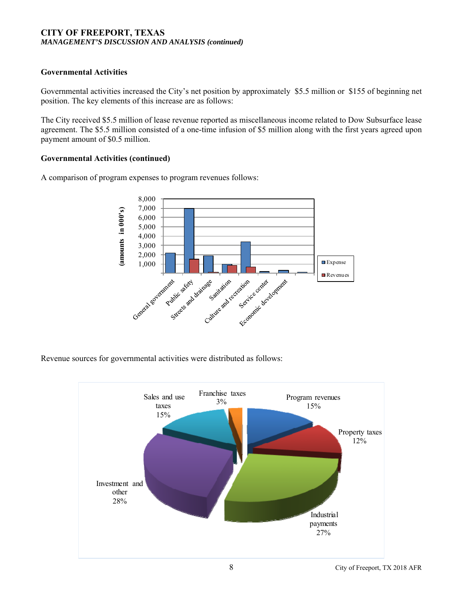### **Governmental Activities**

Governmental activities increased the City's net position by approximately \$5.5 million or \$155 of beginning net position. The key elements of this increase are as follows:

The City received \$5.5 million of lease revenue reported as miscellaneous income related to Dow Subsurface lease agreement. The \$5.5 million consisted of a one-time infusion of \$5 million along with the first years agreed upon payment amount of \$0.5 million.

#### **Governmental Activities (continued)**

A comparison of program expenses to program revenues follows:



Revenue sources for governmental activities were distributed as follows:

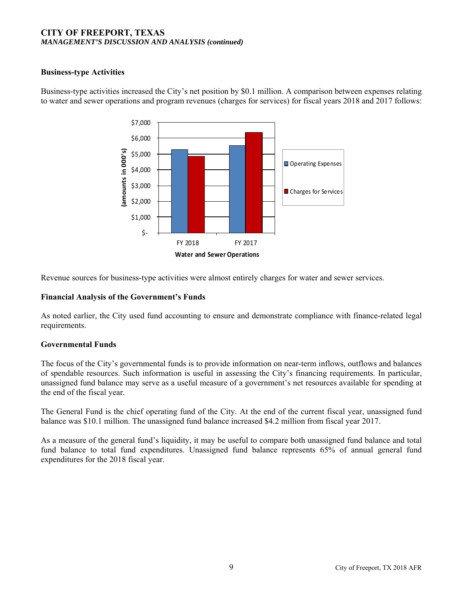#### **Business-type Activities**

Business-type activities increased the City's net position by \$0.1 million. A comparison between expenses relating to water and sewer operations and program revenues (charges for services) for fiscal years 2018 and 2017 follows:



Revenue sources for business-type activities were almost entirely charges for water and sewer services.

#### **Financial Analysis of the Government's Funds**

As noted earlier, the City used fund accounting to ensure and demonstrate compliance with finance-related legal requirements.

#### **Governmental Funds**

The focus of the City's governmental funds is to provide information on near-term inflows, outflows and balances of spendable resources. Such information is useful in assessing the City's financing requirements. In particular, unassigned fund balance may serve as a useful measure of a government's net resources available for spending at the end of the fiscal year.

The General Fund is the chief operating fund of the City. At the end of the current fiscal year, unassigned fund balance was \$10.1 million. The unassigned fund balance increased \$4.2 million from fiscal year 2017.

As a measure of the general fund's liquidity, it may be useful to compare both unassigned fund balance and total fund balance to total fund expenditures. Unassigned fund balance represents 65% of annual general fund expenditures for the 2018 fiscal year.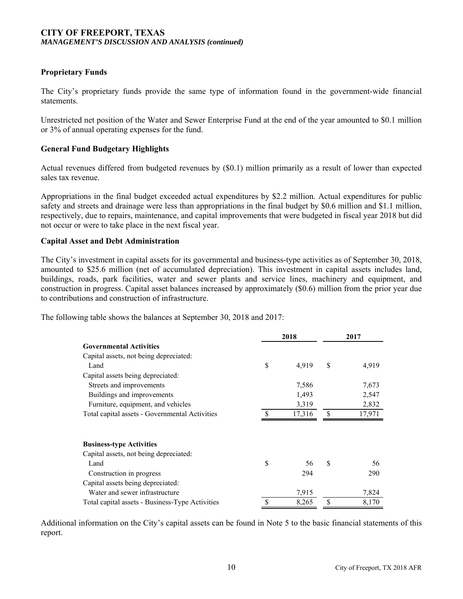#### **Proprietary Funds**

The City's proprietary funds provide the same type of information found in the government-wide financial statements.

Unrestricted net position of the Water and Sewer Enterprise Fund at the end of the year amounted to \$0.1 million or 3% of annual operating expenses for the fund.

#### **General Fund Budgetary Highlights**

Actual revenues differed from budgeted revenues by (\$0.1) million primarily as a result of lower than expected sales tax revenue.

Appropriations in the final budget exceeded actual expenditures by \$2.2 million. Actual expenditures for public safety and streets and drainage were less than appropriations in the final budget by \$0.6 million and \$1.1 million, respectively, due to repairs, maintenance, and capital improvements that were budgeted in fiscal year 2018 but did not occur or were to take place in the next fiscal year.

#### **Capital Asset and Debt Administration**

The City's investment in capital assets for its governmental and business-type activities as of September 30, 2018, amounted to \$25.6 million (net of accumulated depreciation). This investment in capital assets includes land, buildings, roads, park facilities, water and sewer plants and service lines, machinery and equipment, and construction in progress. Capital asset balances increased by approximately (\$0.6) million from the prior year due to contributions and construction of infrastructure.

The following table shows the balances at September 30, 2018 and 2017:

|                                                 | 2018 |        |               |        |
|-------------------------------------------------|------|--------|---------------|--------|
| <b>Governmental Activities</b>                  |      |        |               |        |
| Capital assets, not being depreciated:          |      |        |               |        |
| Land                                            | \$   | 4,919  | \$            | 4,919  |
| Capital assets being depreciated:               |      |        |               |        |
| Streets and improvements                        |      | 7,586  |               | 7,673  |
| Buildings and improvements                      |      | 1,493  |               | 2,547  |
| Furniture, equipment, and vehicles              |      | 3,319  |               | 2,832  |
| Total capital assets - Governmental Activities  |      | 17,316 | <sup>\$</sup> | 17,971 |
|                                                 |      |        |               |        |
| <b>Business-type Activities</b>                 |      |        |               |        |
| Capital assets, not being depreciated:          |      |        |               |        |
| Land                                            | \$   | 56     | S             | 56     |
| Construction in progress                        |      | 294    |               | 290    |
| Capital assets being depreciated:               |      |        |               |        |
| Water and sewer infrastructure                  |      | 7,915  |               | 7,824  |
| Total capital assets - Business-Type Activities | \$   | 8,265  | S             | 8,170  |

Additional information on the City's capital assets can be found in Note 5 to the basic financial statements of this report.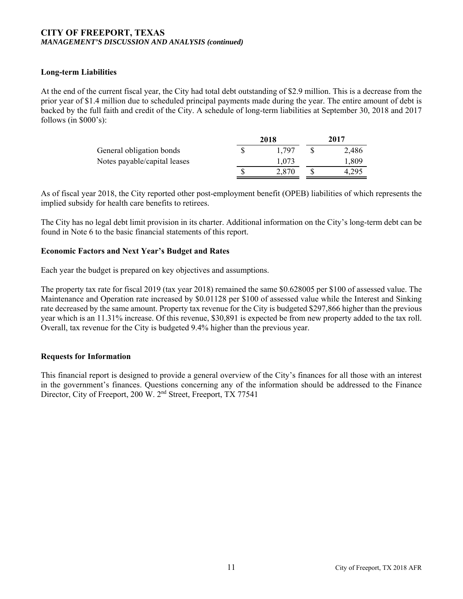#### **Long-term Liabilities**

At the end of the current fiscal year, the City had total debt outstanding of \$2.9 million. This is a decrease from the prior year of \$1.4 million due to scheduled principal payments made during the year. The entire amount of debt is backed by the full faith and credit of the City. A schedule of long-term liabilities at September 30, 2018 and 2017 follows (in \$000's):

|                              | 2018  | 2017 |       |  |  |
|------------------------------|-------|------|-------|--|--|
| General obligation bonds     | 1.797 |      | 2.486 |  |  |
| Notes payable/capital leases | 1.073 |      | 1.809 |  |  |
|                              | 2.870 |      | 1.295 |  |  |

As of fiscal year 2018, the City reported other post-employment benefit (OPEB) liabilities of which represents the implied subsidy for health care benefits to retirees.

The City has no legal debt limit provision in its charter. Additional information on the City's long-term debt can be found in Note 6 to the basic financial statements of this report.

#### **Economic Factors and Next Year's Budget and Rates**

Each year the budget is prepared on key objectives and assumptions.

The property tax rate for fiscal 2019 (tax year 2018) remained the same \$0.628005 per \$100 of assessed value. The Maintenance and Operation rate increased by \$0.01128 per \$100 of assessed value while the Interest and Sinking rate decreased by the same amount. Property tax revenue for the City is budgeted \$297,866 higher than the previous year which is an 11.31% increase. Of this revenue, \$30,891 is expected be from new property added to the tax roll. Overall, tax revenue for the City is budgeted 9.4% higher than the previous year.

#### **Requests for Information**

This financial report is designed to provide a general overview of the City's finances for all those with an interest in the government's finances. Questions concerning any of the information should be addressed to the Finance Director, City of Freeport, 200 W. 2<sup>nd</sup> Street, Freeport, TX 77541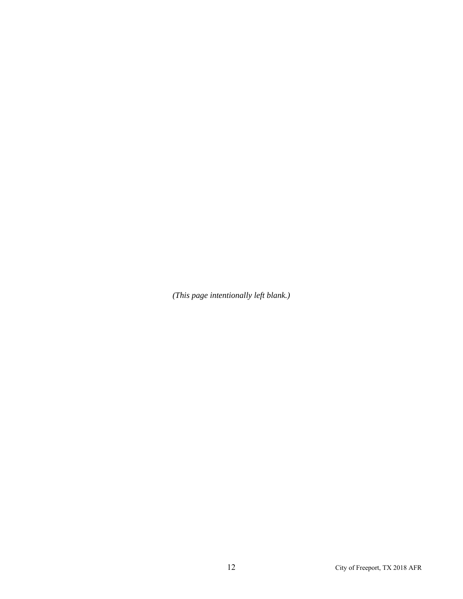*(This page intentionally left blank.)*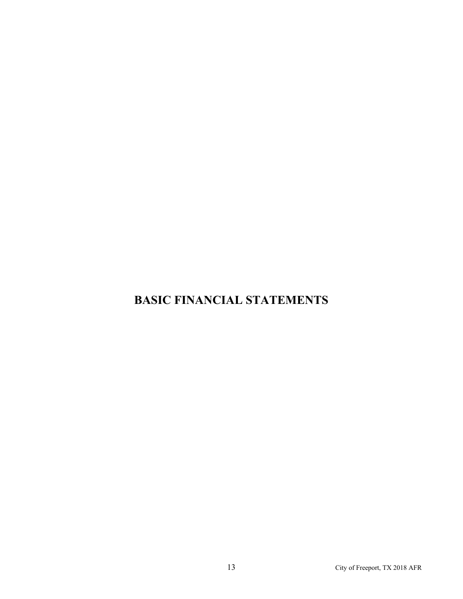# **BASIC FINANCIAL STATEMENTS**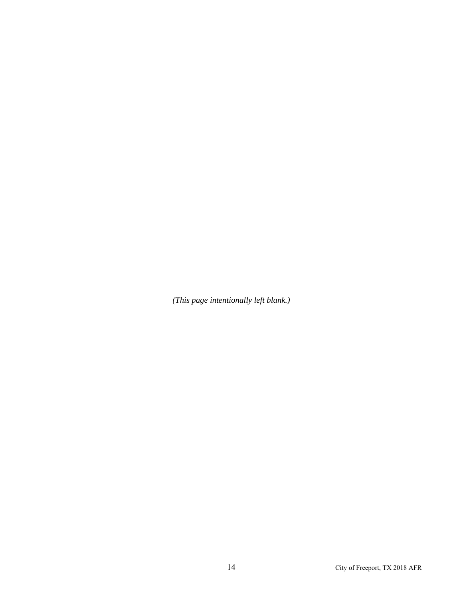*(This page intentionally left blank.)*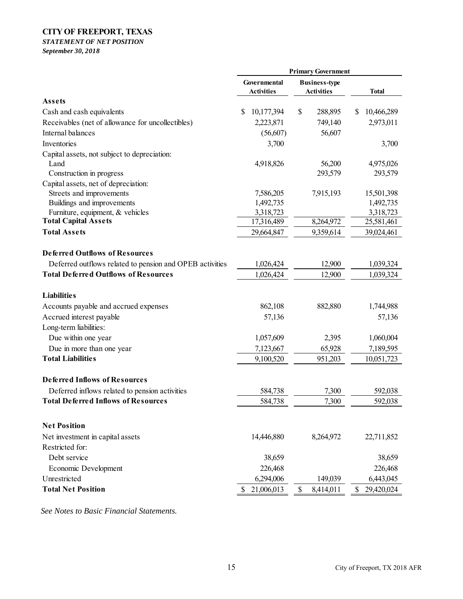# *STATEMENT OF NET POSITION*

*September 30, 2018*

|                                                          | <b>Primary Government</b>         |                                           |                  |  |  |
|----------------------------------------------------------|-----------------------------------|-------------------------------------------|------------------|--|--|
|                                                          | Governmental<br><b>Activities</b> | <b>Business-type</b><br><b>Activities</b> | <b>Total</b>     |  |  |
| Assets                                                   |                                   |                                           |                  |  |  |
| Cash and cash equivalents                                | \$<br>10,177,394                  | \$<br>288,895                             | 10,466,289<br>S. |  |  |
| Receivables (net of allowance for uncollectibles)        | 2,223,871                         | 749,140                                   | 2,973,011        |  |  |
| Internal balances                                        | (56,607)                          | 56,607                                    |                  |  |  |
| Inventories                                              | 3,700                             |                                           | 3,700            |  |  |
| Capital assets, not subject to depreciation:<br>Land     | 4,918,826                         | 56,200                                    | 4,975,026        |  |  |
| Construction in progress                                 |                                   | 293,579                                   | 293,579          |  |  |
| Capital assets, net of depreciation:                     |                                   |                                           |                  |  |  |
| Streets and improvements                                 | 7,586,205                         | 7,915,193                                 | 15,501,398       |  |  |
| Buildings and improvements                               | 1,492,735                         |                                           | 1,492,735        |  |  |
| Furniture, equipment, & vehicles                         | 3,318,723                         |                                           | 3,318,723        |  |  |
| <b>Total Capital Assets</b>                              | 17,316,489                        | 8,264,972                                 | 25,581,461       |  |  |
| <b>Total Assets</b>                                      | 29,664,847                        | 9,359,614                                 | 39,024,461       |  |  |
| <b>Deferred Outflows of Resources</b>                    |                                   |                                           |                  |  |  |
| Deferred outflows related to pension and OPEB activities | 1,026,424                         | 12,900                                    | 1,039,324        |  |  |
| <b>Total Deferred Outflows of Resources</b>              | 1,026,424                         | 12,900                                    | 1,039,324        |  |  |
| <b>Liabilities</b>                                       |                                   |                                           |                  |  |  |
| Accounts payable and accrued expenses                    | 862,108                           | 882,880                                   | 1,744,988        |  |  |
| Accrued interest payable                                 | 57,136                            |                                           | 57,136           |  |  |
| Long-term liabilities:                                   |                                   |                                           |                  |  |  |
| Due within one year                                      | 1,057,609                         | 2,395                                     | 1,060,004        |  |  |
| Due in more than one year                                | 7,123,667                         | 65,928                                    | 7,189,595        |  |  |
| <b>Total Liabilities</b>                                 | 9,100,520                         | 951,203                                   | 10,051,723       |  |  |
| <b>Deferred Inflows of Resources</b>                     |                                   |                                           |                  |  |  |
| Deferred inflows related to pension activities           | 584,738                           | 7,300                                     | 592,038          |  |  |
| <b>Total Deferred Inflows of Resources</b>               | 584,738                           | 7,300                                     | 592,038          |  |  |
|                                                          |                                   |                                           |                  |  |  |
| <b>Net Position</b>                                      |                                   |                                           |                  |  |  |
| Net investment in capital assets                         | 14,446,880                        | 8,264,972                                 | 22,711,852       |  |  |
| Restricted for:                                          |                                   |                                           |                  |  |  |
| Debt service                                             | 38,659                            |                                           | 38,659           |  |  |
| Economic Development                                     | 226,468                           |                                           | 226,468          |  |  |
| Unrestricted                                             | 6,294,006                         | 149,039                                   | 6,443,045        |  |  |
| <b>Total Net Position</b>                                | \$21,006,013                      | \$<br>8,414,011                           | \$<br>29,420,024 |  |  |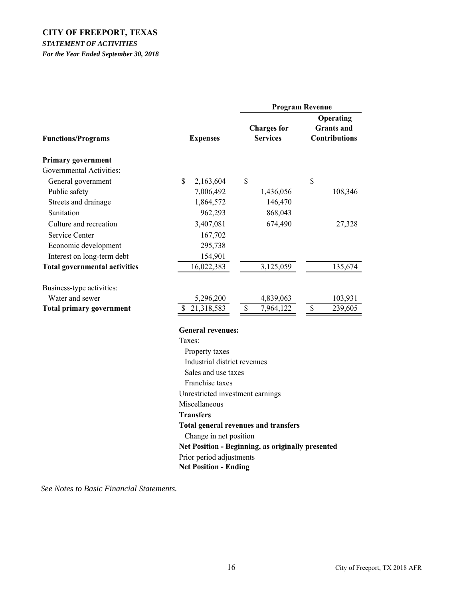### *STATEMENT OF ACTIVITIES*

*For the Year Ended September 30, 2018*

|                                      |                                  |                                             | <b>Program Revenue</b>                                 |
|--------------------------------------|----------------------------------|---------------------------------------------|--------------------------------------------------------|
| <b>Functions/Programs</b>            | <b>Expenses</b>                  | <b>Charges</b> for<br><b>Services</b>       | Operating<br><b>Grants</b> and<br><b>Contributions</b> |
| <b>Primary government</b>            |                                  |                                             |                                                        |
| <b>Governmental Activities:</b>      |                                  |                                             |                                                        |
| General government                   | \$<br>2,163,604                  | \$                                          | \$                                                     |
| Public safety                        | 7,006,492                        | 1,436,056                                   | 108,346                                                |
| Streets and drainage                 | 1,864,572                        | 146,470                                     |                                                        |
| Sanitation                           | 962,293                          | 868,043                                     |                                                        |
| Culture and recreation               | 3,407,081                        | 674,490                                     | 27,328                                                 |
| Service Center                       | 167,702                          |                                             |                                                        |
| Economic development                 | 295,738                          |                                             |                                                        |
| Interest on long-term debt           | 154,901                          |                                             |                                                        |
| <b>Total governmental activities</b> | 16,022,383                       | 3,125,059                                   | 135,674                                                |
| Business-type activities:            |                                  |                                             |                                                        |
| Water and sewer                      | 5,296,200                        | 4,839,063                                   | 103,931                                                |
| <b>Total primary government</b>      | 21,318,583<br>\$                 | $\overline{\mathcal{S}}$<br>7,964,122       | $\$$<br>239,605                                        |
|                                      | <b>General revenues:</b>         |                                             |                                                        |
|                                      | Taxes:                           |                                             |                                                        |
|                                      | Property taxes                   |                                             |                                                        |
|                                      | Industrial district revenues     |                                             |                                                        |
|                                      | Sales and use taxes              |                                             |                                                        |
|                                      | Franchise taxes                  |                                             |                                                        |
|                                      | Unrestricted investment earnings |                                             |                                                        |
|                                      | Miscellaneous                    |                                             |                                                        |
|                                      | <b>Transfers</b>                 |                                             |                                                        |
|                                      |                                  | <b>Total general revenues and transfers</b> |                                                        |
|                                      | Change in net position           |                                             |                                                        |

**Net Position - Beginning, as originally presented**

Prior period adjustments

**Net Position - Ending**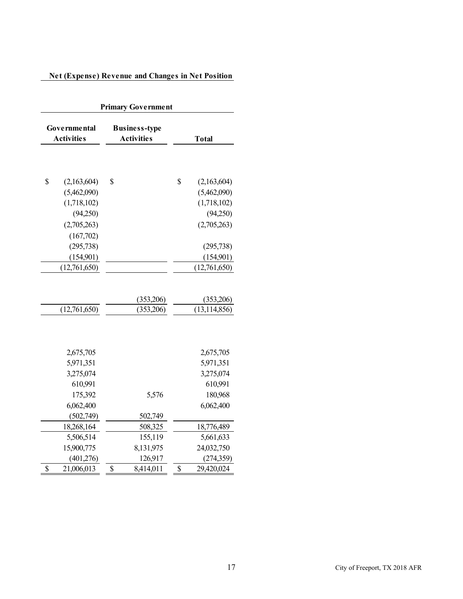# **Net (Expense) Revenue and Changes in Net Position**

| <b>Primary Government</b>                |                                           |           |    |                |  |  |  |  |  |
|------------------------------------------|-------------------------------------------|-----------|----|----------------|--|--|--|--|--|
| <b>Governmental</b><br><b>Activities</b> | <b>Business-type</b><br><b>Activities</b> |           |    |                |  |  |  |  |  |
|                                          |                                           |           |    |                |  |  |  |  |  |
| \$<br>(2,163,604)                        | \$                                        |           | \$ | (2,163,604)    |  |  |  |  |  |
| (5,462,090)                              |                                           |           |    | (5,462,090)    |  |  |  |  |  |
| (1,718,102)                              |                                           |           |    | (1,718,102)    |  |  |  |  |  |
| (94,250)                                 |                                           |           |    | (94,250)       |  |  |  |  |  |
| (2,705,263)                              |                                           |           |    | (2,705,263)    |  |  |  |  |  |
| (167,702)                                |                                           |           |    |                |  |  |  |  |  |
| (295, 738)                               |                                           |           |    | (295, 738)     |  |  |  |  |  |
| (154,901)                                |                                           |           |    | (154,901)      |  |  |  |  |  |
| (12,761,650)                             |                                           |           |    | (12,761,650)   |  |  |  |  |  |
|                                          |                                           |           |    |                |  |  |  |  |  |
|                                          |                                           |           |    |                |  |  |  |  |  |
|                                          |                                           | (353,206) |    | (353,206)      |  |  |  |  |  |
| (12,761,650)                             |                                           | (353,206) |    | (13, 114, 856) |  |  |  |  |  |
|                                          |                                           |           |    |                |  |  |  |  |  |
|                                          |                                           |           |    |                |  |  |  |  |  |
| 2,675,705                                |                                           |           |    | 2,675,705      |  |  |  |  |  |
| 5,971,351                                |                                           |           |    | 5,971,351      |  |  |  |  |  |
| 3,275,074                                |                                           |           |    | 3,275,074      |  |  |  |  |  |
| 610,991                                  |                                           |           |    | 610,991        |  |  |  |  |  |
| 175,392                                  |                                           | 5,576     |    | 180,968        |  |  |  |  |  |
| 6,062,400                                |                                           |           |    | 6,062,400      |  |  |  |  |  |
| (502,749)                                |                                           | 502,749   |    |                |  |  |  |  |  |
| 18,268,164                               |                                           | 508,325   |    | 18,776,489     |  |  |  |  |  |
| 5,506,514                                |                                           | 155,119   |    | 5,661,633      |  |  |  |  |  |
| 15,900,775                               |                                           | 8,131,975 |    | 24,032,750     |  |  |  |  |  |
| (401, 276)                               |                                           | 126,917   |    | (274, 359)     |  |  |  |  |  |
| \$<br>21,006,013                         | \$                                        | 8,414,011 | \$ | 29,420,024     |  |  |  |  |  |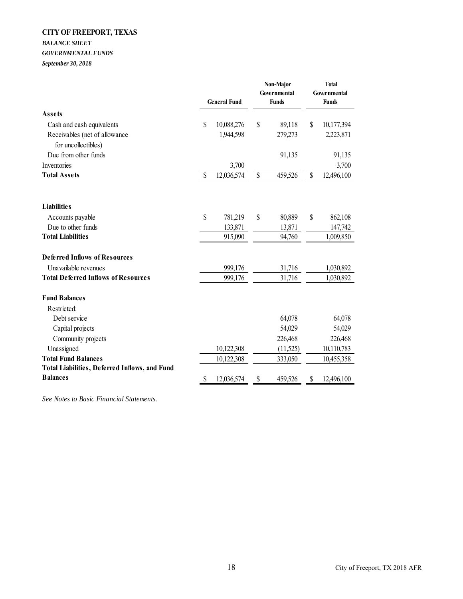#### *BALANCE SHEET*

*GOVERNMENTAL FUNDS*

*September 30, 2018*

|                                                      |      | Non-Major<br>Governmental<br><b>General Fund</b><br><b>Funds</b> |      |          | <b>Total</b><br>Governmental<br><b>Funds</b> |            |  |
|------------------------------------------------------|------|------------------------------------------------------------------|------|----------|----------------------------------------------|------------|--|
| Assets                                               |      |                                                                  |      |          |                                              |            |  |
| Cash and cash equivalents                            | \$   | 10,088,276                                                       | \$   | 89,118   | \$                                           | 10,177,394 |  |
| Receivables (net of allowance                        |      | 1,944,598                                                        |      | 279,273  |                                              | 2,223,871  |  |
| for uncollectibles)                                  |      |                                                                  |      |          |                                              |            |  |
| Due from other funds                                 |      |                                                                  |      | 91,135   |                                              | 91,135     |  |
| <b>Inventories</b>                                   |      | 3,700                                                            |      |          |                                              | 3,700      |  |
| <b>Total Assets</b>                                  | $\$$ | 12,036,574                                                       | $\$$ | 459,526  | $\$$                                         | 12,496,100 |  |
|                                                      |      |                                                                  |      |          |                                              |            |  |
| <b>Liabilities</b>                                   |      |                                                                  |      |          |                                              |            |  |
| Accounts payable                                     | \$   | 781,219                                                          | \$   | 80,889   | \$                                           | 862,108    |  |
| Due to other funds                                   |      | 133,871                                                          |      | 13,871   |                                              | 147,742    |  |
| <b>Total Liabilities</b>                             |      | 915,090                                                          |      | 94,760   |                                              | 1,009,850  |  |
| Deferred Inflows of Resources                        |      |                                                                  |      |          |                                              |            |  |
| Unavailable revenues                                 |      | 999,176                                                          |      | 31,716   |                                              | 1,030,892  |  |
| <b>Total Deferred Inflows of Resources</b>           |      | 999,176                                                          |      | 31,716   |                                              | 1,030,892  |  |
| <b>Fund Balances</b>                                 |      |                                                                  |      |          |                                              |            |  |
| Restricted:                                          |      |                                                                  |      |          |                                              |            |  |
| Debt service                                         |      |                                                                  |      | 64,078   |                                              | 64,078     |  |
| Capital projects                                     |      |                                                                  |      | 54,029   |                                              | 54,029     |  |
| Community projects                                   |      |                                                                  |      | 226,468  |                                              | 226,468    |  |
| Unassigned                                           |      | 10,122,308                                                       |      | (11,525) |                                              | 10,110,783 |  |
| <b>Total Fund Balances</b>                           |      | 10,122,308                                                       |      | 333,050  |                                              | 10,455,358 |  |
| <b>Total Liabilities, Deferred Inflows, and Fund</b> |      |                                                                  |      |          |                                              |            |  |
| <b>Balances</b>                                      | \$   | 12,036,574                                                       | \$   | 459,526  | \$                                           | 12,496,100 |  |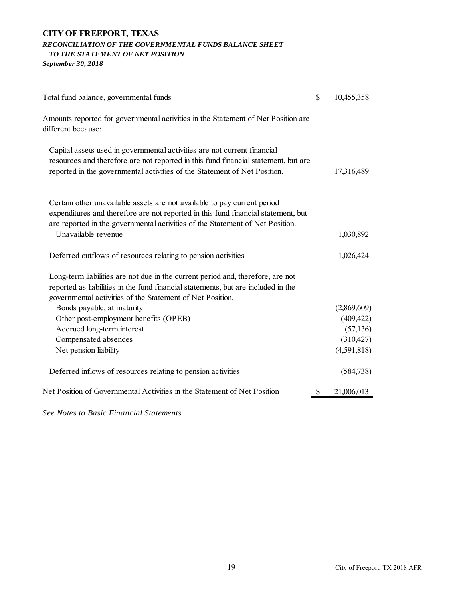#### *RECONCILIATION OF THE GOVERNMENTAL FUNDS BALANCE SHEET*

 *TO THE STATEMENT OF NET POSITION*

*September 30, 2018*

| Total fund balance, governmental funds                                                                                                                                                                                                         | \$<br>10,455,358 |
|------------------------------------------------------------------------------------------------------------------------------------------------------------------------------------------------------------------------------------------------|------------------|
| Amounts reported for governmental activities in the Statement of Net Position are<br>different because:                                                                                                                                        |                  |
| Capital assets used in governmental activities are not current financial<br>resources and therefore are not reported in this fund financial statement, but are<br>reported in the governmental activities of the Statement of Net Position.    | 17,316,489       |
| Certain other unavailable assets are not available to pay current period<br>expenditures and therefore are not reported in this fund financial statement, but<br>are reported in the governmental activities of the Statement of Net Position. |                  |
| Unavailable revenue                                                                                                                                                                                                                            | 1,030,892        |
| Deferred outflows of resources relating to pension activities                                                                                                                                                                                  | 1,026,424        |
| Long-term liabilities are not due in the current period and, therefore, are not<br>reported as liabilities in the fund financial statements, but are included in the<br>governmental activities of the Statement of Net Position.              |                  |
| Bonds payable, at maturity                                                                                                                                                                                                                     | (2,869,609)      |
| Other post-employment benefits (OPEB)                                                                                                                                                                                                          | (409, 422)       |
| Accrued long-term interest                                                                                                                                                                                                                     | (57, 136)        |
| Compensated absences                                                                                                                                                                                                                           | (310, 427)       |
| Net pension liability                                                                                                                                                                                                                          | (4,591,818)      |
| Deferred inflows of resources relating to pension activities                                                                                                                                                                                   | (584, 738)       |
| Net Position of Governmental Activities in the Statement of Net Position                                                                                                                                                                       | \$<br>21,006,013 |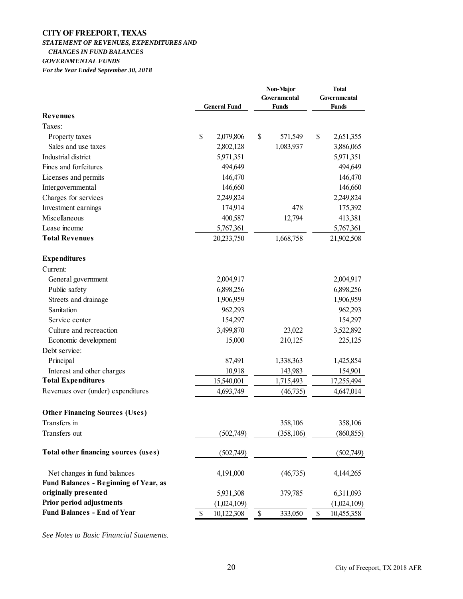### *STATEMENT OF REVENUES, EXPENDITURES AND CHANGES IN FUND BALANCES GOVERNMENTAL FUNDS*

*For the Year Ended September 30, 2018*

|                                              | Non-Major<br>Governmental<br><b>General Fund</b><br>Funds |    |            | <b>Total</b><br>Governmental<br><b>Funds</b> |
|----------------------------------------------|-----------------------------------------------------------|----|------------|----------------------------------------------|
| <b>Revenues</b>                              |                                                           |    |            |                                              |
| Taxes:                                       |                                                           |    |            |                                              |
| Property taxes                               | \$<br>2,079,806                                           | \$ | 571,549    | \$<br>2,651,355                              |
| Sales and use taxes                          | 2,802,128                                                 |    | 1,083,937  | 3,886,065                                    |
| Industrial district                          | 5,971,351                                                 |    |            | 5,971,351                                    |
| Fines and forfeitures                        | 494,649                                                   |    |            | 494,649                                      |
| Licenses and permits                         | 146,470                                                   |    |            | 146,470                                      |
| Intergovernmental                            | 146,660                                                   |    |            | 146,660                                      |
| Charges for services                         | 2,249,824                                                 |    |            | 2,249,824                                    |
| Investment earnings                          | 174,914                                                   |    | 478        | 175,392                                      |
| Miscellaneous                                | 400,587                                                   |    | 12,794     | 413,381                                      |
| Lease income                                 | 5,767,361                                                 |    |            | 5,767,361                                    |
| <b>Total Revenues</b>                        | 20,233,750                                                |    | 1,668,758  | 21,902,508                                   |
| <b>Expenditures</b>                          |                                                           |    |            |                                              |
| Current:                                     |                                                           |    |            |                                              |
| General government                           | 2,004,917                                                 |    |            | 2,004,917                                    |
| Public safety                                | 6,898,256                                                 |    |            | 6,898,256                                    |
| Streets and drainage                         | 1,906,959                                                 |    |            | 1,906,959                                    |
| Sanitation                                   | 962,293                                                   |    |            | 962,293                                      |
| Service center                               | 154,297                                                   |    |            | 154,297                                      |
| Culture and recreaction                      | 3,499,870                                                 |    | 23,022     | 3,522,892                                    |
| Economic development                         | 15,000                                                    |    | 210,125    | 225,125                                      |
| Debt service:                                |                                                           |    |            |                                              |
| Principal                                    | 87,491                                                    |    | 1,338,363  | 1,425,854                                    |
| Interest and other charges                   | 10,918                                                    |    | 143,983    | 154,901                                      |
| <b>Total Expenditures</b>                    | 15,540,001                                                |    | 1,715,493  | 17,255,494                                   |
| Revenues over (under) expenditures           | 4,693,749                                                 |    | (46,735)   | 4,647,014                                    |
| <b>Other Financing Sources (Uses)</b>        |                                                           |    |            |                                              |
| Transfers in                                 |                                                           |    | 358,106    | 358,106                                      |
| Transfers out                                | (502,749)                                                 |    | (358, 106) | (860, 855)                                   |
| Total other financing sources (uses)         | (502,749)                                                 |    |            | (502,749)                                    |
| Net changes in fund balances                 | 4,191,000                                                 |    | (46,735)   | 4,144,265                                    |
| <b>Fund Balances - Beginning of Year, as</b> |                                                           |    |            |                                              |
| originally presented                         | 5,931,308                                                 |    | 379,785    | 6,311,093                                    |
| Prior period adjustments                     | (1,024,109)                                               |    |            | (1,024,109)                                  |
| <b>Fund Balances - End of Year</b>           | \$<br>10,122,308                                          | \$ | 333,050    | \$<br>10,455,358                             |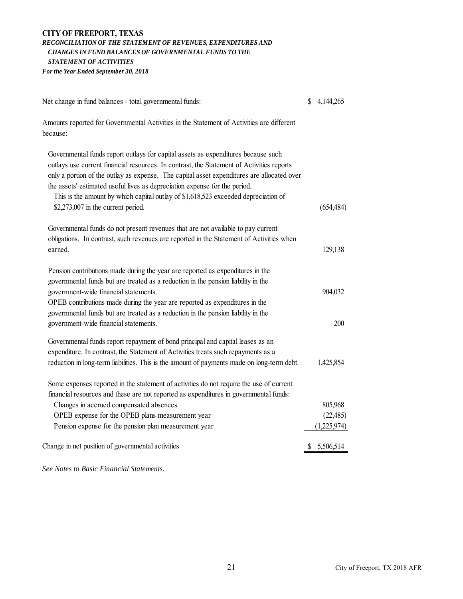#### **CITY OF FREEPORT, TEXAS** *RECONCILIATION OF THE STATEMENT OF REVENUES, EXPENDITURES AND CHANGES IN FUND BALANCES OF GOVERNMENTAL FUNDS TO THE STATEMENT OF ACTIVITIES For the Year Ended September 30, 2018*

| Amounts reported for Governmental Activities in the Statement of Activities are different<br>because:                                                                                                                                                                                                                                                                                                                                                                                   |                                     |
|-----------------------------------------------------------------------------------------------------------------------------------------------------------------------------------------------------------------------------------------------------------------------------------------------------------------------------------------------------------------------------------------------------------------------------------------------------------------------------------------|-------------------------------------|
| Governmental funds report outlays for capital assets as expenditures because such<br>outlays use current financial resources. In contrast, the Statement of Activities reports<br>only a portion of the outlay as expense. The capital asset expenditures are allocated over<br>the assets' estimated useful lives as depreciation expense for the period.<br>This is the amount by which capital outlay of \$1,618,523 exceeded depreciation of<br>$$2,273,007$ in the current period. | (654, 484)                          |
| Governmental funds do not present revenues that are not available to pay current<br>obligations. In contrast, such revenues are reported in the Statement of Activities when<br>earned.                                                                                                                                                                                                                                                                                                 | 129,138                             |
| Pension contributions made during the year are reported as expenditures in the<br>governmental funds but are treated as a reduction in the pension liability in the<br>government-wide financial statements.<br>OPEB contributions made during the year are reported as expenditures in the<br>governmental funds but are treated as a reduction in the pension liability in the<br>government-wide financial statements.                                                               | 904,032<br>200                      |
| Governmental funds report repayment of bond principal and capital leases as an<br>expenditure. In contrast, the Statement of Activities treats such repayments as a<br>reduction in long-term liabilities. This is the amount of payments made on long-term debt.                                                                                                                                                                                                                       | 1,425,854                           |
| Some expenses reported in the statement of activities do not require the use of current<br>financial resources and these are not reported as expenditures in governmental funds:<br>Changes in accrued compensated absences<br>OPEB expense for the OPEB plans measurement year<br>Pension expense for the pension plan measurement year                                                                                                                                                | 805,968<br>(22, 485)<br>(1,225,974) |
| Change in net position of governmental activities                                                                                                                                                                                                                                                                                                                                                                                                                                       | \$5,506,514                         |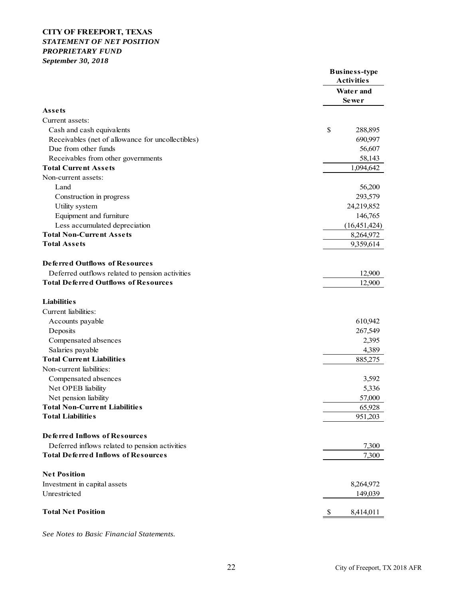#### **CITY OF FREEPORT, TEXAS** *STATEMENT OF NET POSITION*

# *PROPRIETARY FUND*

*September 30, 2018*

|                                                   | <b>Business-type</b><br><b>Activities</b> |
|---------------------------------------------------|-------------------------------------------|
|                                                   | Water and<br>Sewer                        |
| Assets                                            |                                           |
| Current assets:                                   |                                           |
| Cash and cash equivalents                         | \$<br>288,895                             |
| Receivables (net of allowance for uncollectibles) | 690,997                                   |
| Due from other funds                              | 56,607                                    |
| Receivables from other governments                | 58,143                                    |
| <b>Total Current Assets</b>                       | 1,094,642                                 |
| Non-current assets:                               |                                           |
| Land                                              | 56,200                                    |
| Construction in progress                          | 293,579                                   |
| Utility system                                    | 24,219,852                                |
| Equipment and furniture                           | 146,765                                   |
| Less accumulated depreciation                     | (16,451,424)                              |
| <b>Total Non-Current Assets</b>                   | 8,264,972                                 |
| <b>Total Assets</b>                               | 9,359,614                                 |
| <b>Deferred Outflows of Resources</b>             |                                           |
| Deferred outflows related to pension activities   | 12,900                                    |
| <b>Total Deferred Outflows of Resources</b>       | 12,900                                    |
| <b>Liabilities</b>                                |                                           |
| Current liabilities:                              |                                           |
| Accounts payable                                  | 610,942                                   |
| Deposits                                          | 267,549                                   |
| Compensated absences                              | 2,395                                     |
| Salaries payable                                  | 4,389                                     |
| <b>Total Current Liabilities</b>                  | 885,275                                   |
| Non-current liabilities:                          |                                           |
| Compensated absences                              | 3,592                                     |
| Net OPEB liability                                | 5,336                                     |
| Net pension liability                             | 57,000                                    |
| <b>Total Non-Current Liabilities</b>              | 65,928                                    |
| <b>Total Liabilities</b>                          | 951,203                                   |
| <b>Deferred Inflows of Resources</b>              |                                           |
| Deferred inflows related to pension activities    | 7,300                                     |
| <b>Total Deferred Inflows of Resources</b>        | 7,300                                     |
| <b>Net Position</b>                               |                                           |
| Investment in capital assets                      | 8,264,972                                 |
| Unrestricted                                      | 149,039                                   |
| <b>Total Net Position</b>                         | 8,414,011<br>- \$                         |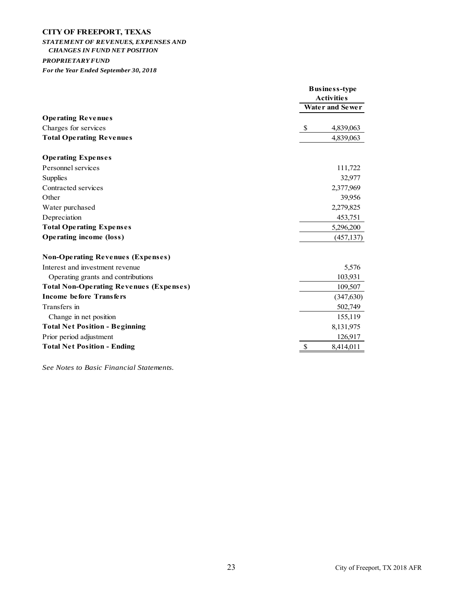#### *STATEMENT OF REVENUES, EXPENSES AND*

 *CHANGES IN FUND NET POSITION*

#### *PROPRIETARY FUND*

*For the Year Ended September 30, 2018*

|                                                | <b>Activities</b> |
|------------------------------------------------|-------------------|
|                                                |                   |
|                                                | Water and Sewer   |
| <b>Operating Revenues</b>                      |                   |
| Charges for services<br>\$                     | 4,839,063         |
| <b>Total Operating Revenues</b>                | 4,839,063         |
| <b>Operating Expenses</b>                      |                   |
| Personnel services                             | 111,722           |
| <b>Supplies</b>                                | 32,977            |
| Contracted services                            | 2,377,969         |
| Other                                          | 39,956            |
| Water purchased                                | 2,279,825         |
| Depreciation                                   | 453,751           |
| <b>Total Operating Expenses</b>                | 5,296,200         |
| <b>Operating income (loss)</b>                 | (457, 137)        |
| <b>Non-Operating Revenues (Expenses)</b>       |                   |
| Interest and investment revenue                | 5,576             |
| Operating grants and contributions             | 103,931           |
| <b>Total Non-Operating Revenues (Expenses)</b> | 109,507           |
| <b>Income before Transfers</b>                 | (347,630)         |
| Transfers in                                   | 502,749           |
| Change in net position                         | 155,119           |
| <b>Total Net Position - Beginning</b>          | 8,131,975         |
| Prior period adjustment                        | 126,917           |
| <b>Total Net Position - Ending</b><br>\$       | 8,414,011         |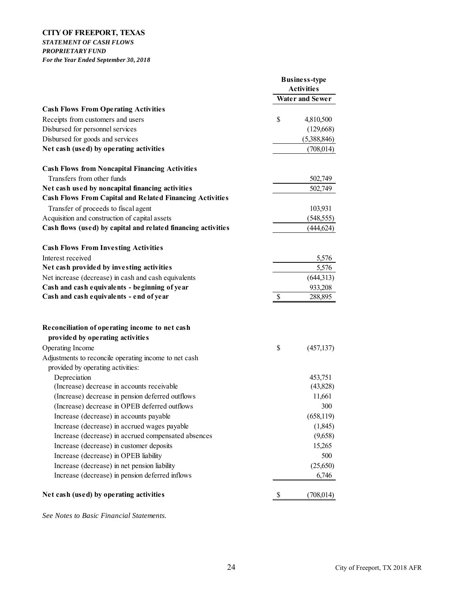*For the Year Ended September 30, 2018*

#### *STATEMENT OF CASH FLOWS*

*PROPRIETARY FUND*

**Business-type Activities Water and Sewer Cash Flows From Operating Activities** Receipts from customers and users 4,810,500 \$ 4,810,500 Disbursed for personnel services (129,668) Disbursed for goods and services (5,388,846) **Net cash (used) by operating activities** (708,014) **Cash Flows from Noncapital Financing Activities** Transfers from other funds 502,749 **Net cash used by noncapital financing activities** 502,749 **Cash Flows From Capital and Related Financing Activities** Transfer of proceeds to fiscal agent 103,931 Acquisition and construction of capital assets (548,555) **Cash flows (used) by capital and related financing activities** (444,624) **Cash Flows From Investing Activities** Interest received 5,576 **Net cash provided by investing activities** 5,576 Net increase (decrease) in cash and cash equivalents (644,313) **Cash and cash equivalents - beginning of year** 933,208 **Cash and cash equivalents - end of year** \$ 288,895 **Reconciliation of operating income to net cash provided by operating activities** Operating Income (457,137) Adjustments to reconcile operating income to net cash provided by operating activities: Depreciation 453.751 (Increase) decrease in accounts receivable (43,828) (Increase) decrease in pension deferred outflows 11,661 (Increase) decrease in OPEB deferred outflows 300 Increase (decrease) in accounts payable (658,119) Increase (decrease) in accrued wages payable (1,845) Increase (decrease) in accrued compensated absences (9,658) Increase (decrease) in customer deposits 15,265 Increase (decrease) in OPEB liability 500 Increase (decrease) in net pension liability (25,650) Increase (decrease) in pension deferred inflows 6,746 Net cash (used) by operating activities  $\qquad$  (708,014)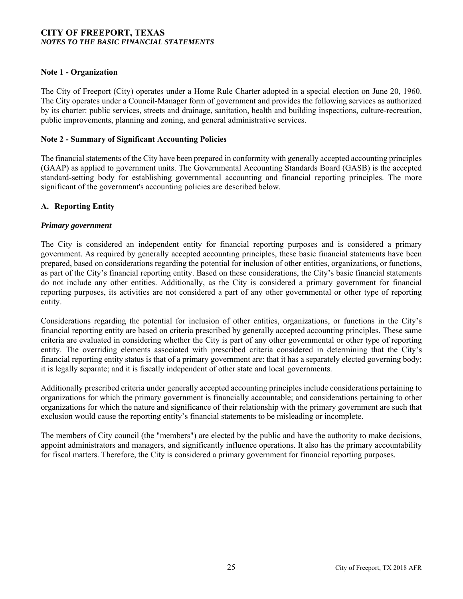#### **Note 1 - Organization**

The City of Freeport (City) operates under a Home Rule Charter adopted in a special election on June 20, 1960. The City operates under a Council-Manager form of government and provides the following services as authorized by its charter: public services, streets and drainage, sanitation, health and building inspections, culture-recreation, public improvements, planning and zoning, and general administrative services.

#### **Note 2 - Summary of Significant Accounting Policies**

The financial statements of the City have been prepared in conformity with generally accepted accounting principles (GAAP) as applied to government units. The Governmental Accounting Standards Board (GASB) is the accepted standard-setting body for establishing governmental accounting and financial reporting principles. The more significant of the government's accounting policies are described below.

#### **A. Reporting Entity**

#### *Primary government*

The City is considered an independent entity for financial reporting purposes and is considered a primary government. As required by generally accepted accounting principles, these basic financial statements have been prepared, based on considerations regarding the potential for inclusion of other entities, organizations, or functions, as part of the City's financial reporting entity. Based on these considerations, the City's basic financial statements do not include any other entities. Additionally, as the City is considered a primary government for financial reporting purposes, its activities are not considered a part of any other governmental or other type of reporting entity.

Considerations regarding the potential for inclusion of other entities, organizations, or functions in the City's financial reporting entity are based on criteria prescribed by generally accepted accounting principles. These same criteria are evaluated in considering whether the City is part of any other governmental or other type of reporting entity. The overriding elements associated with prescribed criteria considered in determining that the City's financial reporting entity status is that of a primary government are: that it has a separately elected governing body; it is legally separate; and it is fiscally independent of other state and local governments.

Additionally prescribed criteria under generally accepted accounting principles include considerations pertaining to organizations for which the primary government is financially accountable; and considerations pertaining to other organizations for which the nature and significance of their relationship with the primary government are such that exclusion would cause the reporting entity's financial statements to be misleading or incomplete.

The members of City council (the "members") are elected by the public and have the authority to make decisions, appoint administrators and managers, and significantly influence operations. It also has the primary accountability for fiscal matters. Therefore, the City is considered a primary government for financial reporting purposes.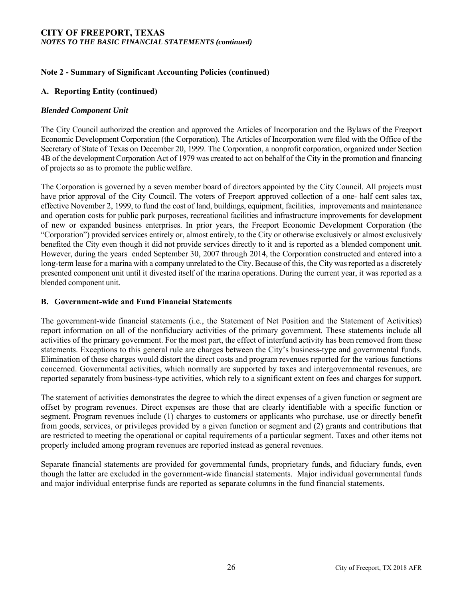#### **Note 2 - Summary of Significant Accounting Policies (continued)**

#### **A. Reporting Entity (continued)**

#### *Blended Component Unit*

The City Council authorized the creation and approved the Articles of Incorporation and the Bylaws of the Freeport Economic Development Corporation (the Corporation). The Articles of Incorporation were filed with the Office of the Secretary of State of Texas on December 20, 1999. The Corporation, a nonprofit corporation, organized under Section 4B of the development Corporation Act of 1979 was created to act on behalf of the City in the promotion and financing of projects so as to promote the public welfare.

The Corporation is governed by a seven member board of directors appointed by the City Council. All projects must have prior approval of the City Council. The voters of Freeport approved collection of a one- half cent sales tax, effective November 2, 1999, to fund the cost of land, buildings, equipment, facilities, improvements and maintenance and operation costs for public park purposes, recreational facilities and infrastructure improvements for development of new or expanded business enterprises. In prior years, the Freeport Economic Development Corporation (the "Corporation") provided services entirely or, almost entirely, to the City or otherwise exclusively or almost exclusively benefited the City even though it did not provide services directly to it and is reported as a blended component unit. However, during the years ended September 30, 2007 through 2014, the Corporation constructed and entered into a long-term lease for a marina with a company unrelated to the City. Because of this, the City was reported as a discretely presented component unit until it divested itself of the marina operations. During the current year, it was reported as a blended component unit.

#### **B. Government-wide and Fund Financial Statements**

The government-wide financial statements (i.e., the Statement of Net Position and the Statement of Activities) report information on all of the nonfiduciary activities of the primary government. These statements include all activities of the primary government. For the most part, the effect of interfund activity has been removed from these statements. Exceptions to this general rule are charges between the City's business-type and governmental funds. Elimination of these charges would distort the direct costs and program revenues reported for the various functions concerned. Governmental activities, which normally are supported by taxes and intergovernmental revenues, are reported separately from business-type activities, which rely to a significant extent on fees and charges for support.

The statement of activities demonstrates the degree to which the direct expenses of a given function or segment are offset by program revenues. Direct expenses are those that are clearly identifiable with a specific function or segment. Program revenues include (1) charges to customers or applicants who purchase, use or directly benefit from goods, services, or privileges provided by a given function or segment and (2) grants and contributions that are restricted to meeting the operational or capital requirements of a particular segment. Taxes and other items not properly included among program revenues are reported instead as general revenues.

Separate financial statements are provided for governmental funds, proprietary funds, and fiduciary funds, even though the latter are excluded in the government-wide financial statements. Major individual governmental funds and major individual enterprise funds are reported as separate columns in the fund financial statements.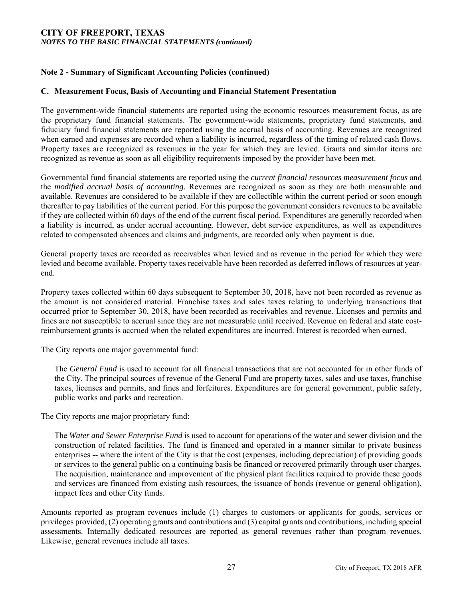*NOTES TO THE BASIC FINANCIAL STATEMENTS (continued)* 

### **Note 2 - Summary of Significant Accounting Policies (continued)**

#### **C. Measurement Focus, Basis of Accounting and Financial Statement Presentation**

The government-wide financial statements are reported using the economic resources measurement focus, as are the proprietary fund financial statements. The government-wide statements, proprietary fund statements, and fiduciary fund financial statements are reported using the accrual basis of accounting. Revenues are recognized when earned and expenses are recorded when a liability is incurred, regardless of the timing of related cash flows. Property taxes are recognized as revenues in the year for which they are levied. Grants and similar items are recognized as revenue as soon as all eligibility requirements imposed by the provider have been met.

Governmental fund financial statements are reported using the *current financial resources measurement focus* and the *modified accrual basis of accounting*. Revenues are recognized as soon as they are both measurable and available. Revenues are considered to be available if they are collectible within the current period or soon enough thereafter to pay liabilities of the current period. For this purpose the government considers revenues to be available if they are collected within 60 days of the end of the current fiscal period. Expenditures are generally recorded when a liability is incurred, as under accrual accounting. However, debt service expenditures, as well as expenditures related to compensated absences and claims and judgments, are recorded only when payment is due.

General property taxes are recorded as receivables when levied and as revenue in the period for which they were levied and become available. Property taxes receivable have been recorded as deferred inflows of resources at yearend.

Property taxes collected within 60 days subsequent to September 30, 2018, have not been recorded as revenue as the amount is not considered material. Franchise taxes and sales taxes relating to underlying transactions that occurred prior to September 30, 2018, have been recorded as receivables and revenue. Licenses and permits and fines are not susceptible to accrual since they are not measurable until received. Revenue on federal and state costreimbursement grants is accrued when the related expenditures are incurred. Interest is recorded when earned.

The City reports one major governmental fund:

The *General Fund* is used to account for all financial transactions that are not accounted for in other funds of the City. The principal sources of revenue of the General Fund are property taxes, sales and use taxes, franchise taxes, licenses and permits, and fines and forfeitures. Expenditures are for general government, public safety, public works and parks and recreation.

The City reports one major proprietary fund:

The *Water and Sewer Enterprise Fund* is used to account for operations of the water and sewer division and the construction of related facilities. The fund is financed and operated in a manner similar to private business enterprises -- where the intent of the City is that the cost (expenses, including depreciation) of providing goods or services to the general public on a continuing basis be financed or recovered primarily through user charges. The acquisition, maintenance and improvement of the physical plant facilities required to provide these goods and services are financed from existing cash resources, the issuance of bonds (revenue or general obligation), impact fees and other City funds.

Amounts reported as program revenues include (1) charges to customers or applicants for goods, services or privileges provided, (2) operating grants and contributions and (3) capital grants and contributions, including special assessments. Internally dedicated resources are reported as general revenues rather than program revenues. Likewise, general revenues include all taxes.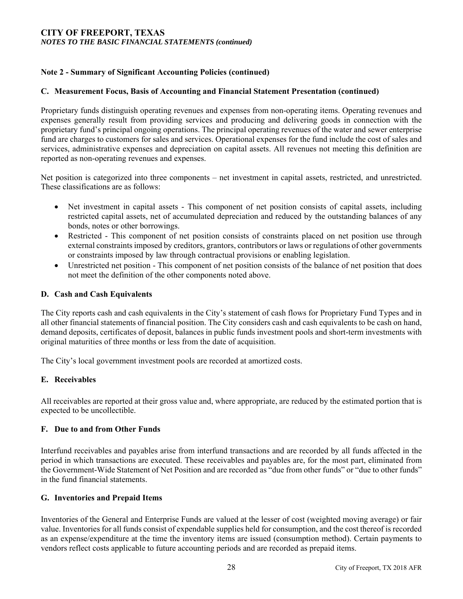### **Note 2 - Summary of Significant Accounting Policies (continued)**

#### **C. Measurement Focus, Basis of Accounting and Financial Statement Presentation (continued)**

Proprietary funds distinguish operating revenues and expenses from non-operating items. Operating revenues and expenses generally result from providing services and producing and delivering goods in connection with the proprietary fund's principal ongoing operations. The principal operating revenues of the water and sewer enterprise fund are charges to customers for sales and services. Operational expenses for the fund include the cost of sales and services, administrative expenses and depreciation on capital assets. All revenues not meeting this definition are reported as non-operating revenues and expenses.

Net position is categorized into three components – net investment in capital assets, restricted, and unrestricted. These classifications are as follows:

- Net investment in capital assets This component of net position consists of capital assets, including restricted capital assets, net of accumulated depreciation and reduced by the outstanding balances of any bonds, notes or other borrowings.
- Restricted This component of net position consists of constraints placed on net position use through external constraints imposed by creditors, grantors, contributors or laws or regulations of other governments or constraints imposed by law through contractual provisions or enabling legislation.
- Unrestricted net position This component of net position consists of the balance of net position that does not meet the definition of the other components noted above.

#### **D. Cash and Cash Equivalents**

The City reports cash and cash equivalents in the City's statement of cash flows for Proprietary Fund Types and in all other financial statements of financial position. The City considers cash and cash equivalents to be cash on hand, demand deposits, certificates of deposit, balances in public funds investment pools and short-term investments with original maturities of three months or less from the date of acquisition.

The City's local government investment pools are recorded at amortized costs.

#### **E. Receivables**

All receivables are reported at their gross value and, where appropriate, are reduced by the estimated portion that is expected to be uncollectible.

#### **F. Due to and from Other Funds**

Interfund receivables and payables arise from interfund transactions and are recorded by all funds affected in the period in which transactions are executed. These receivables and payables are, for the most part, eliminated from the Government-Wide Statement of Net Position and are recorded as "due from other funds" or "due to other funds" in the fund financial statements.

#### **G. Inventories and Prepaid Items**

Inventories of the General and Enterprise Funds are valued at the lesser of cost (weighted moving average) or fair value. Inventories for all funds consist of expendable supplies held for consumption, and the cost thereof is recorded as an expense/expenditure at the time the inventory items are issued (consumption method). Certain payments to vendors reflect costs applicable to future accounting periods and are recorded as prepaid items.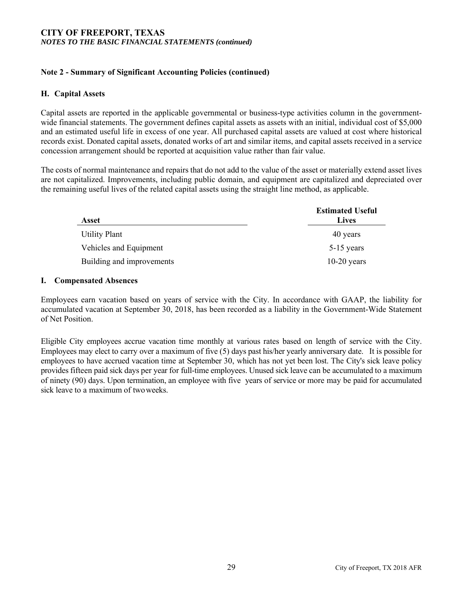#### **Note 2 - Summary of Significant Accounting Policies (continued)**

#### **H. Capital Assets**

Capital assets are reported in the applicable governmental or business-type activities column in the governmentwide financial statements. The government defines capital assets as assets with an initial, individual cost of \$5,000 and an estimated useful life in excess of one year. All purchased capital assets are valued at cost where historical records exist. Donated capital assets, donated works of art and similar items, and capital assets received in a service concession arrangement should be reported at acquisition value rather than fair value.

The costs of normal maintenance and repairs that do not add to the value of the asset or materially extend asset lives are not capitalized. Improvements, including public domain, and equipment are capitalized and depreciated over the remaining useful lives of the related capital assets using the straight line method, as applicable.

| Asset                     | <b>Estimated Useful</b><br><b>Lives</b> |
|---------------------------|-----------------------------------------|
| <b>Utility Plant</b>      | 40 years                                |
| Vehicles and Equipment    | $5-15$ years                            |
| Building and improvements | $10-20$ years                           |

#### **I. Compensated Absences**

Employees earn vacation based on years of service with the City. In accordance with GAAP, the liability for accumulated vacation at September 30, 2018, has been recorded as a liability in the Government-Wide Statement of Net Position.

Eligible City employees accrue vacation time monthly at various rates based on length of service with the City. Employees may elect to carry over a maximum of five (5) days past his/her yearly anniversary date. It is possible for employees to have accrued vacation time at September 30, which has not yet been lost. The City's sick leave policy provides fifteen paid sick days per year for full-time employees. Unused sick leave can be accumulated to a maximum of ninety (90) days. Upon termination, an employee with five years of service or more may be paid for accumulated sick leave to a maximum of two weeks.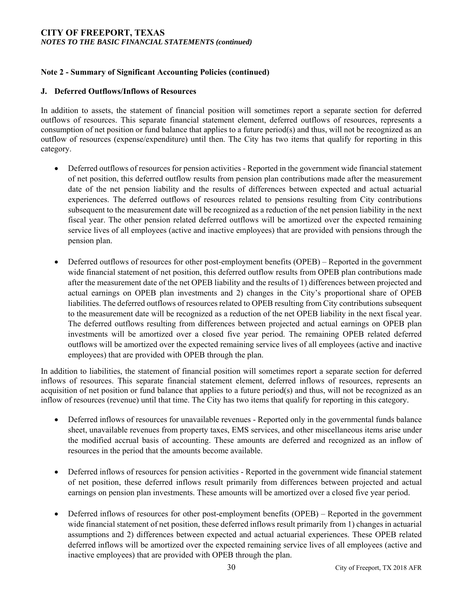#### **Note 2 - Summary of Significant Accounting Policies (continued)**

#### **J. Deferred Outflows/Inflows of Resources**

In addition to assets, the statement of financial position will sometimes report a separate section for deferred outflows of resources. This separate financial statement element, deferred outflows of resources, represents a consumption of net position or fund balance that applies to a future period(s) and thus, will not be recognized as an outflow of resources (expense/expenditure) until then. The City has two items that qualify for reporting in this category.

- Deferred outflows of resources for pension activities Reported in the government wide financial statement of net position, this deferred outflow results from pension plan contributions made after the measurement date of the net pension liability and the results of differences between expected and actual actuarial experiences. The deferred outflows of resources related to pensions resulting from City contributions subsequent to the measurement date will be recognized as a reduction of the net pension liability in the next fiscal year. The other pension related deferred outflows will be amortized over the expected remaining service lives of all employees (active and inactive employees) that are provided with pensions through the pension plan.
- Deferred outflows of resources for other post-employment benefits (OPEB) Reported in the government wide financial statement of net position, this deferred outflow results from OPEB plan contributions made after the measurement date of the net OPEB liability and the results of 1) differences between projected and actual earnings on OPEB plan investments and 2) changes in the City's proportional share of OPEB liabilities. The deferred outflows of resources related to OPEB resulting from City contributions subsequent to the measurement date will be recognized as a reduction of the net OPEB liability in the next fiscal year. The deferred outflows resulting from differences between projected and actual earnings on OPEB plan investments will be amortized over a closed five year period. The remaining OPEB related deferred outflows will be amortized over the expected remaining service lives of all employees (active and inactive employees) that are provided with OPEB through the plan.

In addition to liabilities, the statement of financial position will sometimes report a separate section for deferred inflows of resources. This separate financial statement element, deferred inflows of resources, represents an acquisition of net position or fund balance that applies to a future period(s) and thus, will not be recognized as an inflow of resources (revenue) until that time. The City has two items that qualify for reporting in this category.

- Deferred inflows of resources for unavailable revenues Reported only in the governmental funds balance sheet, unavailable revenues from property taxes, EMS services, and other miscellaneous items arise under the modified accrual basis of accounting. These amounts are deferred and recognized as an inflow of resources in the period that the amounts become available.
- Deferred inflows of resources for pension activities Reported in the government wide financial statement of net position, these deferred inflows result primarily from differences between projected and actual earnings on pension plan investments. These amounts will be amortized over a closed five year period.
- Deferred inflows of resources for other post-employment benefits (OPEB) Reported in the government wide financial statement of net position, these deferred inflows result primarily from 1) changes in actuarial assumptions and 2) differences between expected and actual actuarial experiences. These OPEB related deferred inflows will be amortized over the expected remaining service lives of all employees (active and inactive employees) that are provided with OPEB through the plan.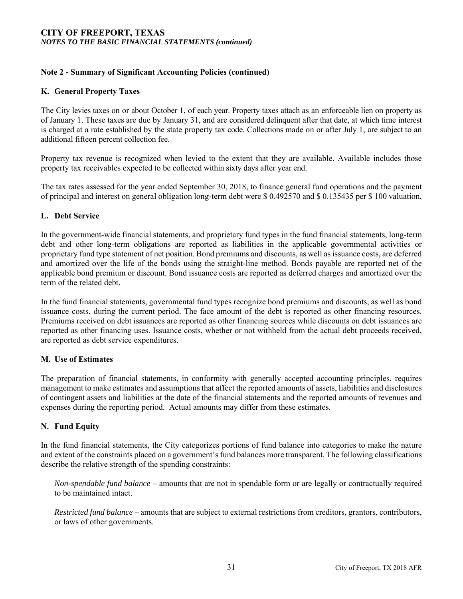#### **Note 2 - Summary of Significant Accounting Policies (continued)**

#### **K. General Property Taxes**

The City levies taxes on or about October 1, of each year. Property taxes attach as an enforceable lien on property as of January 1. These taxes are due by January 31, and are considered delinquent after that date, at which time interest is charged at a rate established by the state property tax code. Collections made on or after July 1, are subject to an additional fifteen percent collection fee.

Property tax revenue is recognized when levied to the extent that they are available. Available includes those property tax receivables expected to be collected within sixty days after year end.

The tax rates assessed for the year ended September 30, 2018, to finance general fund operations and the payment of principal and interest on general obligation long-term debt were \$ 0.492570 and \$ 0.135435 per \$ 100 valuation,

#### **L. Debt Service**

In the government-wide financial statements, and proprietary fund types in the fund financial statements, long-term debt and other long-term obligations are reported as liabilities in the applicable governmental activities or proprietary fund type statement of net position. Bond premiums and discounts, as well as issuance costs, are deferred and amortized over the life of the bonds using the straight-line method. Bonds payable are reported net of the applicable bond premium or discount. Bond issuance costs are reported as deferred charges and amortized over the term of the related debt.

In the fund financial statements, governmental fund types recognize bond premiums and discounts, as well as bond issuance costs, during the current period. The face amount of the debt is reported as other financing resources. Premiums received on debt issuances are reported as other financing sources while discounts on debt issuances are reported as other financing uses. Issuance costs, whether or not withheld from the actual debt proceeds received, are reported as debt service expenditures.

#### **M. Use of Estimates**

The preparation of financial statements, in conformity with generally accepted accounting principles, requires management to make estimates and assumptions that affect the reported amounts of assets, liabilities and disclosures of contingent assets and liabilities at the date of the financial statements and the reported amounts of revenues and expenses during the reporting period. Actual amounts may differ from these estimates.

## **N. Fund Equity**

In the fund financial statements, the City categorizes portions of fund balance into categories to make the nature and extent of the constraints placed on a government's fund balances more transparent. The following classifications describe the relative strength of the spending constraints:

*Non-spendable fund balance* – amounts that are not in spendable form or are legally or contractually required to be maintained intact.

*Restricted fund balance* – amounts that are subject to external restrictions from creditors, grantors, contributors, or laws of other governments.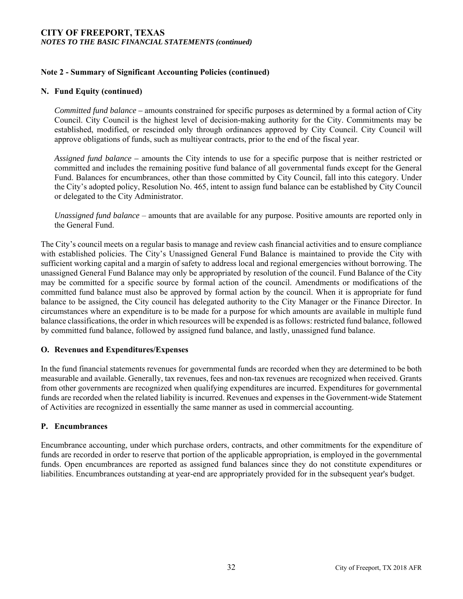#### **Note 2 - Summary of Significant Accounting Policies (continued)**

#### **N. Fund Equity (continued)**

*Committed fund balance –* amounts constrained for specific purposes as determined by a formal action of City Council. City Council is the highest level of decision-making authority for the City. Commitments may be established, modified, or rescinded only through ordinances approved by City Council. City Council will approve obligations of funds, such as multiyear contracts, prior to the end of the fiscal year.

*Assigned fund balance –* amounts the City intends to use for a specific purpose that is neither restricted or committed and includes the remaining positive fund balance of all governmental funds except for the General Fund. Balances for encumbrances, other than those committed by City Council, fall into this category. Under the City's adopted policy, Resolution No. 465, intent to assign fund balance can be established by City Council or delegated to the City Administrator.

*Unassigned fund balance* – amounts that are available for any purpose. Positive amounts are reported only in the General Fund.

The City's council meets on a regular basis to manage and review cash financial activities and to ensure compliance with established policies. The City's Unassigned General Fund Balance is maintained to provide the City with sufficient working capital and a margin of safety to address local and regional emergencies without borrowing. The unassigned General Fund Balance may only be appropriated by resolution of the council. Fund Balance of the City may be committed for a specific source by formal action of the council. Amendments or modifications of the committed fund balance must also be approved by formal action by the council. When it is appropriate for fund balance to be assigned, the City council has delegated authority to the City Manager or the Finance Director. In circumstances where an expenditure is to be made for a purpose for which amounts are available in multiple fund balance classifications, the order in which resources will be expended is as follows: restricted fund balance, followed by committed fund balance, followed by assigned fund balance, and lastly, unassigned fund balance.

#### **O. Revenues and Expenditures/Expenses**

In the fund financial statements revenues for governmental funds are recorded when they are determined to be both measurable and available. Generally, tax revenues, fees and non-tax revenues are recognized when received. Grants from other governments are recognized when qualifying expenditures are incurred. Expenditures for governmental funds are recorded when the related liability is incurred. Revenues and expenses in the Government-wide Statement of Activities are recognized in essentially the same manner as used in commercial accounting.

#### **P. Encumbrances**

Encumbrance accounting, under which purchase orders, contracts, and other commitments for the expenditure of funds are recorded in order to reserve that portion of the applicable appropriation, is employed in the governmental funds. Open encumbrances are reported as assigned fund balances since they do not constitute expenditures or liabilities. Encumbrances outstanding at year-end are appropriately provided for in the subsequent year's budget.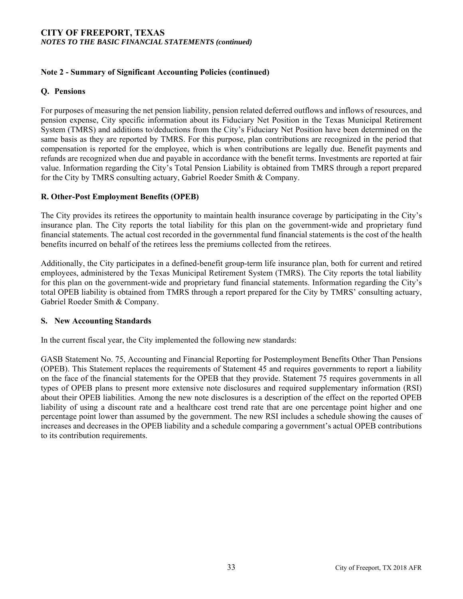### **Note 2 - Summary of Significant Accounting Policies (continued)**

#### **Q. Pensions**

For purposes of measuring the net pension liability, pension related deferred outflows and inflows of resources, and pension expense, City specific information about its Fiduciary Net Position in the Texas Municipal Retirement System (TMRS) and additions to/deductions from the City's Fiduciary Net Position have been determined on the same basis as they are reported by TMRS. For this purpose, plan contributions are recognized in the period that compensation is reported for the employee, which is when contributions are legally due. Benefit payments and refunds are recognized when due and payable in accordance with the benefit terms. Investments are reported at fair value. Information regarding the City's Total Pension Liability is obtained from TMRS through a report prepared for the City by TMRS consulting actuary, Gabriel Roeder Smith & Company.

#### **R. Other-Post Employment Benefits (OPEB)**

The City provides its retirees the opportunity to maintain health insurance coverage by participating in the City's insurance plan. The City reports the total liability for this plan on the government-wide and proprietary fund financial statements. The actual cost recorded in the governmental fund financial statements is the cost of the health benefits incurred on behalf of the retirees less the premiums collected from the retirees.

Additionally, the City participates in a defined-benefit group-term life insurance plan, both for current and retired employees, administered by the Texas Municipal Retirement System (TMRS). The City reports the total liability for this plan on the government-wide and proprietary fund financial statements. Information regarding the City's total OPEB liability is obtained from TMRS through a report prepared for the City by TMRS' consulting actuary, Gabriel Roeder Smith & Company.

#### **S. New Accounting Standards**

In the current fiscal year, the City implemented the following new standards:

GASB Statement No. 75, Accounting and Financial Reporting for Postemployment Benefits Other Than Pensions (OPEB). This Statement replaces the requirements of Statement 45 and requires governments to report a liability on the face of the financial statements for the OPEB that they provide. Statement 75 requires governments in all types of OPEB plans to present more extensive note disclosures and required supplementary information (RSI) about their OPEB liabilities. Among the new note disclosures is a description of the effect on the reported OPEB liability of using a discount rate and a healthcare cost trend rate that are one percentage point higher and one percentage point lower than assumed by the government. The new RSI includes a schedule showing the causes of increases and decreases in the OPEB liability and a schedule comparing a government's actual OPEB contributions to its contribution requirements.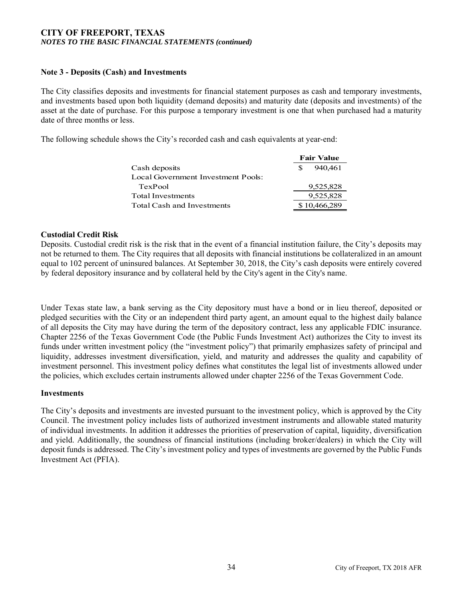#### **Note 3 - Deposits (Cash) and Investments**

The City classifies deposits and investments for financial statement purposes as cash and temporary investments, and investments based upon both liquidity (demand deposits) and maturity date (deposits and investments) of the asset at the date of purchase. For this purpose a temporary investment is one that when purchased had a maturity date of three months or less.

The following schedule shows the City's recorded cash and cash equivalents at year-end:

|                                    | <b>Fair Value</b> |              |  |  |  |
|------------------------------------|-------------------|--------------|--|--|--|
| Cash deposits                      | £.                | 940.461      |  |  |  |
| Local Government Investment Pools: |                   |              |  |  |  |
| TexPool                            |                   | 9,525,828    |  |  |  |
| Total Investments                  |                   | 9,525,828    |  |  |  |
| Total Cash and Investments         |                   | \$10,466,289 |  |  |  |

#### **Custodial Credit Risk**

Deposits. Custodial credit risk is the risk that in the event of a financial institution failure, the City's deposits may not be returned to them. The City requires that all deposits with financial institutions be collateralized in an amount equal to 102 percent of uninsured balances. At September 30, 2018, the City's cash deposits were entirely covered by federal depository insurance and by collateral held by the City's agent in the City's name.

Under Texas state law, a bank serving as the City depository must have a bond or in lieu thereof, deposited or pledged securities with the City or an independent third party agent, an amount equal to the highest daily balance of all deposits the City may have during the term of the depository contract, less any applicable FDIC insurance. Chapter 2256 of the Texas Government Code (the Public Funds Investment Act) authorizes the City to invest its funds under written investment policy (the "investment policy") that primarily emphasizes safety of principal and liquidity, addresses investment diversification, yield, and maturity and addresses the quality and capability of investment personnel. This investment policy defines what constitutes the legal list of investments allowed under the policies, which excludes certain instruments allowed under chapter 2256 of the Texas Government Code.

#### **Investments**

The City's deposits and investments are invested pursuant to the investment policy, which is approved by the City Council. The investment policy includes lists of authorized investment instruments and allowable stated maturity of individual investments. In addition it addresses the priorities of preservation of capital, liquidity, diversification and yield. Additionally, the soundness of financial institutions (including broker/dealers) in which the City will deposit funds is addressed. The City's investment policy and types of investments are governed by the Public Funds Investment Act (PFIA).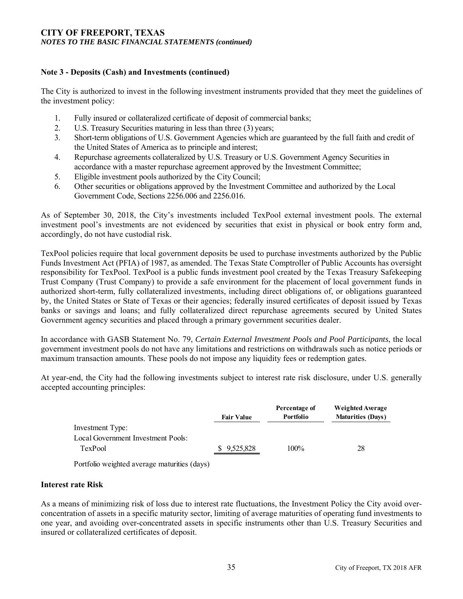#### **Note 3 - Deposits (Cash) and Investments (continued)**

The City is authorized to invest in the following investment instruments provided that they meet the guidelines of the investment policy:

- 1. Fully insured or collateralized certificate of deposit of commercial banks;
- 2. U.S. Treasury Securities maturing in less than three (3) years;
- 3. Short-term obligations of U.S. Government Agencies which are guaranteed by the full faith and credit of the United States of America as to principle and interest;
- 4. Repurchase agreements collateralized by U.S. Treasury or U.S. Government Agency Securities in accordance with a master repurchase agreement approved by the Investment Committee;
- 5. Eligible investment pools authorized by the City Council;
- 6. Other securities or obligations approved by the Investment Committee and authorized by the Local Government Code, Sections 2256.006 and 2256.016.

As of September 30, 2018, the City's investments included TexPool external investment pools. The external investment pool's investments are not evidenced by securities that exist in physical or book entry form and, accordingly, do not have custodial risk.

TexPool policies require that local government deposits be used to purchase investments authorized by the Public Funds Investment Act (PFIA) of 1987, as amended. The Texas State Comptroller of Public Accounts has oversight responsibility for TexPool. TexPool is a public funds investment pool created by the Texas Treasury Safekeeping Trust Company (Trust Company) to provide a safe environment for the placement of local government funds in authorized short-term, fully collateralized investments, including direct obligations of, or obligations guaranteed by, the United States or State of Texas or their agencies; federally insured certificates of deposit issued by Texas banks or savings and loans; and fully collateralized direct repurchase agreements secured by United States Government agency securities and placed through a primary government securities dealer.

In accordance with GASB Statement No. 79, *Certain External Investment Pools and Pool Participants*, the local government investment pools do not have any limitations and restrictions on withdrawals such as notice periods or maximum transaction amounts. These pools do not impose any liquidity fees or redemption gates.

At year-end, the City had the following investments subject to interest rate risk disclosure, under U.S. generally accepted accounting principles:

|                                    | <b>Fair Value</b> | Percentage of<br>Portfolio | Weighted Average<br><b>Maturities (Days)</b> |
|------------------------------------|-------------------|----------------------------|----------------------------------------------|
| Investment Type:                   |                   |                            |                                              |
| Local Government Investment Pools: |                   |                            |                                              |
| <b>TexPool</b>                     | \$9,525,828       | $100\%$                    | 28                                           |

Portfolio weighted average maturities (days)

#### **Interest rate Risk**

As a means of minimizing risk of loss due to interest rate fluctuations, the Investment Policy the City avoid overconcentration of assets in a specific maturity sector, limiting of average maturities of operating fund investments to one year, and avoiding over-concentrated assets in specific instruments other than U.S. Treasury Securities and insured or collateralized certificates of deposit.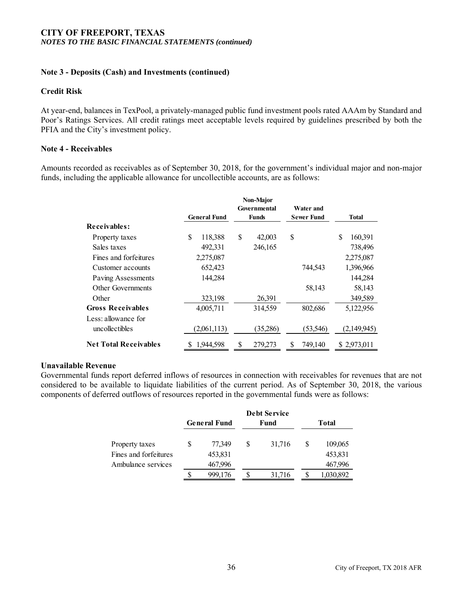#### **Note 3 - Deposits (Cash) and Investments (continued)**

#### **Credit Risk**

At year-end, balances in TexPool, a privately-managed public fund investment pools rated AAAm by Standard and Poor's Ratings Services. All credit ratings meet acceptable levels required by guidelines prescribed by both the PFIA and the City's investment policy.

#### **Note 4 - Receivables**

Amounts recorded as receivables as of September 30, 2018, for the government's individual major and non-major funds, including the applicable allowance for uncollectible accounts, are as follows:

|                              | <b>General Fund</b> | Non-Major<br>Governmental<br><b>Funds</b> |    | Water and<br><b>Sewer Fund</b> | <b>Total</b>  |
|------------------------------|---------------------|-------------------------------------------|----|--------------------------------|---------------|
| Receivables:                 |                     |                                           |    |                                |               |
| Property taxes               | \$<br>118,388       | \$<br>42,003                              | \$ |                                | \$<br>160,391 |
| Sales taxes                  | 492,331             | 246,165                                   |    |                                | 738,496       |
| Fines and forfeitures        | 2,275,087           |                                           |    |                                | 2,275,087     |
| Customer accounts            | 652,423             |                                           |    | 744,543                        | 1,396,966     |
| Paving Assessments           | 144,284             |                                           |    |                                | 144,284       |
| <b>Other Governments</b>     |                     |                                           |    | 58.143                         | 58,143        |
| Other                        | 323,198             | 26,391                                    |    |                                | 349,589       |
| <b>Gross Receivables</b>     | 4,005,711           | 314,559                                   |    | 802,686                        | 5,122,956     |
| Less: allowance for          |                     |                                           |    |                                |               |
| uncollectibles               | (2,061,113)         | (35,286)                                  |    | (53, 546)                      | (2,149,945)   |
| <b>Net Total Receivables</b> | 1.944.598           | \$<br>279,273                             | S  | 749,140                        | \$2.973,011   |

#### **Unavailable Revenue**

Governmental funds report deferred inflows of resources in connection with receivables for revenues that are not considered to be available to liquidate liabilities of the current period. As of September 30, 2018, the various components of deferred outflows of resources reported in the governmental funds were as follows:

|                       |                             |  | <b>Debt Service</b> |  |           |
|-----------------------|-----------------------------|--|---------------------|--|-----------|
|                       | <b>General Fund</b><br>Fund |  | Total               |  |           |
| Property taxes        | 77,349                      |  | 31,716              |  | 109,065   |
| Fines and forfeitures | 453,831                     |  |                     |  | 453,831   |
| Ambulance services    | 467,996                     |  |                     |  | 467,996   |
|                       | 999,176                     |  | 31,716              |  | 1,030,892 |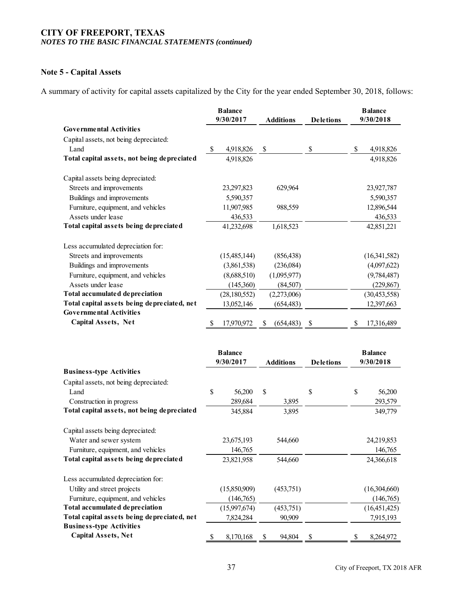# **Note 5 - Capital Assets**

A summary of activity for capital assets capitalized by the City for the year ended September 30, 2018, follows:

|                                                                                | <b>Balance</b><br>9/30/2017 | <b>Additions</b> | <b>Deletions</b> | <b>Balance</b><br>9/30/2018 |
|--------------------------------------------------------------------------------|-----------------------------|------------------|------------------|-----------------------------|
| <b>Governmental Activities</b>                                                 |                             |                  |                  |                             |
| Capital assets, not being depreciated:                                         |                             |                  |                  |                             |
| Land                                                                           | \$<br>4,918,826             | \$               | \$               | \$<br>4,918,826             |
| Total capital assets, not being depreciated                                    | 4,918,826                   |                  |                  | 4,918,826                   |
| Capital assets being depreciated:                                              |                             |                  |                  |                             |
| Streets and improvements                                                       | 23,297,823                  | 629,964          |                  | 23,927,787                  |
| Buildings and improvements                                                     | 5,590,357                   |                  |                  | 5,590,357                   |
| Furniture, equipment, and vehicles                                             | 11,907,985                  | 988,559          |                  | 12,896,544                  |
| Assets under lease                                                             | 436,533                     |                  |                  | 436,533                     |
| Total capital assets being depreciated                                         | 41,232,698                  | 1,618,523        |                  | 42,851,221                  |
| Less accumulated depreciation for:                                             |                             |                  |                  |                             |
| Streets and improvements                                                       | (15, 485, 144)              | (856, 438)       |                  | (16,341,582)                |
| Buildings and improvements                                                     | (3,861,538)                 | (236,084)        |                  | (4,097,622)                 |
| Furniture, equipment, and vehicles                                             | (8,688,510)                 | (1,095,977)      |                  | (9,784,487)                 |
| Assets under lease                                                             | (145,360)                   | (84,507)         |                  | (229, 867)                  |
| Total accumulated depreciation                                                 | (28, 180, 552)              | (2,273,006)      |                  | (30, 453, 558)              |
| Total capital assets being depreciated, net                                    | 13,052,146                  | (654, 483)       |                  | 12,397,663                  |
| <b>Governmental Activities</b>                                                 |                             |                  |                  |                             |
| <b>Capital Assets, Net</b>                                                     | \$<br>17,970,972            | \$<br>(654, 483) | \$               | \$<br>17,316,489            |
|                                                                                | <b>Balance</b>              |                  |                  | <b>Balance</b>              |
|                                                                                | 9/30/2017                   | <b>Additions</b> | <b>Deletions</b> | 9/30/2018                   |
| <b>Business-type Activities</b>                                                |                             |                  |                  |                             |
| Capital assets, not being depreciated:                                         |                             |                  |                  |                             |
| Land                                                                           | \$<br>56,200                | \$               | \$               | \$<br>56,200                |
| Construction in progress                                                       | 289,684                     | 3,895            |                  | 293,579                     |
| Total capital assets, not being depreciated                                    | 345,884                     | 3,895            |                  | 349,779                     |
|                                                                                |                             |                  |                  |                             |
| Capital assets being depreciated:                                              | 23,675,193                  | 544,660          |                  | 24,219,853                  |
| Water and sewer system<br>Furniture, equipment, and vehicles                   | 146,765                     |                  |                  |                             |
| Total capital assets being depreciated                                         | 23,821,958                  | 544,660          |                  | 146,765<br>24,366,618       |
|                                                                                |                             |                  |                  |                             |
| Less accumulated depreciation for:                                             |                             |                  |                  |                             |
| Utility and street projects                                                    |                             |                  |                  |                             |
|                                                                                | (15,850,909)                | (453,751)        |                  | (16,304,660)                |
| Furniture, equipment, and vehicles                                             | (146,765)                   |                  |                  | (146,765)                   |
| Total accumulated depreciation                                                 | (15,997,674)                | (453,751)        |                  | (16,451,425)                |
| Total capital assets being depreciated, net<br><b>Business-type Activities</b> | 7,824,284                   | 90,909           |                  | 7,915,193                   |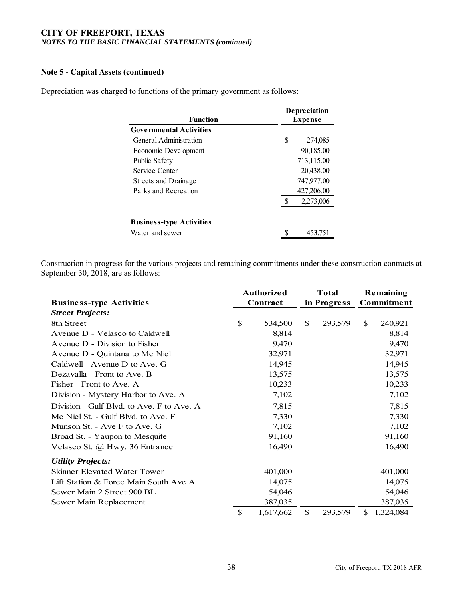# **Note 5 - Capital Assets (continued)**

Depreciation was charged to functions of the primary government as follows:

| <b>Function</b>                 |    | Depreciation<br>Expense |  |  |  |
|---------------------------------|----|-------------------------|--|--|--|
| <b>Governmental Activities</b>  |    |                         |  |  |  |
| General Administration          | \$ | 274,085                 |  |  |  |
| Economic Development            |    | 90,185.00               |  |  |  |
| Public Safety                   |    | 713,115.00              |  |  |  |
| Service Center                  |    | 20,438.00               |  |  |  |
| <b>Streets and Drainage</b>     |    | 747,977.00              |  |  |  |
| Parks and Recreation            |    | 427,206.00              |  |  |  |
|                                 |    | 2,273,006               |  |  |  |
| <b>Business-type Activities</b> |    |                         |  |  |  |
| Water and sewer                 |    | 453.751                 |  |  |  |

Construction in progress for the various projects and remaining commitments under these construction contracts at September 30, 2018, are as follows:

|                                           | Authorized    |           | <b>Total</b> |             | <b>Remaining</b> |           |  |
|-------------------------------------------|---------------|-----------|--------------|-------------|------------------|-----------|--|
| <b>Business-type Activities</b>           | Contract      |           |              | in Progress | Commitment       |           |  |
| <b>Street Projects:</b>                   |               |           |              |             |                  |           |  |
| 8th Street                                | \$            | 534,500   | $\mathbb{S}$ | 293,579     | \$               | 240,921   |  |
| Avenue D - Velasco to Caldwell            |               | 8,814     |              |             |                  | 8,814     |  |
| Avenue D - Division to Fisher             |               | 9,470     |              |             |                  | 9,470     |  |
| Avenue D - Quintana to Mc Niel            |               | 32,971    |              |             |                  | 32,971    |  |
| Caldwell - Avenue D to Ave. G             |               | 14,945    |              |             |                  | 14,945    |  |
| Dezavalla - Front to Ave. B               |               | 13,575    |              |             |                  | 13,575    |  |
| Fisher - Front to Ave. A                  |               | 10,233    |              |             |                  | 10,233    |  |
| Division - Mystery Harbor to Ave. A       |               | 7,102     |              |             |                  | 7,102     |  |
| Division - Gulf Blvd. to Ave. F to Ave. A |               | 7,815     |              |             |                  | 7,815     |  |
| Mc Niel St. - Gulf Blvd. to Ave. F        |               | 7,330     |              |             |                  | 7,330     |  |
| Munson St. - Ave F to Ave. G              |               | 7,102     |              |             |                  | 7,102     |  |
| Broad St. - Yaupon to Mesquite            |               | 91,160    |              |             |                  | 91,160    |  |
| Velasco St. @ Hwy. 36 Entrance            |               | 16,490    |              |             |                  | 16,490    |  |
| <b>Utility Projects:</b>                  |               |           |              |             |                  |           |  |
| Skinner Elevated Water Tower              |               | 401,000   |              |             |                  | 401,000   |  |
| Lift Station & Force Main South Ave A     |               | 14,075    |              |             |                  | 14,075    |  |
| Sewer Main 2 Street 900 BL                |               | 54,046    |              |             |                  | 54,046    |  |
| Sewer Main Replacement                    |               | 387,035   |              |             |                  | 387,035   |  |
|                                           | $\mathcal{S}$ | 1,617,662 | \$           | 293,579     | \$               | 1,324,084 |  |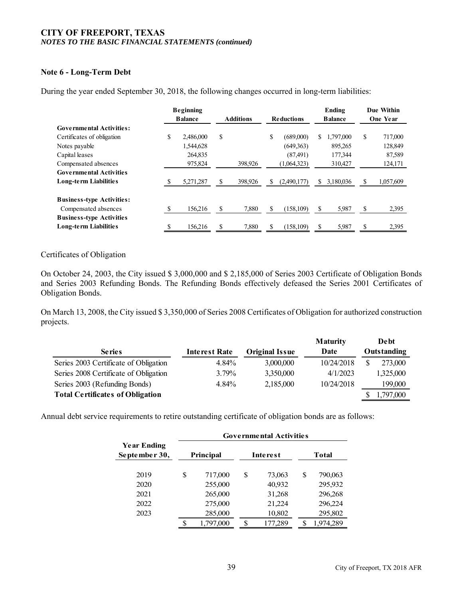#### **Note 6 - Long-Term Debt**

|                                  |   | <b>Beginning</b><br><b>Balance</b> |    | <b>Additions</b> |    | <b>Reductions</b> |               | Ending<br><b>Balance</b> |    | Due Within<br><b>One Year</b> |
|----------------------------------|---|------------------------------------|----|------------------|----|-------------------|---------------|--------------------------|----|-------------------------------|
| <b>Governmental Activities:</b>  |   |                                    |    |                  |    |                   |               |                          |    |                               |
| Certificates of obligation       | S | 2,486,000                          | \$ |                  | \$ | (689,000)         | \$            | 1.797.000                | \$ | 717,000                       |
| Notes payable                    |   | 1,544,628                          |    |                  |    | (649,363)         |               | 895.265                  |    | 128,849                       |
| Capital leases                   |   | 264,835                            |    |                  |    | (87, 491)         |               | 177,344                  |    | 87,589                        |
| Compensated absences             |   | 975,824                            |    | 398,926          |    | (1,064,323)       |               | 310,427                  |    | 124,171                       |
| <b>Governmental Activities</b>   |   |                                    |    |                  |    |                   |               |                          |    |                               |
| Long-term Liabilities            |   | 5,271,287                          |    | 398,926          | S  | (2,490,177)       | \$            | 3,180,036                |    | 1,057,609                     |
| <b>Business-type Activities:</b> |   |                                    |    |                  |    |                   |               |                          |    |                               |
| Compensated absences             |   | 156,216                            | S  | 7,880            | S  | (158, 109)        | <sup>\$</sup> | 5,987                    | \$ | 2,395                         |
| <b>Business-type Activities</b>  |   |                                    |    |                  |    |                   |               |                          |    |                               |
| Long-term Liabilities            |   | 156,216                            |    | 7,880            | S  | (158, 109)        | S             | 5,987                    | S  | 2,395                         |

During the year ended September 30, 2018, the following changes occurred in long-term liabilities:

Certificates of Obligation

On October 24, 2003, the City issued \$ 3,000,000 and \$ 2,185,000 of Series 2003 Certificate of Obligation Bonds and Series 2003 Refunding Bonds. The Refunding Bonds effectively defeased the Series 2001 Certificates of Obligation Bonds.

On March 13, 2008, the City issued \$ 3,350,000 of Series 2008 Certificates of Obligation for authorized construction projects.

|                                         |                      |                       | <b>Maturity</b> | <b>Debt</b> |
|-----------------------------------------|----------------------|-----------------------|-----------------|-------------|
| <b>Series</b>                           | <b>Interest Rate</b> | <b>Original Issue</b> | Date            | Outstanding |
| Series 2003 Certificate of Obligation   | 4.84%                | 3,000,000             | 10/24/2018      | 273,000     |
| Series 2008 Certificate of Obligation   | 3.79%                | 3,350,000             | 4/1/2023        | 1,325,000   |
| Series 2003 (Refunding Bonds)           | $4.84\%$             | 2,185,000             | 10/24/2018      | 199,000     |
| <b>Total Certificates of Obligation</b> |                      |                       |                 | 1,797,000   |

Annual debt service requirements to retire outstanding certificate of obligation bonds are as follows:

|                                     | <b>Governmental Activities</b> |                  |    |                 |    |           |  |  |  |
|-------------------------------------|--------------------------------|------------------|----|-----------------|----|-----------|--|--|--|
| <b>Year Ending</b><br>September 30, |                                | <b>Principal</b> |    | <b>Interest</b> |    | Total     |  |  |  |
|                                     |                                |                  |    |                 |    |           |  |  |  |
| 2019                                | \$                             | 717,000          | \$ | 73,063          | \$ | 790,063   |  |  |  |
| 2020                                |                                | 255,000          |    | 40,932          |    | 295,932   |  |  |  |
| 2021                                |                                | 265,000          |    | 31,268          |    | 296,268   |  |  |  |
| 2022                                |                                | 275,000          |    | 21,224          |    | 296,224   |  |  |  |
| 2023                                |                                | 285,000          |    | 10,802          |    | 295,802   |  |  |  |
|                                     | \$                             | 1,797,000        | \$ | 177,289         |    | 1.974.289 |  |  |  |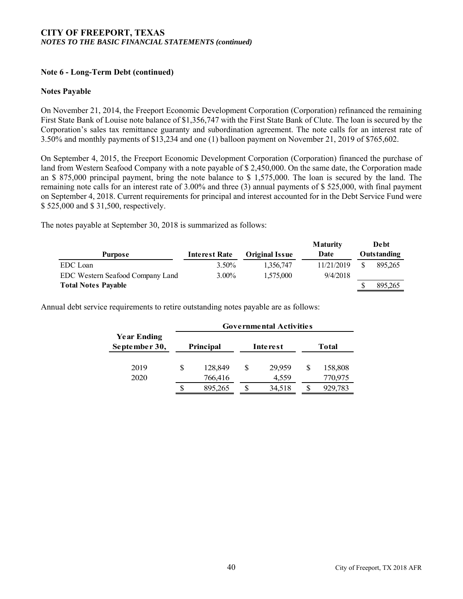#### **Note 6 - Long-Term Debt (continued)**

#### **Notes Payable**

On November 21, 2014, the Freeport Economic Development Corporation (Corporation) refinanced the remaining First State Bank of Louise note balance of \$1,356,747 with the First State Bank of Clute. The loan is secured by the Corporation's sales tax remittance guaranty and subordination agreement. The note calls for an interest rate of 3.50% and monthly payments of \$13,234 and one (1) balloon payment on November 21, 2019 of \$765,602.

On September 4, 2015, the Freeport Economic Development Corporation (Corporation) financed the purchase of land from Western Seafood Company with a note payable of \$ 2,450,000. On the same date, the Corporation made an \$ 875,000 principal payment, bring the note balance to \$ 1,575,000. The loan is secured by the land. The remaining note calls for an interest rate of 3.00% and three (3) annual payments of \$ 525,000, with final payment on September 4, 2018. Current requirements for principal and interest accounted for in the Debt Service Fund were \$ 525,000 and \$ 31,500, respectively.

The notes payable at September 30, 2018 is summarized as follows:

|                                  |                      |                       | <b>Maturity</b> | <b>Debt</b>        |
|----------------------------------|----------------------|-----------------------|-----------------|--------------------|
| <b>Purpose</b>                   | <b>Interest Rate</b> | <b>Original Issue</b> | Date            | <b>Outstanding</b> |
| EDC Loan                         | $3.50\%$             | 1.356.747             | 11/21/2019      | 895,265            |
| EDC Western Seafood Company Land | $3.00\%$             | 1,575,000             | 9/4/2018        |                    |
| <b>Total Notes Payable</b>       |                      |                       |                 | 895,265            |

Annual debt service requirements to retire outstanding notes payable are as follows:

|                                     |   |           |   | <b>Governmental Activities</b> |   |         |
|-------------------------------------|---|-----------|---|--------------------------------|---|---------|
| <b>Year Ending</b><br>September 30, |   | Principal |   | Interest                       |   | Total   |
| 2019                                | S | 128,849   | S | 29,959                         | S | 158,808 |
| 2020                                |   | 766,416   |   | 4,559                          |   | 770,975 |
|                                     |   | 895,265   |   | 34,518                         |   | 929,783 |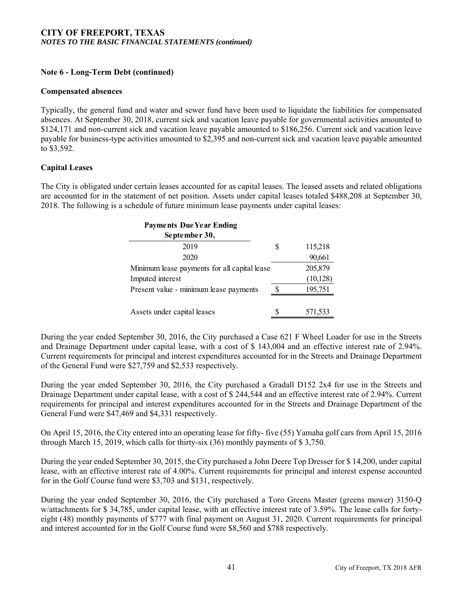#### **Note 6 - Long-Term Debt (continued)**

#### **Compensated absences**

Typically, the general fund and water and sewer fund have been used to liquidate the liabilities for compensated absences. At September 30, 2018, current sick and vacation leave payable for governmental activities amounted to \$124,171 and non-current sick and vacation leave payable amounted to \$186,256. Current sick and vacation leave payable for business-type activities amounted to \$2,395 and non-current sick and vacation leave payable amounted to \$3,592.

#### **Capital Leases**

The City is obligated under certain leases accounted for as capital leases. The leased assets and related obligations are accounted for in the statement of net position. Assets under capital leases totaled \$488,208 at September 30, 2018. The following is a schedule of future minimum lease payments under capital leases:

| <b>Payments Due Year Ending</b>               |   |           |
|-----------------------------------------------|---|-----------|
| September 30,                                 |   |           |
| 2019                                          | S | 115,218   |
| 2020                                          |   | 90,661    |
| Minimum lease payments for all capital lease. |   | 205,879   |
| Imputed interest                              |   | (10, 128) |
| Present value - minimum lease payments        |   | 195,751   |
|                                               |   |           |
| Assets under capital leases                   |   | 571,533   |

During the year ended September 30, 2016, the City purchased a Case 621 F Wheel Loader for use in the Streets and Drainage Department under capital lease, with a cost of \$ 143,004 and an effective interest rate of 2.94%. Current requirements for principal and interest expenditures accounted for in the Streets and Drainage Department of the General Fund were \$27,759 and \$2,533 respectively.

During the year ended September 30, 2016, the City purchased a Gradall D152 2x4 for use in the Streets and Drainage Department under capital lease, with a cost of \$ 244,544 and an effective interest rate of 2.94%. Current requirements for principal and interest expenditures accounted for in the Streets and Drainage Department of the General Fund were \$47,469 and \$4,331 respectively.

On April 15, 2016, the City entered into an operating lease for fifty- five (55) Yamaha golf cars from April 15, 2016 through March 15, 2019, which calls for thirty-six (36) monthly payments of \$ 3,750.

During the year ended September 30, 2015, the City purchased a John Deere Top Dresser for \$ 14,200, under capital lease, with an effective interest rate of 4.00%. Current requirements for principal and interest expense accounted for in the Golf Course fund were \$3,703 and \$131, respectively.

During the year ended September 30, 2016, the City purchased a Toro Greens Master (greens mower) 3150-Q w/attachments for \$ 34,785, under capital lease, with an effective interest rate of 3.59%. The lease calls for fortyeight (48) monthly payments of \$777 with final payment on August 31, 2020. Current requirements for principal and interest accounted for in the Golf Course fund were \$8,560 and \$788 respectively.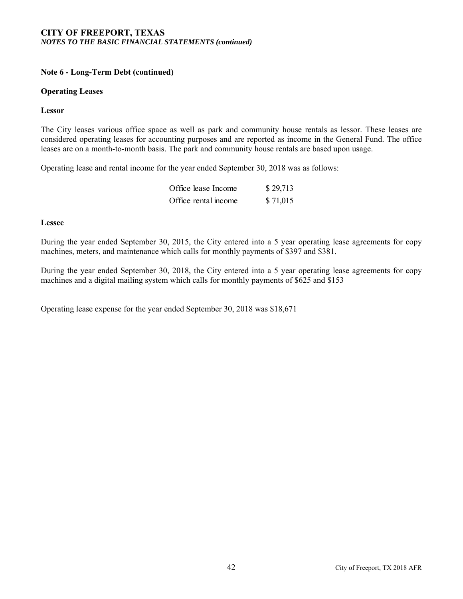#### **Note 6 - Long-Term Debt (continued)**

#### **Operating Leases**

#### **Lessor**

The City leases various office space as well as park and community house rentals as lessor. These leases are considered operating leases for accounting purposes and are reported as income in the General Fund. The office leases are on a month-to-month basis. The park and community house rentals are based upon usage.

Operating lease and rental income for the year ended September 30, 2018 was as follows:

| Office lease Income  | \$29,713 |
|----------------------|----------|
| Office rental income | \$71,015 |

#### **Lessee**

During the year ended September 30, 2015, the City entered into a 5 year operating lease agreements for copy machines, meters, and maintenance which calls for monthly payments of \$397 and \$381.

During the year ended September 30, 2018, the City entered into a 5 year operating lease agreements for copy machines and a digital mailing system which calls for monthly payments of \$625 and \$153

Operating lease expense for the year ended September 30, 2018 was \$18,671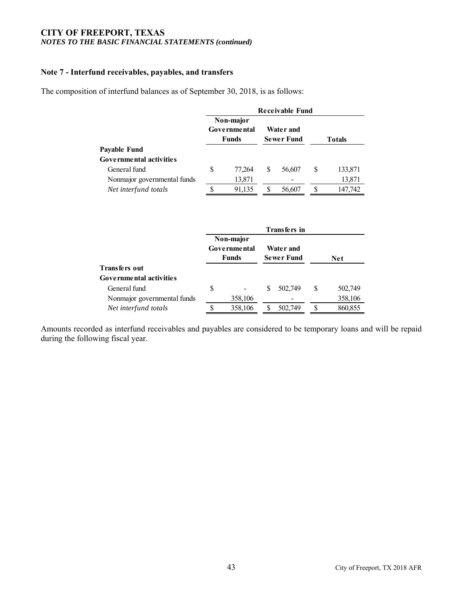# **CITY OF FREEPORT, TEXAS**

# *NOTES TO THE BASIC FINANCIAL STATEMENTS (continued)*

# **Note 7 - Interfund receivables, payables, and transfers**

The composition of interfund balances as of September 30, 2018, is as follows:

|                                | <b>Receivable Fund</b> |              |   |                   |  |               |
|--------------------------------|------------------------|--------------|---|-------------------|--|---------------|
|                                |                        | Non-major    |   |                   |  |               |
|                                |                        | Governmental |   | Water and         |  |               |
|                                |                        | Funds        |   | <b>Sewer Fund</b> |  | <b>Totals</b> |
| Payable Fund                   |                        |              |   |                   |  |               |
| <b>Governmental activities</b> |                        |              |   |                   |  |               |
| General fund                   | S                      | 77,264       | S | 56,607            |  | 133,871       |
| Nonmajor governmental funds    |                        | 13,871       |   |                   |  | 13,871        |
| Net interfund totals           | S                      | 91,135       | S | 56,607            |  | 147,742       |

|                                | Transfers in |                                    |                                |         |            |         |
|--------------------------------|--------------|------------------------------------|--------------------------------|---------|------------|---------|
|                                |              | Non-major<br>Governmental<br>Funds | Water and<br><b>Sewer Fund</b> |         | <b>Net</b> |         |
| Transfers out                  |              |                                    |                                |         |            |         |
| <b>Governmental activities</b> |              |                                    |                                |         |            |         |
| General fund                   | S            |                                    | S                              | 502,749 | S          | 502,749 |
| Nonmajor governmental funds    |              | 358,106                            |                                |         |            | 358,106 |
| Net interfund totals           |              | 358,106                            |                                | 502,749 |            | 860,855 |

Amounts recorded as interfund receivables and payables are considered to be temporary loans and will be repaid during the following fiscal year.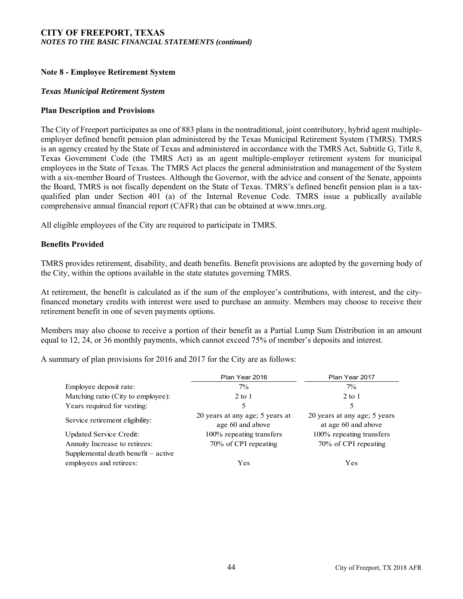#### **Note 8 - Employee Retirement System**

#### *Texas Municipal Retirement System*

#### **Plan Description and Provisions**

The City of Freeport participates as one of 883 plans in the nontraditional, joint contributory, hybrid agent multipleemployer defined benefit pension plan administered by the Texas Municipal Retirement System (TMRS). TMRS is an agency created by the State of Texas and administered in accordance with the TMRS Act, Subtitle G, Title 8, Texas Government Code (the TMRS Act) as an agent multiple-employer retirement system for municipal employees in the State of Texas. The TMRS Act places the general administration and management of the System with a six-member Board of Trustees. Although the Governor, with the advice and consent of the Senate, appoints the Board, TMRS is not fiscally dependent on the State of Texas. TMRS's defined benefit pension plan is a taxqualified plan under Section 401 (a) of the Internal Revenue Code. TMRS issue a publically available comprehensive annual financial report (CAFR) that can be obtained at www.tmrs.org.

All eligible employees of the City are required to participate in TMRS.

#### **Benefits Provided**

TMRS provides retirement, disability, and death benefits. Benefit provisions are adopted by the governing body of the City, within the options available in the state statutes governing TMRS.

At retirement, the benefit is calculated as if the sum of the employee's contributions, with interest, and the cityfinanced monetary credits with interest were used to purchase an annuity. Members may choose to receive their retirement benefit in one of seven payments options.

Members may also choose to receive a portion of their benefit as a Partial Lump Sum Distribution in an amount equal to 12, 24, or 36 monthly payments, which cannot exceed 75% of member's deposits and interest.

A summary of plan provisions for 2016 and 2017 for the City are as follows:

|                                       | Plan Year 2016                                      | Plan Year 2017                                      |
|---------------------------------------|-----------------------------------------------------|-----------------------------------------------------|
| Employee deposit rate:                | $7\%$                                               | $7\%$                                               |
| Matching ratio (City to employee):    | $2$ to 1                                            | $2$ to 1                                            |
| Years required for vesting:           | 5                                                   | 5                                                   |
| Service retirement eligibility:       | 20 years at any age; 5 years at<br>age 60 and above | 20 years at any age; 5 years<br>at age 60 and above |
| Updated Service Credit:               | 100% repeating transfers                            | 100% repeating transfers                            |
| Annuity Increase to retirees:         | 70% of CPI repeating                                | 70% of CPI repeating                                |
| Supplemental death benefit $-$ active |                                                     |                                                     |
| employees and retirees:               | Yes                                                 | Yes                                                 |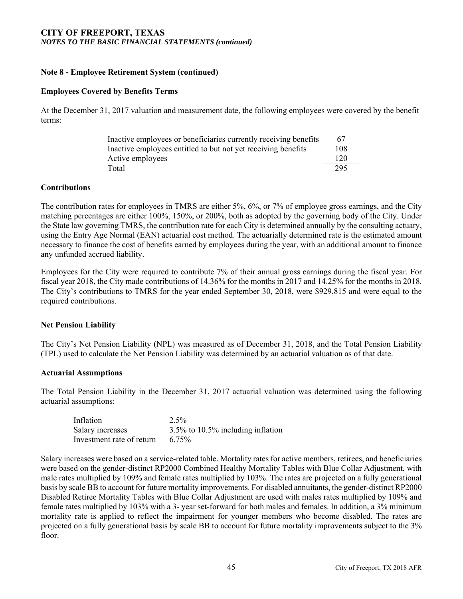#### **Note 8 - Employee Retirement System (continued)**

#### **Employees Covered by Benefits Terms**

At the December 31, 2017 valuation and measurement date, the following employees were covered by the benefit terms:

| Inactive employees or beneficiaries currently receiving benefits | 67  |
|------------------------------------------------------------------|-----|
| Inactive employees entitled to but not yet receiving benefits    | 108 |
| Active employees                                                 | 120 |
| Total                                                            | 295 |

#### **Contributions**

The contribution rates for employees in TMRS are either 5%, 6%, or 7% of employee gross earnings, and the City matching percentages are either 100%, 150%, or 200%, both as adopted by the governing body of the City. Under the State law governing TMRS, the contribution rate for each City is determined annually by the consulting actuary, using the Entry Age Normal (EAN) actuarial cost method. The actuarially determined rate is the estimated amount necessary to finance the cost of benefits earned by employees during the year, with an additional amount to finance any unfunded accrued liability.

Employees for the City were required to contribute 7% of their annual gross earnings during the fiscal year. For fiscal year 2018, the City made contributions of 14.36% for the months in 2017 and 14.25% for the months in 2018. The City's contributions to TMRS for the year ended September 30, 2018, were \$929,815 and were equal to the required contributions.

#### **Net Pension Liability**

The City's Net Pension Liability (NPL) was measured as of December 31, 2018, and the Total Pension Liability (TPL) used to calculate the Net Pension Liability was determined by an actuarial valuation as of that date.

#### **Actuarial Assumptions**

The Total Pension Liability in the December 31, 2017 actuarial valuation was determined using the following actuarial assumptions:

| Inflation                 | 2.5%                              |
|---------------------------|-----------------------------------|
| Salary increases          | 3.5% to 10.5% including inflation |
| Investment rate of return | 6.75%                             |

Salary increases were based on a service-related table. Mortality rates for active members, retirees, and beneficiaries were based on the gender-distinct RP2000 Combined Healthy Mortality Tables with Blue Collar Adjustment, with male rates multiplied by 109% and female rates multiplied by 103%. The rates are projected on a fully generational basis by scale BB to account for future mortality improvements. For disabled annuitants, the gender-distinct RP2000 Disabled Retiree Mortality Tables with Blue Collar Adjustment are used with males rates multiplied by 109% and female rates multiplied by 103% with a 3- year set-forward for both males and females. In addition, a 3% minimum mortality rate is applied to reflect the impairment for younger members who become disabled. The rates are projected on a fully generational basis by scale BB to account for future mortality improvements subject to the 3% floor.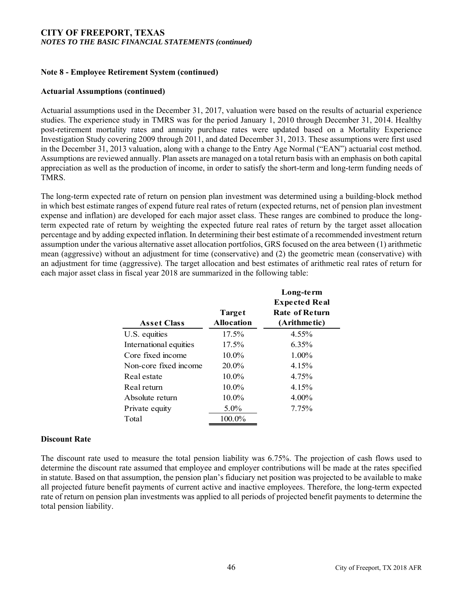#### **Note 8 - Employee Retirement System (continued)**

#### **Actuarial Assumptions (continued)**

Actuarial assumptions used in the December 31, 2017, valuation were based on the results of actuarial experience studies. The experience study in TMRS was for the period January 1, 2010 through December 31, 2014. Healthy post-retirement mortality rates and annuity purchase rates were updated based on a Mortality Experience Investigation Study covering 2009 through 2011, and dated December 31, 2013. These assumptions were first used in the December 31, 2013 valuation, along with a change to the Entry Age Normal ("EAN") actuarial cost method. Assumptions are reviewed annually. Plan assets are managed on a total return basis with an emphasis on both capital appreciation as well as the production of income, in order to satisfy the short-term and long-term funding needs of TMRS.

The long-term expected rate of return on pension plan investment was determined using a building-block method in which best estimate ranges of expend future real rates of return (expected returns, net of pension plan investment expense and inflation) are developed for each major asset class. These ranges are combined to produce the longterm expected rate of return by weighting the expected future real rates of return by the target asset allocation percentage and by adding expected inflation. In determining their best estimate of a recommended investment return assumption under the various alternative asset allocation portfolios, GRS focused on the area between (1) arithmetic mean (aggressive) without an adjustment for time (conservative) and (2) the geometric mean (conservative) with an adjustment for time (aggressive). The target allocation and best estimates of arithmetic real rates of return for each major asset class in fiscal year 2018 are summarized in the following table:

|                        |                   | Long-term<br><b>Expected Real</b> |
|------------------------|-------------------|-----------------------------------|
|                        | Target            | <b>Rate of Return</b>             |
| <b>Asset Class</b>     | <b>Allocation</b> | (Arithmetic)                      |
| U.S. equities          | $17.5\%$          | 4.55%                             |
| International equities | $17.5\%$          | 6.35%                             |
| Core fixed income      | $10.0\%$          | $1.00\%$                          |
| Non-core fixed income  | $20.0\%$          | 4.15%                             |
| Real estate            | 10.0%             | 4.75%                             |
| Real return            | $10.0\%$          | 4.15%                             |
| Absolute return        | 10.0%             | 4.00%                             |
| Private equity         | $5.0\%$           | 7.75%                             |
| Total                  | 100.0%            |                                   |

#### **Discount Rate**

The discount rate used to measure the total pension liability was 6.75%. The projection of cash flows used to determine the discount rate assumed that employee and employer contributions will be made at the rates specified in statute. Based on that assumption, the pension plan's fiduciary net position was projected to be available to make all projected future benefit payments of current active and inactive employees. Therefore, the long-term expected rate of return on pension plan investments was applied to all periods of projected benefit payments to determine the total pension liability.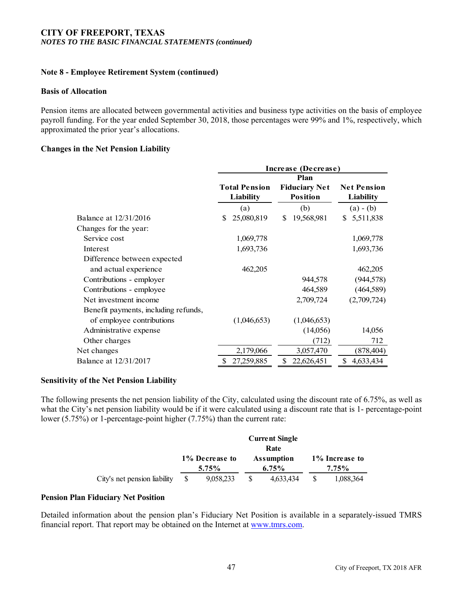### **Note 8 - Employee Retirement System (continued)**

#### **Basis of Allocation**

Pension items are allocated between governmental activities and business type activities on the basis of employee payroll funding. For the year ended September 30, 2018, those percentages were 99% and 1%, respectively, which approximated the prior year's allocations.

#### **Changes in the Net Pension Liability**

|                                      | Increase (Decrease)                      |             |                                         |             |                                        |             |
|--------------------------------------|------------------------------------------|-------------|-----------------------------------------|-------------|----------------------------------------|-------------|
|                                      | Plan                                     |             |                                         |             |                                        |             |
|                                      | <b>Total Pension</b><br><b>Liability</b> |             | <b>Fiduciary Net</b><br><b>Position</b> |             | <b>Net Pension</b><br><b>Liability</b> |             |
|                                      |                                          | (a)         |                                         | (b)         |                                        | $(a) - (b)$ |
| Balance at 12/31/2016                | \$                                       | 25,080,819  | S                                       | 19,568,981  | S.                                     | 5,511,838   |
| Changes for the year:                |                                          |             |                                         |             |                                        |             |
| Service cost                         |                                          | 1,069,778   |                                         |             |                                        | 1,069,778   |
| Interest                             |                                          | 1,693,736   |                                         |             |                                        | 1,693,736   |
| Difference between expected          |                                          |             |                                         |             |                                        |             |
| and actual experience                |                                          | 462,205     |                                         |             |                                        | 462,205     |
| Contributions - employer             |                                          |             |                                         | 944,578     |                                        | (944, 578)  |
| Contributions - employee             |                                          |             |                                         | 464,589     |                                        | (464,589)   |
| Net investment income                |                                          |             |                                         | 2,709,724   |                                        | (2,709,724) |
| Benefit payments, including refunds, |                                          |             |                                         |             |                                        |             |
| of employee contributions            |                                          | (1,046,653) |                                         | (1,046,653) |                                        |             |
| Administrative expense               |                                          |             |                                         | (14,056)    |                                        | 14,056      |
| Other charges                        |                                          |             |                                         | (712)       |                                        | 712         |
| Net changes                          |                                          | 2,179,066   |                                         | 3,057,470   |                                        | (878, 404)  |
| Balance at 12/31/2017                | \$                                       | 27,259,885  | \$                                      | 22,626,451  | S.                                     | 4,633,434   |

#### **Sensitivity of the Net Pension Liability**

The following presents the net pension liability of the City, calculated using the discount rate of 6.75%, as well as what the City's net pension liability would be if it were calculated using a discount rate that is 1- percentage-point lower (5.75%) or 1-percentage-point higher (7.75%) than the current rate:

|                              |                            | <b>Current Single</b>         |   |                         |
|------------------------------|----------------------------|-------------------------------|---|-------------------------|
|                              |                            | Rate                          |   |                         |
|                              | 1% Decrease to<br>$5.75\%$ | <b>Assumption</b><br>$6.75\%$ |   | 1% Increase to<br>7.75% |
|                              |                            |                               |   |                         |
| City's net pension liability | 9,058,233                  | 4,633,434                     | S | 1,088,364               |

#### **Pension Plan Fiduciary Net Position**

Detailed information about the pension plan's Fiduciary Net Position is available in a separately-issued TMRS financial report. That report may be obtained on the Internet at www.tmrs.com.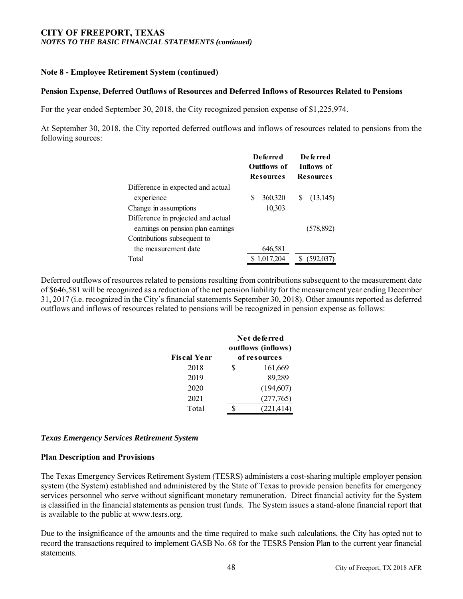#### **Note 8 - Employee Retirement System (continued)**

#### **Pension Expense, Deferred Outflows of Resources and Deferred Inflows of Resources Related to Pensions**

For the year ended September 30, 2018, the City recognized pension expense of \$1,225,974.

At September 30, 2018, the City reported deferred outflows and inflows of resources related to pensions from the following sources:

|                                    | De ferred<br>Outflows of<br><b>Resources</b> |             | Deferred<br>Inflows of<br><b>Resources</b> |            |  |
|------------------------------------|----------------------------------------------|-------------|--------------------------------------------|------------|--|
| Difference in expected and actual  |                                              |             |                                            |            |  |
| experience                         | S                                            | 360,320     | S                                          | (13, 145)  |  |
| Change in assumptions              |                                              | 10,303      |                                            |            |  |
| Difference in projected and actual |                                              |             |                                            |            |  |
| earnings on pension plan earnings  |                                              |             |                                            | (578, 892) |  |
| Contributions subsequent to        |                                              |             |                                            |            |  |
| the measurement date               |                                              | 646,581     |                                            |            |  |
| Total                              |                                              | \$1,017,204 |                                            |            |  |

Deferred outflows of resources related to pensions resulting from contributions subsequent to the measurement date of \$646,581 will be recognized as a reduction of the net pension liability for the measurement year ending December 31, 2017 (i.e. recognized in the City's financial statements September 30, 2018). Other amounts reported as deferred outflows and inflows of resources related to pensions will be recognized in pension expense as follows:

|                    | Net deferred<br>outflows (inflows) |              |  |  |
|--------------------|------------------------------------|--------------|--|--|
| <b>Fiscal Year</b> |                                    | of resources |  |  |
| 2018               | \$                                 | 161,669      |  |  |
| 2019               |                                    | 89,289       |  |  |
| 2020               |                                    | (194, 607)   |  |  |
| 2021               |                                    | (277,765)    |  |  |
| Total              |                                    | (221, 414)   |  |  |

#### *Texas Emergency Services Retirement System*

#### **Plan Description and Provisions**

The Texas Emergency Services Retirement System (TESRS) administers a cost-sharing multiple employer pension system (the System) established and administered by the State of Texas to provide pension benefits for emergency services personnel who serve without significant monetary remuneration. Direct financial activity for the System is classified in the financial statements as pension trust funds. The System issues a stand-alone financial report that is available to the public at www.tesrs.org.

Due to the insignificance of the amounts and the time required to make such calculations, the City has opted not to record the transactions required to implement GASB No. 68 for the TESRS Pension Plan to the current year financial statements.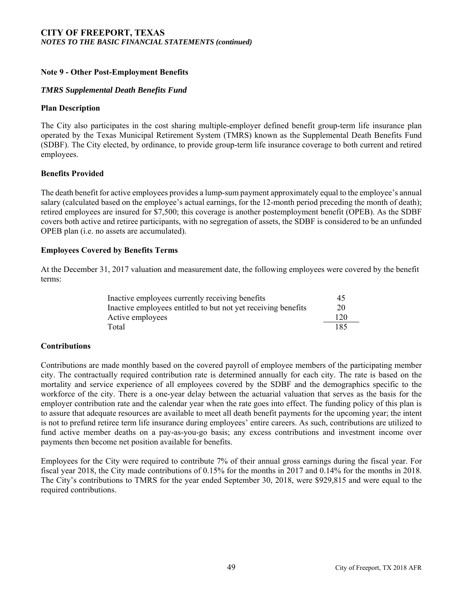#### **Note 9 - Other Post-Employment Benefits**

#### *TMRS Supplemental Death Benefits Fund*

#### **Plan Description**

The City also participates in the cost sharing multiple-employer defined benefit group-term life insurance plan operated by the Texas Municipal Retirement System (TMRS) known as the Supplemental Death Benefits Fund (SDBF). The City elected, by ordinance, to provide group-term life insurance coverage to both current and retired employees.

#### **Benefits Provided**

The death benefit for active employees provides a lump-sum payment approximately equal to the employee's annual salary (calculated based on the employee's actual earnings, for the 12-month period preceding the month of death); retired employees are insured for \$7,500; this coverage is another postemployment benefit (OPEB). As the SDBF covers both active and retiree participants, with no segregation of assets, the SDBF is considered to be an unfunded OPEB plan (i.e. no assets are accumulated).

#### **Employees Covered by Benefits Terms**

At the December 31, 2017 valuation and measurement date, the following employees were covered by the benefit terms:

| Inactive employees currently receiving benefits               | 45  |
|---------------------------------------------------------------|-----|
| Inactive employees entitled to but not yet receiving benefits | 20  |
| Active employees                                              | 120 |
| Total                                                         | 185 |

#### **Contributions**

Contributions are made monthly based on the covered payroll of employee members of the participating member city. The contractually required contribution rate is determined annually for each city. The rate is based on the mortality and service experience of all employees covered by the SDBF and the demographics specific to the workforce of the city. There is a one-year delay between the actuarial valuation that serves as the basis for the employer contribution rate and the calendar year when the rate goes into effect. The funding policy of this plan is to assure that adequate resources are available to meet all death benefit payments for the upcoming year; the intent is not to prefund retiree term life insurance during employees' entire careers. As such, contributions are utilized to fund active member deaths on a pay-as-you-go basis; any excess contributions and investment income over payments then become net position available for benefits.

Employees for the City were required to contribute 7% of their annual gross earnings during the fiscal year. For fiscal year 2018, the City made contributions of 0.15% for the months in 2017 and 0.14% for the months in 2018. The City's contributions to TMRS for the year ended September 30, 2018, were \$929,815 and were equal to the required contributions.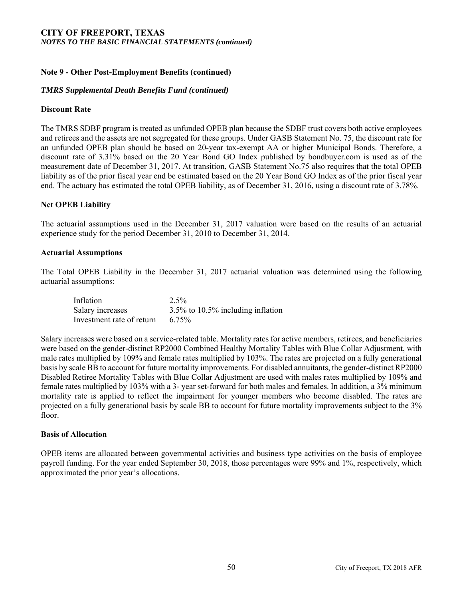#### **Note 9 - Other Post-Employment Benefits (continued)**

#### *TMRS Supplemental Death Benefits Fund (continued)*

#### **Discount Rate**

The TMRS SDBF program is treated as unfunded OPEB plan because the SDBF trust covers both active employees and retirees and the assets are not segregated for these groups. Under GASB Statement No. 75, the discount rate for an unfunded OPEB plan should be based on 20-year tax-exempt AA or higher Municipal Bonds. Therefore, a discount rate of 3.31% based on the 20 Year Bond GO Index published by bondbuyer.com is used as of the measurement date of December 31, 2017. At transition, GASB Statement No.75 also requires that the total OPEB liability as of the prior fiscal year end be estimated based on the 20 Year Bond GO Index as of the prior fiscal year end. The actuary has estimated the total OPEB liability, as of December 31, 2016, using a discount rate of 3.78%.

#### **Net OPEB Liability**

The actuarial assumptions used in the December 31, 2017 valuation were based on the results of an actuarial experience study for the period December 31, 2010 to December 31, 2014.

#### **Actuarial Assumptions**

The Total OPEB Liability in the December 31, 2017 actuarial valuation was determined using the following actuarial assumptions:

| Inflation                 | $2.5\%$                              |
|---------------------------|--------------------------------------|
| Salary increases          | $3.5\%$ to 10.5% including inflation |
| Investment rate of return | 6.75%                                |

Salary increases were based on a service-related table. Mortality rates for active members, retirees, and beneficiaries were based on the gender-distinct RP2000 Combined Healthy Mortality Tables with Blue Collar Adjustment, with male rates multiplied by 109% and female rates multiplied by 103%. The rates are projected on a fully generational basis by scale BB to account for future mortality improvements. For disabled annuitants, the gender-distinct RP2000 Disabled Retiree Mortality Tables with Blue Collar Adjustment are used with males rates multiplied by 109% and female rates multiplied by 103% with a 3- year set-forward for both males and females. In addition, a 3% minimum mortality rate is applied to reflect the impairment for younger members who become disabled. The rates are projected on a fully generational basis by scale BB to account for future mortality improvements subject to the 3% floor.

#### **Basis of Allocation**

OPEB items are allocated between governmental activities and business type activities on the basis of employee payroll funding. For the year ended September 30, 2018, those percentages were 99% and 1%, respectively, which approximated the prior year's allocations.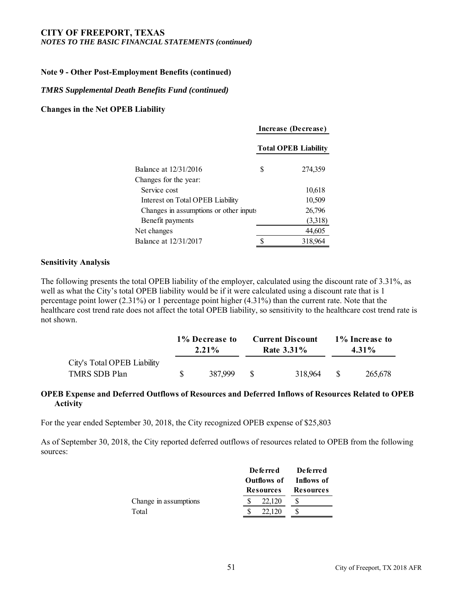# **CITY OF FREEPORT, TEXAS**

*NOTES TO THE BASIC FINANCIAL STATEMENTS (continued)* 

#### **Note 9 - Other Post-Employment Benefits (continued)**

#### *TMRS Supplemental Death Benefits Fund (continued)*

#### **Changes in the Net OPEB Liability**

|                                        | Increase (Decrease) |                             |  |  |  |
|----------------------------------------|---------------------|-----------------------------|--|--|--|
|                                        |                     | <b>Total OPEB Liability</b> |  |  |  |
| Balance at 12/31/2016                  | S                   | 274,359                     |  |  |  |
| Changes for the year:                  |                     |                             |  |  |  |
| Service cost                           |                     | 10,618                      |  |  |  |
| Interest on Total OPEB Liability       |                     | 10,509                      |  |  |  |
| Changes in assumptions or other inputs |                     | 26,796                      |  |  |  |
| Benefit payments                       |                     | (3,318)                     |  |  |  |
| Net changes                            |                     | 44,605                      |  |  |  |
| Balance at 12/31/2017                  | ¢                   | 318,964                     |  |  |  |

#### **Sensitivity Analysis**

The following presents the total OPEB liability of the employer, calculated using the discount rate of 3.31%, as well as what the City's total OPEB liability would be if it were calculated using a discount rate that is 1 percentage point lower (2.31%) or 1 percentage point higher (4.31%) than the current rate. Note that the healthcare cost trend rate does not affect the total OPEB liability, so sensitivity to the healthcare cost trend rate is not shown.

|                             | 1% Decrease to<br>$2.21\%$ |              | <b>Current Discount</b><br><b>Rate 3.31%</b> | 1% Increase to<br>$4.31\%$ |         |  |
|-----------------------------|----------------------------|--------------|----------------------------------------------|----------------------------|---------|--|
| City's Total OPEB Liability |                            |              |                                              |                            |         |  |
| TMRS SDB Plan               | 387.999                    | $\mathbf{x}$ | 318,964                                      |                            | 265,678 |  |

### **OPEB Expense and Deferred Outflows of Resources and Deferred Inflows of Resources Related to OPEB Activity**

For the year ended September 30, 2018, the City recognized OPEB expense of \$25,803

As of September 30, 2018, the City reported deferred outflows of resources related to OPEB from the following sources:

|                       | De ferred        | <b>Deferred</b> |
|-----------------------|------------------|-----------------|
|                       | Outflows of      | Inflows of      |
|                       | <b>Resources</b> | Resources       |
| Change in assumptions | 22,120           |                 |
| Total                 | 22,120           |                 |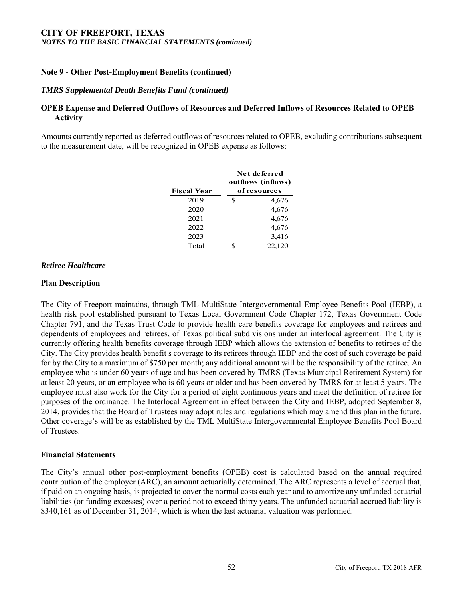#### **Note 9 - Other Post-Employment Benefits (continued)**

#### *TMRS Supplemental Death Benefits Fund (continued)*

#### **OPEB Expense and Deferred Outflows of Resources and Deferred Inflows of Resources Related to OPEB Activity**

Amounts currently reported as deferred outflows of resources related to OPEB, excluding contributions subsequent to the measurement date, will be recognized in OPEB expense as follows:

| <b>Fiscal Year</b> | Net deferred<br>outflows (inflows)<br>of resources |        |  |  |  |
|--------------------|----------------------------------------------------|--------|--|--|--|
| 2019               | \$                                                 | 4,676  |  |  |  |
| 2020               |                                                    | 4,676  |  |  |  |
| 2021               |                                                    | 4,676  |  |  |  |
| 2022               |                                                    | 4,676  |  |  |  |
| 2023               |                                                    | 3,416  |  |  |  |
| Total              |                                                    | 22,120 |  |  |  |

#### *Retiree Healthcare*

#### **Plan Description**

The City of Freeport maintains, through TML MultiState Intergovernmental Employee Benefits Pool (IEBP), a health risk pool established pursuant to Texas Local Government Code Chapter 172, Texas Government Code Chapter 791, and the Texas Trust Code to provide health care benefits coverage for employees and retirees and dependents of employees and retirees, of Texas political subdivisions under an interlocal agreement. The City is currently offering health benefits coverage through IEBP which allows the extension of benefits to retirees of the City. The City provides health benefit s coverage to its retirees through IEBP and the cost of such coverage be paid for by the City to a maximum of \$750 per month; any additional amount will be the responsibility of the retiree. An employee who is under 60 years of age and has been covered by TMRS (Texas Municipal Retirement System) for at least 20 years, or an employee who is 60 years or older and has been covered by TMRS for at least 5 years. The employee must also work for the City for a period of eight continuous years and meet the definition of retiree for purposes of the ordinance. The Interlocal Agreement in effect between the City and IEBP, adopted September 8, 2014, provides that the Board of Trustees may adopt rules and regulations which may amend this plan in the future. Other coverage's will be as established by the TML MultiState Intergovernmental Employee Benefits Pool Board of Trustees.

#### **Financial Statements**

The City's annual other post-employment benefits (OPEB) cost is calculated based on the annual required contribution of the employer (ARC), an amount actuarially determined. The ARC represents a level of accrual that, if paid on an ongoing basis, is projected to cover the normal costs each year and to amortize any unfunded actuarial liabilities (or funding excesses) over a period not to exceed thirty years. The unfunded actuarial accrued liability is \$340,161 as of December 31, 2014, which is when the last actuarial valuation was performed.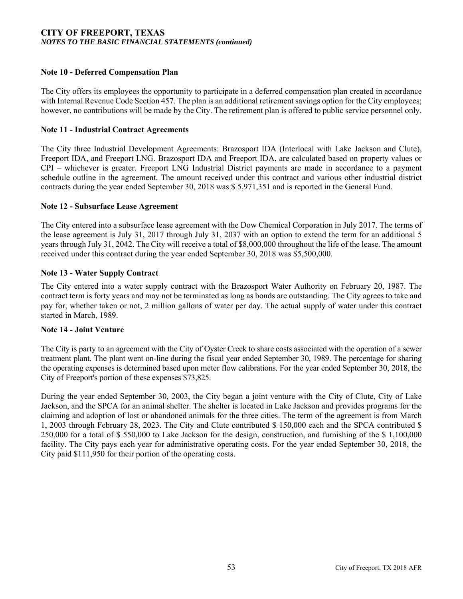#### **Note 10 - Deferred Compensation Plan**

The City offers its employees the opportunity to participate in a deferred compensation plan created in accordance with Internal Revenue Code Section 457. The plan is an additional retirement savings option for the City employees; however, no contributions will be made by the City. The retirement plan is offered to public service personnel only.

#### **Note 11 - Industrial Contract Agreements**

The City three Industrial Development Agreements: Brazosport IDA (Interlocal with Lake Jackson and Clute), Freeport IDA, and Freeport LNG. Brazosport IDA and Freeport IDA, are calculated based on property values or CPI – whichever is greater. Freeport LNG Industrial District payments are made in accordance to a payment schedule outline in the agreement. The amount received under this contract and various other industrial district contracts during the year ended September 30, 2018 was \$ 5,971,351 and is reported in the General Fund.

#### **Note 12 - Subsurface Lease Agreement**

The City entered into a subsurface lease agreement with the Dow Chemical Corporation in July 2017. The terms of the lease agreement is July 31, 2017 through July 31, 2037 with an option to extend the term for an additional 5 years through July 31, 2042. The City will receive a total of \$8,000,000 throughout the life of the lease. The amount received under this contract during the year ended September 30, 2018 was \$5,500,000.

### **Note 13 - Water Supply Contract**

The City entered into a water supply contract with the Brazosport Water Authority on February 20, 1987. The contract term is forty years and may not be terminated as long as bonds are outstanding. The City agrees to take and pay for, whether taken or not, 2 million gallons of water per day. The actual supply of water under this contract started in March, 1989.

#### **Note 14 - Joint Venture**

The City is party to an agreement with the City of Oyster Creek to share costs associated with the operation of a sewer treatment plant. The plant went on-line during the fiscal year ended September 30, 1989. The percentage for sharing the operating expenses is determined based upon meter flow calibrations. For the year ended September 30, 2018, the City of Freeport's portion of these expenses \$73,825.

During the year ended September 30, 2003, the City began a joint venture with the City of Clute, City of Lake Jackson, and the SPCA for an animal shelter. The shelter is located in Lake Jackson and provides programs for the claiming and adoption of lost or abandoned animals for the three cities. The term of the agreement is from March 1, 2003 through February 28, 2023. The City and Clute contributed \$ 150,000 each and the SPCA contributed \$ 250,000 for a total of \$ 550,000 to Lake Jackson for the design, construction, and furnishing of the \$ 1,100,000 facility. The City pays each year for administrative operating costs. For the year ended September 30, 2018, the City paid \$111,950 for their portion of the operating costs.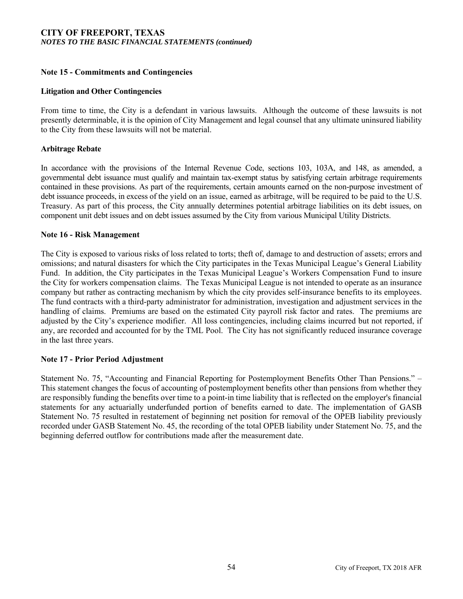#### **Note 15 - Commitments and Contingencies**

#### **Litigation and Other Contingencies**

From time to time, the City is a defendant in various lawsuits. Although the outcome of these lawsuits is not presently determinable, it is the opinion of City Management and legal counsel that any ultimate uninsured liability to the City from these lawsuits will not be material.

#### **Arbitrage Rebate**

In accordance with the provisions of the Internal Revenue Code, sections 103, 103A, and 148, as amended, a governmental debt issuance must qualify and maintain tax-exempt status by satisfying certain arbitrage requirements contained in these provisions. As part of the requirements, certain amounts earned on the non-purpose investment of debt issuance proceeds, in excess of the yield on an issue, earned as arbitrage, will be required to be paid to the U.S. Treasury. As part of this process, the City annually determines potential arbitrage liabilities on its debt issues, on component unit debt issues and on debt issues assumed by the City from various Municipal Utility Districts.

#### **Note 16 - Risk Management**

The City is exposed to various risks of loss related to torts; theft of, damage to and destruction of assets; errors and omissions; and natural disasters for which the City participates in the Texas Municipal League's General Liability Fund. In addition, the City participates in the Texas Municipal League's Workers Compensation Fund to insure the City for workers compensation claims. The Texas Municipal League is not intended to operate as an insurance company but rather as contracting mechanism by which the city provides self-insurance benefits to its employees. The fund contracts with a third-party administrator for administration, investigation and adjustment services in the handling of claims. Premiums are based on the estimated City payroll risk factor and rates. The premiums are adjusted by the City's experience modifier. All loss contingencies, including claims incurred but not reported, if any, are recorded and accounted for by the TML Pool. The City has not significantly reduced insurance coverage in the last three years.

#### **Note 17 - Prior Period Adjustment**

Statement No. 75, "Accounting and Financial Reporting for Postemployment Benefits Other Than Pensions." – This statement changes the focus of accounting of postemployment benefits other than pensions from whether they are responsibly funding the benefits over time to a point-in time liability that is reflected on the employer's financial statements for any actuarially underfunded portion of benefits earned to date. The implementation of GASB Statement No. 75 resulted in restatement of beginning net position for removal of the OPEB liability previously recorded under GASB Statement No. 45, the recording of the total OPEB liability under Statement No. 75, and the beginning deferred outflow for contributions made after the measurement date.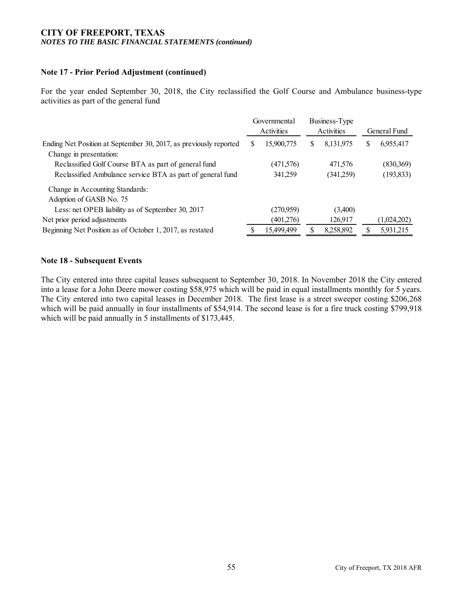#### **Note 17 - Prior Period Adjustment (continued)**

For the year ended September 30, 2018, the City reclassified the Golf Course and Ambulance business-type activities as part of the general fund

|                                                                   | Governmental |            | Business-Type |            |   |              |
|-------------------------------------------------------------------|--------------|------------|---------------|------------|---|--------------|
|                                                                   |              | Activities |               | Activities |   | General Fund |
| Ending Net Position at September 30, 2017, as previously reported | S            | 15,900,775 | S             | 8,131,975  | S | 6,955,417    |
| Change in presentation:                                           |              |            |               |            |   |              |
| Reclassified Golf Course BTA as part of general fund              |              | (471, 576) |               | 471,576    |   | (830,369)    |
| Reclassified Ambulance service BTA as part of general fund        |              | 341,259    |               | (341,259)  |   | (193, 833)   |
| Change in Accounting Standards:                                   |              |            |               |            |   |              |
| Adoption of GASB No. 75                                           |              |            |               |            |   |              |
| Less: net OPEB liability as of September 30, 2017                 |              | (270,959)  |               | (3,400)    |   |              |
| Net prior period adjustments                                      |              | (401, 276) |               | 126,917    |   | (1,024,202)  |
| Beginning Net Position as of October 1, 2017, as restated         |              | 15,499,499 | S             | 8,258,892  |   | 5,931,215    |

#### **Note 18 - Subsequent Events**

The City entered into three capital leases subsequent to September 30, 2018. In November 2018 the City entered into a lease for a John Deere mower costing \$58,975 which will be paid in equal installments monthly for 5 years. The City entered into two capital leases in December 2018. The first lease is a street sweeper costing \$206,268 which will be paid annually in four installments of \$54,914. The second lease is for a fire truck costing \$799,918 which will be paid annually in 5 installments of \$173,445.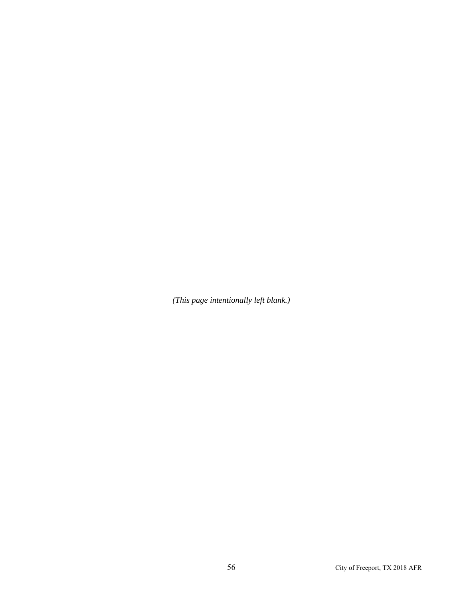*(This page intentionally left blank.)*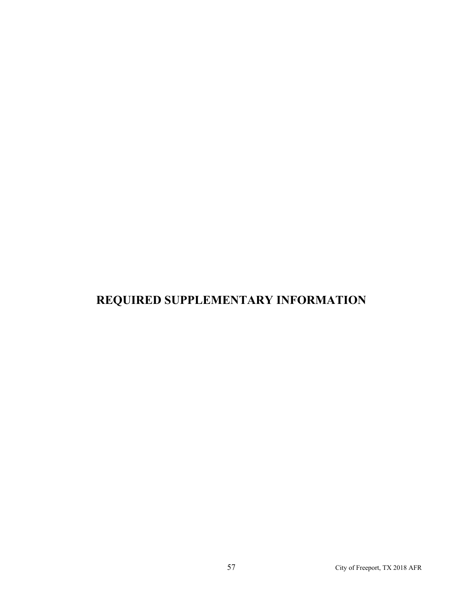# **REQUIRED SUPPLEMENTARY INFORMATION**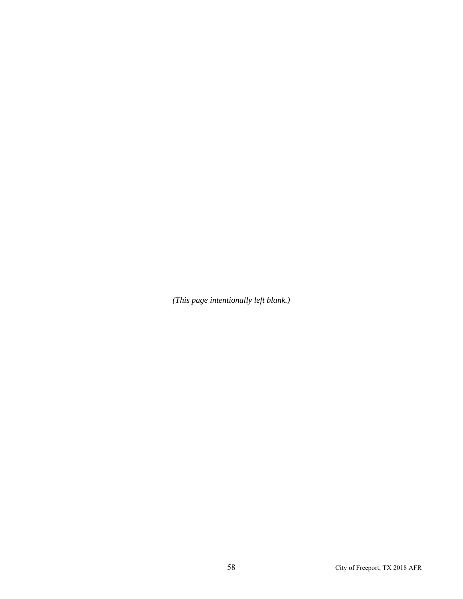*(This page intentionally left blank.)*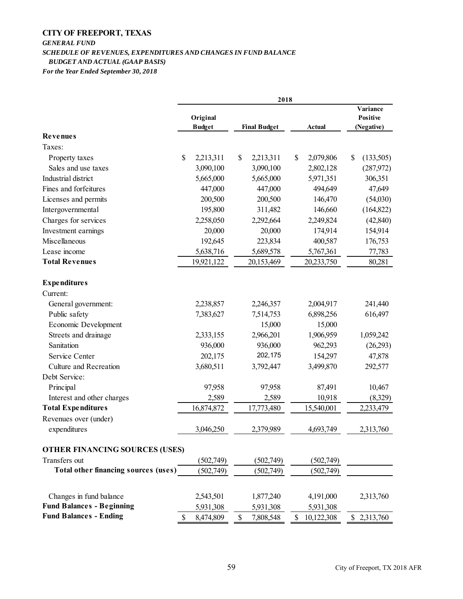# **CITY OF FREEPORT, TEXAS**

#### *GENERAL FUND*

#### *SCHEDULE OF REVENUES, EXPENDITURES AND CHANGES IN FUND BALANCE BUDGET AND ACTUAL (GAAP BASIS)*

*For the Year Ended September 30, 2018*

|                                       | 2018                      |            |                     |            |               |              |                                    |             |
|---------------------------------------|---------------------------|------------|---------------------|------------|---------------|--------------|------------------------------------|-------------|
|                                       | Original<br><b>Budget</b> |            | <b>Final Budget</b> |            | <b>Actual</b> |              | Variance<br>Positive<br>(Negative) |             |
| <b>Revenues</b>                       |                           |            |                     |            |               |              |                                    |             |
| Taxes:                                |                           |            |                     |            |               |              |                                    |             |
| Property taxes                        | \$                        | 2,213,311  | \$                  | 2,213,311  | \$            | 2,079,806    | \$                                 | (133,505)   |
| Sales and use taxes                   |                           | 3,090,100  |                     | 3,090,100  |               | 2,802,128    |                                    | (287,972)   |
| Industrial district                   |                           | 5,665,000  |                     | 5,665,000  |               | 5,971,351    |                                    | 306,351     |
| Fines and forfeitures                 |                           | 447,000    |                     | 447,000    |               | 494,649      |                                    | 47,649      |
| Licenses and permits                  |                           | 200,500    |                     | 200,500    |               | 146,470      |                                    | (54,030)    |
| Intergovernmental                     |                           | 195,800    |                     | 311,482    |               | 146,660      |                                    | (164, 822)  |
| Charges for services                  |                           | 2,258,050  |                     | 2,292,664  |               | 2,249,824    |                                    | (42, 840)   |
| Investment earnings                   |                           | 20,000     |                     | 20,000     |               | 174,914      |                                    | 154,914     |
| Miscellaneous                         |                           | 192,645    |                     | 223,834    |               | 400,587      |                                    | 176,753     |
| Lease income                          |                           | 5,638,716  |                     | 5,689,578  |               | 5,767,361    |                                    | 77,783      |
| <b>Total Revenues</b>                 |                           | 19,921,122 |                     | 20,153,469 |               | 20,233,750   |                                    | 80,281      |
| <b>Expenditures</b>                   |                           |            |                     |            |               |              |                                    |             |
| Current:                              |                           |            |                     |            |               |              |                                    |             |
| General government:                   |                           | 2,238,857  |                     | 2,246,357  |               | 2,004,917    |                                    | 241,440     |
| Public safety                         |                           | 7,383,627  |                     | 7,514,753  |               | 6,898,256    |                                    | 616,497     |
| Economic Development                  |                           |            |                     | 15,000     |               | 15,000       |                                    |             |
| Streets and drainage                  |                           | 2,333,155  |                     | 2,966,201  |               | 1,906,959    |                                    | 1,059,242   |
| Sanitation                            |                           | 936,000    |                     | 936,000    |               | 962,293      |                                    | (26,293)    |
| Service Center                        |                           | 202,175    |                     | 202,175    |               | 154,297      |                                    | 47,878      |
| Culture and Recreation                |                           | 3,680,511  |                     | 3,792,447  |               | 3,499,870    |                                    | 292,577     |
| Debt Service:                         |                           |            |                     |            |               |              |                                    |             |
| Principal                             |                           | 97,958     |                     | 97,958     |               | 87,491       |                                    | 10,467      |
| Interest and other charges            |                           | 2,589      |                     | 2,589      |               | 10,918       |                                    | (8,329)     |
| <b>Total Expenditures</b>             |                           | 16,874,872 |                     | 17,773,480 |               | 15,540,001   |                                    | 2,233,479   |
| Revenues over (under)                 |                           |            |                     |            |               |              |                                    |             |
| expenditures                          |                           | 3,046,250  |                     | 2,379,989  |               | 4,693,749    |                                    | 2,313,760   |
| <b>OTHER FINANCING SOURCES (USES)</b> |                           |            |                     |            |               |              |                                    |             |
| Transfers out                         |                           | (502,749)  |                     | (502, 749) |               | (502, 749)   |                                    |             |
| Total other financing sources (uses)  |                           | (502, 749) |                     | (502, 749) |               | (502, 749)   |                                    |             |
| Changes in fund balance               |                           | 2,543,501  |                     | 1,877,240  |               | 4,191,000    |                                    | 2,313,760   |
| <b>Fund Balances - Beginning</b>      |                           | 5,931,308  |                     | 5,931,308  |               | 5,931,308    |                                    |             |
| <b>Fund Balances - Ending</b>         | \$                        | 8,474,809  | $\mathbb{S}$        | 7,808,548  |               | \$10,122,308 |                                    | \$2,313,760 |
|                                       |                           |            |                     |            |               |              |                                    |             |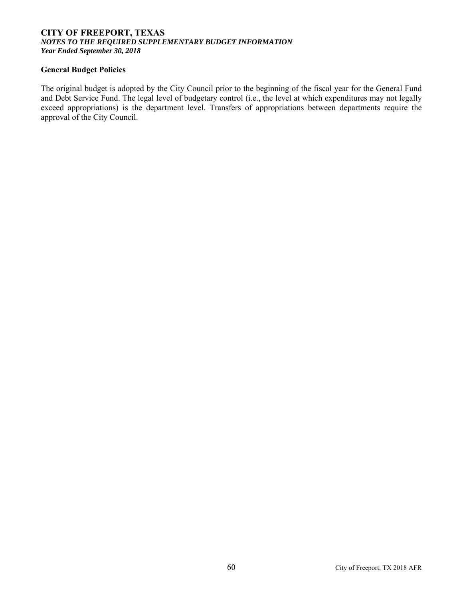#### **CITY OF FREEPORT, TEXAS**  *NOTES TO THE REQUIRED SUPPLEMENTARY BUDGET INFORMATION Year Ended September 30, 2018*

#### **General Budget Policies**

The original budget is adopted by the City Council prior to the beginning of the fiscal year for the General Fund and Debt Service Fund. The legal level of budgetary control (i.e., the level at which expenditures may not legally exceed appropriations) is the department level. Transfers of appropriations between departments require the approval of the City Council.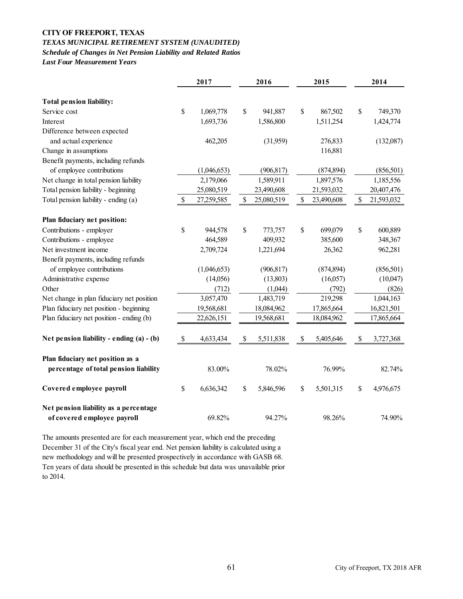#### **CITY OF FREEPORT, TEXAS**

#### *TEXAS MUNICIPAL RETIREMENT SYSTEM (UNAUDITED)*

*Schedule of Changes in Net Pension Liability and Related Ratios*

*Last Four Measurement Years*

|                                           |               | 2017        | 2016                      |            | 2015         |            |              | 2014       |
|-------------------------------------------|---------------|-------------|---------------------------|------------|--------------|------------|--------------|------------|
| Total pension liability:                  |               |             |                           |            |              |            |              |            |
| Service cost                              | \$            | 1,069,778   | \$                        | 941,887    | \$           | 867,502    | \$           | 749,370    |
| Interest                                  |               | 1,693,736   |                           | 1,586,800  |              | 1,511,254  |              | 1,424,774  |
| Difference between expected               |               |             |                           |            |              |            |              |            |
| and actual experience                     |               | 462,205     |                           | (31,959)   |              | 276,833    |              | (132,087)  |
| Change in assumptions                     |               |             |                           |            |              | 116,881    |              |            |
| Benefit payments, including refunds       |               |             |                           |            |              |            |              |            |
| of employee contributions                 |               | (1,046,653) |                           | (906, 817) |              | (874, 894) |              | (856, 501) |
| Net change in total pension liability     |               | 2,179,066   |                           | 1,589,911  |              | 1,897,576  |              | 1,185,556  |
| Total pension liability - beginning       |               | 25,080,519  |                           | 23,490,608 |              | 21,593,032 |              | 20,407,476 |
| Total pension liability - ending (a)      | $\mathcal{S}$ | 27,259,585  | $\mathbb{S}$              | 25,080,519 | $\$$         | 23,490,608 | $\mathbb{S}$ | 21,593,032 |
| Plan fiduciary net position:              |               |             |                           |            |              |            |              |            |
| Contributions - employer                  | \$            | 944,578     | \$                        | 773,757    | $\mathbb{S}$ | 699,079    | \$           | 600,889    |
| Contributions - employee                  |               | 464,589     |                           | 409,932    |              | 385,600    |              | 348,367    |
| Net investment income                     |               | 2,709,724   |                           | 1,221,694  |              | 26,362     |              | 962,281    |
| Benefit payments, including refunds       |               |             |                           |            |              |            |              |            |
| of employee contributions                 |               | (1,046,653) |                           | (906, 817) |              | (874, 894) |              | (856, 501) |
| Administrative expense                    |               | (14,056)    |                           | (13,803)   |              | (16,057)   |              | (10,047)   |
| Other                                     |               | (712)       |                           | (1,044)    |              | (792)      |              | (826)      |
| Net change in plan fiduciary net position |               | 3,057,470   |                           | 1,483,719  |              | 219,298    |              | 1,044,163  |
| Plan fiduciary net position - beginning   |               | 19,568,681  |                           | 18,084,962 |              | 17,865,664 |              | 16,821,501 |
| Plan fiduciary net position - ending (b)  |               | 22,626,151  |                           | 19,568,681 |              | 18,084,962 |              | 17,865,664 |
| Net pension liability - ending (a) - (b)  | $\mathcal{S}$ | 4,633,434   | $\boldsymbol{\mathsf{S}}$ | 5,511,838  | \$           | 5,405,646  | \$           | 3,727,368  |
| Plan fiduciary net position as a          |               |             |                           |            |              |            |              |            |
| percentage of total pension liability     |               | 83.00%      |                           | 78.02%     |              | 76.99%     |              | 82.74%     |
| Covered employee payroll                  | \$            | 6,636,342   | \$                        | 5,846,596  | $\mathbb{S}$ | 5,501,315  | \$           | 4,976,675  |
| Net pension liability as a percentage     |               |             |                           |            |              |            |              |            |
| of covered employee payroll               |               | 69.82%      |                           | 94.27%     |              | 98.26%     |              | 74.90%     |

The amounts presented are for each measurement year, which end the preceding December 31 of the City's fiscal year end. Net pension liability is calculated using a new methodology and will be presented prospectively in accordance with GASB 68. Ten years of data should be presented in this schedule but data was unavailable prior to 2014.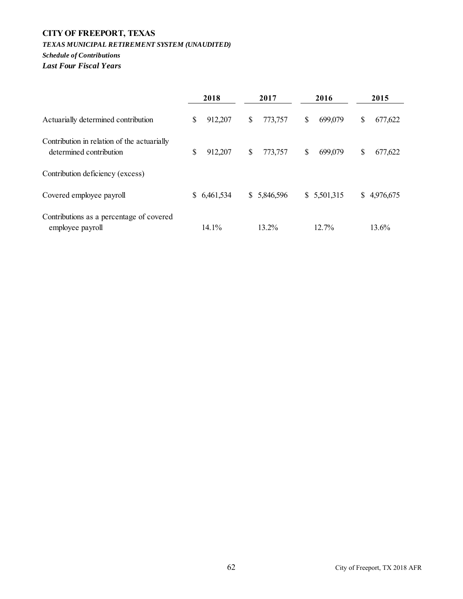# **CITY OF FREEPORT, TEXAS**

#### *TEXAS MUNICIPAL RETIREMENT SYSTEM (UNAUDITED)*

# *Schedule of Contributions*

*Last Four Fiscal Years*

|                                                                        |    | 2018      |    | 2017      | 2016          |    | 2015      |
|------------------------------------------------------------------------|----|-----------|----|-----------|---------------|----|-----------|
| Actuarially determined contribution                                    | \$ | 912,207   | \$ | 773,757   | \$<br>699,079 | \$ | 677,622   |
| Contribution in relation of the actuarially<br>determined contribution | \$ | 912,207   | \$ | 773,757   | \$<br>699,079 | \$ | 677,622   |
| Contribution deficiency (excess)                                       |    |           |    |           |               |    |           |
| Covered employee payroll                                               | S. | 6,461,534 | S. | 5,846,596 | \$5,501,315   | S. | 4,976,675 |
| Contributions as a percentage of covered<br>employee payroll           |    | $14.1\%$  |    | 13.2%     | 12.7%         |    | 13.6%     |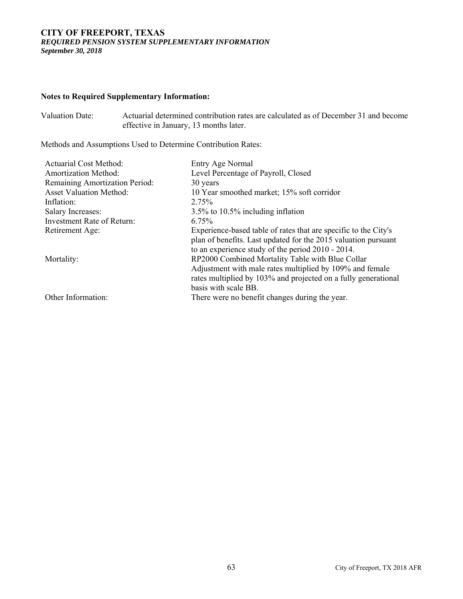#### **CITY OF FREEPORT, TEXAS**  *REQUIRED PENSION SYSTEM SUPPLEMENTARY INFORMATION September 30, 2018*

# **Notes to Required Supplementary Information:**

Valuation Date: Actuarial determined contribution rates are calculated as of December 31 and become effective in January, 13 months later.

Methods and Assumptions Used to Determine Contribution Rates:

| <b>Actuarial Cost Method:</b>  | Entry Age Normal                                                |
|--------------------------------|-----------------------------------------------------------------|
| <b>Amortization Method:</b>    | Level Percentage of Payroll, Closed                             |
| Remaining Amortization Period: | 30 years                                                        |
| <b>Asset Valuation Method:</b> | 10 Year smoothed market; 15% soft corridor                      |
| Inflation:                     | 2.75%                                                           |
| Salary Increases:              | $3.5\%$ to 10.5% including inflation                            |
| Investment Rate of Return:     | $6.75\%$                                                        |
| Retirement Age:                | Experience-based table of rates that are specific to the City's |
|                                | plan of benefits. Last updated for the 2015 valuation pursuant  |
|                                | to an experience study of the period 2010 - 2014.               |
| Mortality:                     | RP2000 Combined Mortality Table with Blue Collar                |
|                                | Adjustment with male rates multiplied by 109% and female        |
|                                | rates multiplied by 103% and projected on a fully generational  |
|                                | basis with scale BB.                                            |
| Other Information:             | There were no benefit changes during the year.                  |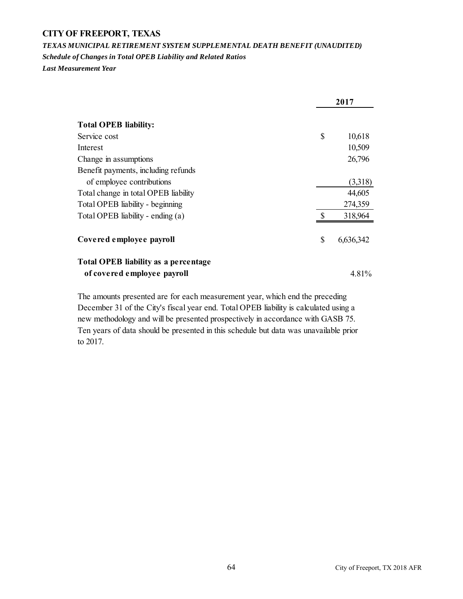# **CITY OF FREEPORT, TEXAS**

*TEXAS MUNICIPAL RETIREMENT SYSTEM SUPPLEMENTAL DEATH BENEFIT (UNAUDITED) Schedule of Changes in Total OPEB Liability and Related Ratios Last Measurement Year*

|                                             | 2017            |
|---------------------------------------------|-----------------|
| <b>Total OPEB liability:</b>                |                 |
| Service cost                                | \$<br>10,618    |
| Interest                                    | 10,509          |
| Change in assumptions                       | 26,796          |
| Benefit payments, including refunds         |                 |
| of employee contributions                   | (3,318)         |
| Total change in total OPEB liability        | 44,605          |
| Total OPEB liability - beginning            | 274,359         |
| Total OPEB liability - ending (a)           | 318,964         |
| Covered employee payroll                    | \$<br>6,636,342 |
| <b>Total OPEB liability as a percentage</b> |                 |
| of covered employee payroll                 | 4.81%           |

The amounts presented are for each measurement year, which end the preceding December 31 of the City's fiscal year end. Total OPEB liability is calculated using a new methodology and will be presented prospectively in accordance with GASB 75. Ten years of data should be presented in this schedule but data was unavailable prior to 2017.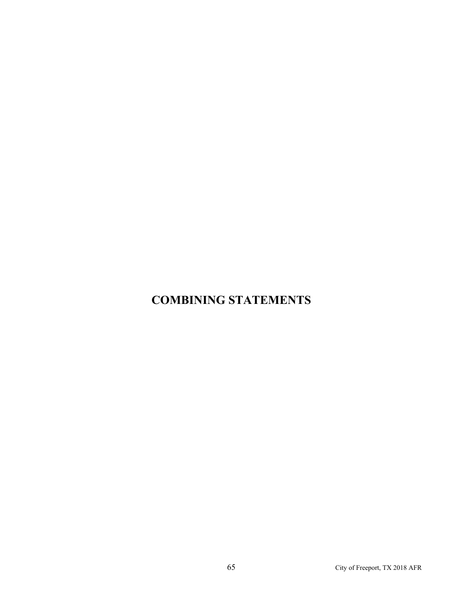# **COMBINING STATEMENTS**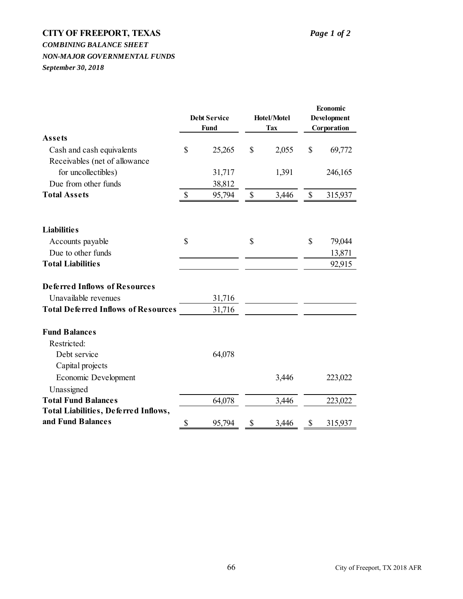# **CITY OF FREEPORT, TEXAS** *Page 1 of 2 COMBINING BALANCE SHEET NON-MAJOR GOVERNMENTAL FUNDS September 30, 2018*

|                                            |                           | <b>Debt Service</b><br><b>Fund</b> |                           | <b>Hotel/Motel</b><br><b>Tax</b> |             | Economic<br>Development<br>Corporation |  |
|--------------------------------------------|---------------------------|------------------------------------|---------------------------|----------------------------------|-------------|----------------------------------------|--|
| Assets                                     |                           |                                    |                           |                                  |             |                                        |  |
| Cash and cash equivalents                  | \$                        | 25,265                             | \$                        | 2,055                            | \$          | 69,772                                 |  |
| Receivables (net of allowance              |                           |                                    |                           |                                  |             |                                        |  |
| for uncollectibles)                        |                           | 31,717                             |                           | 1,391                            |             | 246,165                                |  |
| Due from other funds                       |                           | 38,812                             |                           |                                  |             |                                        |  |
| <b>Total Assets</b>                        | $\boldsymbol{\mathsf{S}}$ | 95,794                             | $\boldsymbol{\mathsf{S}}$ | 3,446                            | $\mathbb S$ | 315,937                                |  |
|                                            |                           |                                    |                           |                                  |             |                                        |  |
| <b>Liabilities</b>                         |                           |                                    |                           |                                  |             |                                        |  |
| Accounts payable                           | \$                        |                                    | \$                        |                                  | \$          | 79,044                                 |  |
| Due to other funds                         |                           |                                    |                           |                                  |             | 13,871                                 |  |
| <b>Total Liabilities</b>                   |                           |                                    |                           |                                  |             | 92,915                                 |  |
| Deferred Inflows of Resources              |                           |                                    |                           |                                  |             |                                        |  |
| Unavailable revenues                       |                           | 31,716                             |                           |                                  |             |                                        |  |
| <b>Total Deferred Inflows of Resources</b> |                           | 31,716                             |                           |                                  |             |                                        |  |
| <b>Fund Balances</b>                       |                           |                                    |                           |                                  |             |                                        |  |
| Restricted:                                |                           |                                    |                           |                                  |             |                                        |  |
| Debt service                               |                           | 64,078                             |                           |                                  |             |                                        |  |
| Capital projects                           |                           |                                    |                           |                                  |             |                                        |  |
| Economic Development                       |                           |                                    |                           | 3,446                            |             | 223,022                                |  |
| Unassigned                                 |                           |                                    |                           |                                  |             |                                        |  |
| <b>Total Fund Balances</b>                 |                           | 64,078                             |                           | 3,446                            |             | 223,022                                |  |
| Total Liabilities, Deferred Inflows,       |                           |                                    |                           |                                  |             |                                        |  |
| and Fund Balances                          | \$                        | 95,794                             | \$                        | 3,446                            | \$          | 315,937                                |  |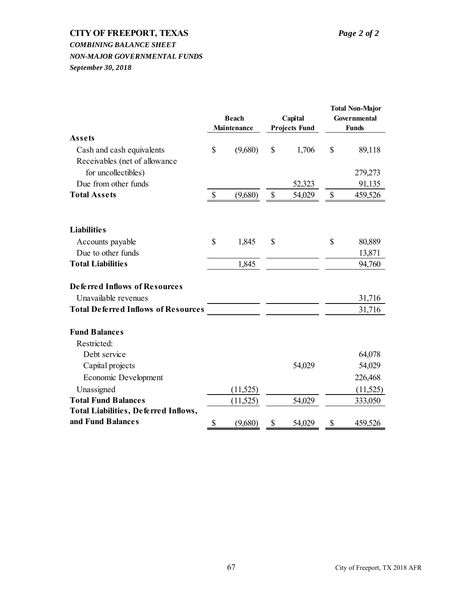# **CITY OF FREEPORT, TEXAS** *COMBINING BALANCE SHEET NON-MAJOR GOVERNMENTAL FUNDS September 30, 2018*

| Page | $\mathbf{z}$ | $\boldsymbol{0}$ |
|------|--------------|------------------|
|      |              |                  |

|                                            |              | <b>Beach</b><br>Maintenance |                           | Capital<br><b>Projects Fund</b> |                           | <b>Total Non-Major</b><br><b>Governmental</b><br><b>Funds</b> |  |
|--------------------------------------------|--------------|-----------------------------|---------------------------|---------------------------------|---------------------------|---------------------------------------------------------------|--|
| <b>Assets</b>                              |              |                             |                           |                                 |                           |                                                               |  |
| Cash and cash equivalents                  | \$           | (9,680)                     | \$                        | 1,706                           | \$                        | 89,118                                                        |  |
| Receivables (net of allowance              |              |                             |                           |                                 |                           |                                                               |  |
| for uncollectibles)                        |              |                             |                           |                                 |                           | 279,273                                                       |  |
| Due from other funds                       |              |                             |                           | 52,323                          |                           | 91,135                                                        |  |
| <b>Total Assets</b>                        | $\mathbb{S}$ | (9,680)                     | $\boldsymbol{\mathsf{S}}$ | 54,029                          | $\boldsymbol{\mathsf{S}}$ | 459,526                                                       |  |
| <b>Liabilities</b>                         |              |                             |                           |                                 |                           |                                                               |  |
| Accounts payable                           | \$           | 1,845                       | \$                        |                                 | \$                        | 80,889                                                        |  |
| Due to other funds                         |              |                             |                           |                                 |                           | 13,871                                                        |  |
| <b>Total Liabilities</b>                   |              | 1,845                       |                           |                                 |                           | 94,760                                                        |  |
| Deferred Inflows of Resources              |              |                             |                           |                                 |                           |                                                               |  |
| Unavailable revenues                       |              |                             |                           |                                 |                           | 31,716                                                        |  |
| <b>Total Deferred Inflows of Resources</b> |              |                             |                           |                                 |                           | 31,716                                                        |  |
| <b>Fund Balances</b>                       |              |                             |                           |                                 |                           |                                                               |  |
| Restricted:                                |              |                             |                           |                                 |                           |                                                               |  |
| Debt service                               |              |                             |                           |                                 |                           | 64,078                                                        |  |
| Capital projects                           |              |                             |                           | 54,029                          |                           | 54,029                                                        |  |
| Economic Development                       |              |                             |                           |                                 |                           | 226,468                                                       |  |
| Unassigned                                 |              | (11, 525)                   |                           |                                 |                           | (11, 525)                                                     |  |
| <b>Total Fund Balances</b>                 |              | (11, 525)                   |                           | 54,029                          |                           | 333,050                                                       |  |
| Total Liabilities, Deferred Inflows,       |              |                             |                           |                                 |                           |                                                               |  |
| and Fund Balances                          | \$           | (9,680)                     | \$                        | 54,029                          | \$                        | 459,526                                                       |  |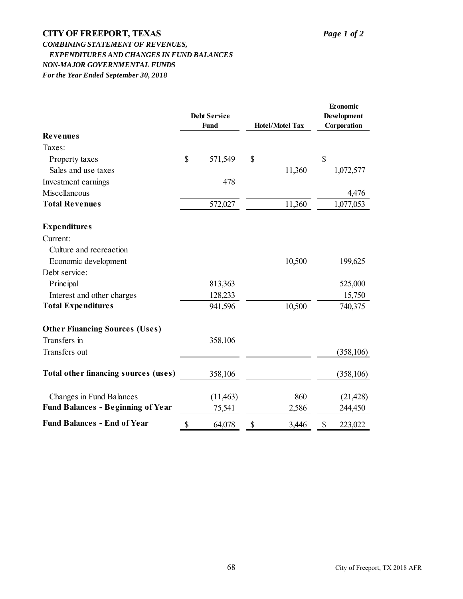# **CITY OF FREEPORT, TEXAS** *Page 1 of 2*

# *COMBINING STATEMENT OF REVENUES, EXPENDITURES AND CHANGES IN FUND BALANCES NON-MAJOR GOVERNMENTAL FUNDS For the Year Ended September 30, 2018*

|                                          | <b>Debt Service</b><br>Fund |           | <b>Hotel/Motel Tax</b> |        | Economic<br><b>Development</b><br>Corporation |            |  |
|------------------------------------------|-----------------------------|-----------|------------------------|--------|-----------------------------------------------|------------|--|
| <b>Revenues</b>                          |                             |           |                        |        |                                               |            |  |
| Taxes:                                   |                             |           |                        |        |                                               |            |  |
| Property taxes                           | $\mathbf S$                 | 571,549   | \$                     |        | \$                                            |            |  |
| Sales and use taxes                      |                             |           |                        | 11,360 |                                               | 1,072,577  |  |
| Investment earnings                      |                             | 478       |                        |        |                                               |            |  |
| Miscellaneous                            |                             |           |                        |        |                                               | 4,476      |  |
| <b>Total Revenues</b>                    |                             | 572,027   |                        | 11,360 |                                               | 1,077,053  |  |
| <b>Expenditures</b>                      |                             |           |                        |        |                                               |            |  |
| Current:                                 |                             |           |                        |        |                                               |            |  |
| Culture and recreaction                  |                             |           |                        |        |                                               |            |  |
| Economic development                     |                             |           |                        | 10,500 |                                               | 199,625    |  |
| Debt service:                            |                             |           |                        |        |                                               |            |  |
| Principal                                |                             | 813,363   |                        |        |                                               | 525,000    |  |
| Interest and other charges               |                             | 128,233   |                        |        |                                               | 15,750     |  |
| <b>Total Expenditures</b>                |                             | 941,596   |                        | 10,500 |                                               | 740,375    |  |
| <b>Other Financing Sources (Uses)</b>    |                             |           |                        |        |                                               |            |  |
| Transfers in                             |                             | 358,106   |                        |        |                                               |            |  |
| Transfers out                            |                             |           |                        |        |                                               | (358, 106) |  |
| Total other financing sources (uses)     |                             | 358,106   |                        |        |                                               | (358, 106) |  |
| Changes in Fund Balances                 |                             | (11, 463) |                        | 860    |                                               | (21, 428)  |  |
| <b>Fund Balances - Beginning of Year</b> |                             | 75,541    |                        | 2,586  |                                               | 244,450    |  |
| <b>Fund Balances - End of Year</b>       | \$                          | 64,078    | \$                     | 3,446  | \$                                            | 223,022    |  |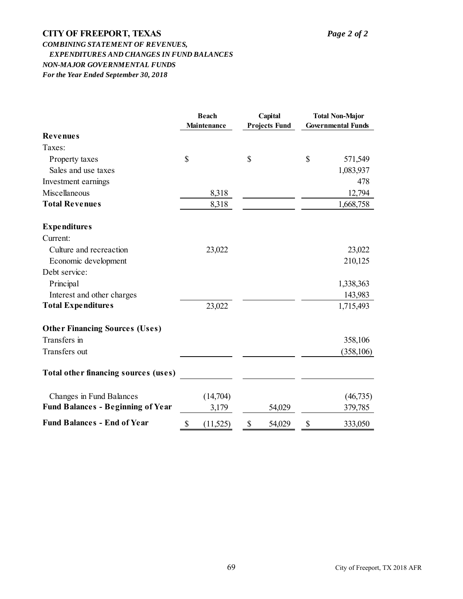### **CITY OF FREEPORT, TEXAS** *Page 2 of 2*

#### *COMBINING STATEMENT OF REVENUES, EXPENDITURES AND CHANGES IN FUND BALANCES NON-MAJOR GOVERNMENTAL FUNDS For the Year Ended September 30, 2018*

|                                          |    | <b>Beach</b><br>Maintenance |    | Capital<br><b>Projects Fund</b> |    | <b>Total Non-Major</b><br><b>Governmental Funds</b> |  |  |
|------------------------------------------|----|-----------------------------|----|---------------------------------|----|-----------------------------------------------------|--|--|
| <b>Revenues</b>                          |    |                             |    |                                 |    |                                                     |  |  |
| Taxes:                                   |    |                             |    |                                 |    |                                                     |  |  |
| Property taxes                           | \$ |                             | \$ |                                 | \$ | 571,549                                             |  |  |
| Sales and use taxes                      |    |                             |    |                                 |    | 1,083,937                                           |  |  |
| Investment earnings                      |    |                             |    |                                 |    | 478                                                 |  |  |
| Miscellaneous                            |    | 8,318                       |    |                                 |    | 12,794                                              |  |  |
| <b>Total Revenues</b>                    |    | 8,318                       |    |                                 |    | 1,668,758                                           |  |  |
| <b>Expenditures</b>                      |    |                             |    |                                 |    |                                                     |  |  |
| Current:                                 |    |                             |    |                                 |    |                                                     |  |  |
| Culture and recreaction                  |    | 23,022                      |    |                                 |    | 23,022                                              |  |  |
| Economic development                     |    |                             |    |                                 |    | 210,125                                             |  |  |
| Debt service:                            |    |                             |    |                                 |    |                                                     |  |  |
| Principal                                |    |                             |    |                                 |    | 1,338,363                                           |  |  |
| Interest and other charges               |    |                             |    |                                 |    | 143,983                                             |  |  |
| <b>Total Expenditures</b>                |    | 23,022                      |    |                                 |    | 1,715,493                                           |  |  |
| <b>Other Financing Sources (Uses)</b>    |    |                             |    |                                 |    |                                                     |  |  |
| Transfers in                             |    |                             |    |                                 |    | 358,106                                             |  |  |
| Transfers out                            |    |                             |    |                                 |    | (358, 106)                                          |  |  |
| Total other financing sources (uses)     |    |                             |    |                                 |    |                                                     |  |  |
| Changes in Fund Balances                 |    | (14,704)                    |    |                                 |    | (46,735)                                            |  |  |
| <b>Fund Balances - Beginning of Year</b> |    | 3,179                       |    | 54,029                          |    | 379,785                                             |  |  |
| <b>Fund Balances - End of Year</b>       | \$ | (11,525)                    | \$ | 54,029                          | \$ | 333,050                                             |  |  |